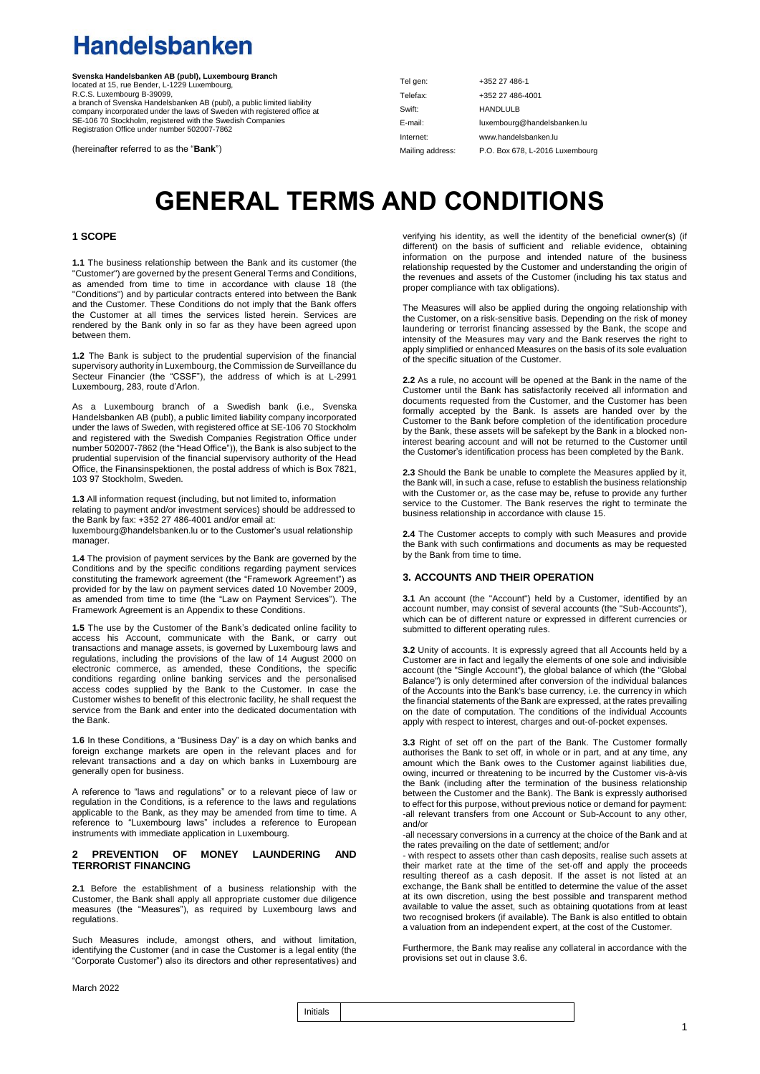### **Handelsbanken**

**Svenska Handelsbanken AB (publ), Luxembourg Branch**<br>located at 15, rue Bender, L-1229 Luxembourg,<br>R.C.S. Luxembourg B-39099, a branch of Svenska Handelsbanken AB (publ), a public limited liability company incorporated under the laws of Sweden with registered office at SE-106 70 Stockholm, registered with the Swedish Companies Registration Office under number 502007-7862

(hereinafter referred to as the "**Bank**")

| Tel gen:         | +352 27 486-1                   |
|------------------|---------------------------------|
| Telefax:         | +352 27 486-4001                |
| Swift:           | <b>HANDLULB</b>                 |
| E-mail:          | luxembourg@handelsbanken.lu     |
| Internet:        | www.handelsbanken.lu            |
| Mailing address: | P.O. Box 678, L-2016 Luxembourg |

### **GENERAL TERMS AND CONDITIONS**

### **1 SCOPE**

**1.1** The business relationship between the Bank and its customer (the "Customer") are governed by the present General Terms and Conditions, as amended from time to time in accordance with clause 18 (the "Conditions") and by particular contracts entered into between the Bank and the Customer. These Conditions do not imply that the Bank offers the Customer at all times the services listed herein. Services are rendered by the Bank only in so far as they have been agreed upon between them.

**1.2** The Bank is subject to the prudential supervision of the financial supervisory authority in Luxembourg, the Commission de Surveillance du Secteur Financier (the "CSSF"), the address of which is at L-2991 Luxembourg, 283, route d'Arlon.

As a Luxembourg branch of a Swedish bank (i.e., Svenska Handelsbanken AB (publ), a public limited liability company incorporated under the laws of Sweden, with registered office at SE-106 70 Stockholm and registered with the Swedish Companies Registration Office under number 502007-7862 (the "Head Office")), the Bank is also subject to the prudential supervision of the financial supervisory authority of the Head Office, the Finansinspektionen, the postal address of which is Box 7821, 103 97 Stockholm, Sweden.

**1.3** All information request (including, but not limited to, information relating to payment and/or investment services) should be addressed to the Bank by fax: +352 27 486-4001 and/or email at: [luxembourg@handelsbanken.lu](mailto:pb.luxembourg@handelsbanken.lu) or to the Customer's usual relationship manager.

**1.4** The provision of payment services by the Bank are governed by the Conditions and by the specific conditions regarding payment services constituting the framework agreement (the "Framework Agreement") as provided for by the law on payment services dated 10 November 2009, as amended from time to time (the "Law on Payment Services"). The Framework Agreement is an Appendix to these Conditions.

**1.5** The use by the Customer of the Bank's dedicated online facility to access his Account, communicate with the Bank, or carry out transactions and manage assets, is governed by Luxembourg laws and regulations, including the provisions of the law of 14 August 2000 on electronic commerce, as amended, these Conditions, the specific conditions regarding online banking services and the personalised access codes supplied by the Bank to the Customer. In case the Customer wishes to benefit of this electronic facility, he shall request the service from the Bank and enter into the dedicated documentation with the Bank.

**1.6** In these Conditions, a "Business Day" is a day on which banks and foreign exchange markets are open in the relevant places and for relevant transactions and a day on which banks in Luxembourg are generally open for business.

A reference to "laws and regulations" or to a relevant piece of law or regulation in the Conditions, is a reference to the laws and regulations applicable to the Bank, as they may be amended from time to time. A reference to "Luxembourg laws" includes a reference to European instruments with immediate application in Luxembourg.

### **2 PREVENTION OF MONEY LAUNDERING AND TERRORIST FINANCING**

**2.1** Before the establishment of a business relationship with the Customer, the Bank shall apply all appropriate customer due diligence measures (the "Measures"), as required by Luxembourg laws and regulations.

Such Measures include, amongst others, and without limitation, identifying the Customer (and in case the Customer is a legal entity (the "Corporate Customer") also its directors and other representatives) and verifying his identity, as well the identity of the beneficial owner(s) (if different) on the basis of sufficient and reliable evidence, obtaining information on the purpose and intended nature of the business relationship requested by the Customer and understanding the origin of the revenues and assets of the Customer (including his tax status and proper compliance with tax obligations).

The Measures will also be applied during the ongoing relationship with the Customer, on a risk-sensitive basis. Depending on the risk of money laundering or terrorist financing assessed by the Bank, the scope and intensity of the Measures may vary and the Bank reserves the right to apply simplified or enhanced Measures on the basis of its sole evaluation of the specific situation of the Customer.

**2.2** As a rule, no account will be opened at the Bank in the name of the Customer until the Bank has satisfactorily received all information and documents requested from the Customer, and the Customer has been formally accepted by the Bank. Is assets are handed over by the Customer to the Bank before completion of the identification procedure by the Bank, these assets will be safekept by the Bank in a blocked noninterest bearing account and will not be returned to the Customer until the Customer's identification process has been completed by the Bank.

**2.3** Should the Bank be unable to complete the Measures applied by it, the Bank will, in such a case, refuse to establish the business relationship with the Customer or, as the case may be, refuse to provide any further service to the Customer. The Bank reserves the right to terminate the business relationship in accordance with clause 15.

**2.4** The Customer accepts to comply with such Measures and provide the Bank with such confirmations and documents as may be requested by the Bank from time to time.

### **3. ACCOUNTS AND THEIR OPERATION**

**3.1** An account (the "Account") held by a Customer, identified by an account number, may consist of several accounts (the "Sub-Accounts"), which can be of different nature or expressed in different currencies or submitted to different operating rules.

**3.2** Unity of accounts. It is expressly agreed that all Accounts held by a Customer are in fact and legally the elements of one sole and indivisible account (the "Single Account"), the global balance of which (the "Global Balance") is only determined after conversion of the individual balances of the Accounts into the Bank's base currency, i.e. the currency in which the financial statements of the Bank are expressed, at the rates prevailing on the date of computation. The conditions of the individual Accounts apply with respect to interest, charges and out-of-pocket expenses.

**3.3** Right of set off on the part of the Bank. The Customer formally authorises the Bank to set off, in whole or in part, and at any time, any amount which the Bank owes to the Customer against liabilities due, owing, incurred or threatening to be incurred by the Customer vis-à-vis the Bank (including after the termination of the business relationship between the Customer and the Bank). The Bank is expressly authorised to effect for this purpose, without previous notice or demand for payment: -all relevant transfers from one Account or Sub-Account to any other, and/or

-all necessary conversions in a currency at the choice of the Bank and at the rates prevailing on the date of settlement; and/or

- with respect to assets other than cash deposits, realise such assets at their market rate at the time of the set-off and apply the proceeds resulting thereof as a cash deposit. If the asset is not listed at an exchange, the Bank shall be entitled to determine the value of the asset at its own discretion, using the best possible and transparent method available to value the asset, such as obtaining quotations from at least two recognised brokers (if available). The Bank is also entitled to obtain a valuation from an independent expert, at the cost of the Customer.

Furthermore, the Bank may realise any collateral in accordance with the provisions set out in clause 3.6.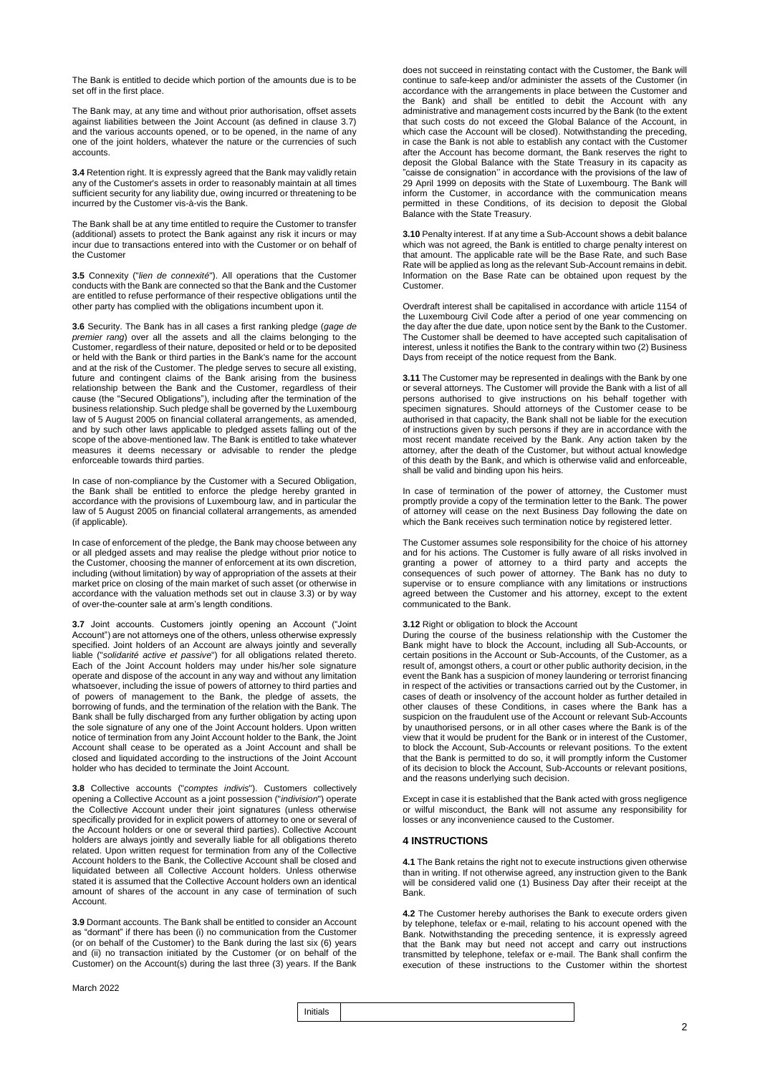The Bank is entitled to decide which portion of the amounts due is to be set off in the first place.

The Bank may, at any time and without prior authorisation, offset assets against liabilities between the Joint Account (as defined in clause 3.7) and the various accounts opened, or to be opened, in the name of any one of the joint holders, whatever the nature or the currencies of such accounts.

**3.4** Retention right. It is expressly agreed that the Bank may validly retain any of the Customer's assets in order to reasonably maintain at all times sufficient security for any liability due, owing incurred or threatening to be incurred by the Customer vis-à-vis the Bank.

The Bank shall be at any time entitled to require the Customer to transfer (additional) assets to protect the Bank against any risk it incurs or may incur due to transactions entered into with the Customer or on behalf of the Customer

**3.5** Connexity ("*lien de connexité*"). All operations that the Customer conducts with the Bank are connected so that the Bank and the Customer are entitled to refuse performance of their respective obligations until the other party has complied with the obligations incumbent upon it.

**3.6** Security. The Bank has in all cases a first ranking pledge (*gage de premier rang*) over all the assets and all the claims belonging to the Customer, regardless of their nature, deposited or held or to be deposited or held with the Bank or third parties in the Bank's name for the account and at the risk of the Customer. The pledge serves to secure all existing, future and contingent claims of the Bank arising from the business relationship between the Bank and the Customer, regardless of their cause (the "Secured Obligations"), including after the termination of the business relationship. Such pledge shall be governed by the Luxembourg law of 5 August 2005 on financial collateral arrangements, as amended, and by such other laws applicable to pledged assets falling out of the scope of the above-mentioned law. The Bank is entitled to take whatever measures it deems necessary or advisable to render the pledge enforceable towards third parties.

In case of non-compliance by the Customer with a Secured Obligation, the Bank shall be entitled to enforce the pledge hereby granted in accordance with the provisions of Luxembourg law, and in particular the law of 5 August 2005 on financial collateral arrangements, as amended (if applicable).

In case of enforcement of the pledge, the Bank may choose between any or all pledged assets and may realise the pledge without prior notice to the Customer, choosing the manner of enforcement at its own discretion, including (without limitation) by way of appropriation of the assets at their market price on closing of the main market of such asset (or otherwise in accordance with the valuation methods set out in clause 3.3) or by way of over-the-counter sale at arm's length conditions.

**3.7** Joint accounts. Customers jointly opening an Account ("Joint Account") are not attorneys one of the others, unless otherwise expressly specified. Joint holders of an Account are always jointly and severally liable ("*solidarité active et passive*") for all obligations related thereto. Each of the Joint Account holders may under his/her sole signature operate and dispose of the account in any way and without any limitation whatsoever, including the issue of powers of attorney to third parties and of powers of management to the Bank, the pledge of assets, the borrowing of funds, and the termination of the relation with the Bank. The Bank shall be fully discharged from any further obligation by acting upon the sole signature of any one of the Joint Account holders. Upon written notice of termination from any Joint Account holder to the Bank, the Joint Account shall cease to be operated as a Joint Account and shall be closed and liquidated according to the instructions of the Joint Account holder who has decided to terminate the Joint Account.

**3.8** Collective accounts ("*comptes indivis*"). Customers collectively opening a Collective Account as a joint possession ("*indivision*") operate the Collective Account under their joint signatures (unless otherwise specifically provided for in explicit powers of attorney to one or several of the Account holders or one or several third parties). Collective Account holders are always jointly and severally liable for all obligations thereto related. Upon written request for termination from any of the Collective Account holders to the Bank, the Collective Account shall be closed and liquidated between all Collective Account holders. Unless otherwise stated it is assumed that the Collective Account holders own an identical amount of shares of the account in any case of termination of such Account.

**3.9** Dormant accounts. The Bank shall be entitled to consider an Account as "dormant" if there has been (i) no communication from the Customer (or on behalf of the Customer) to the Bank during the last six (6) years and (ii) no transaction initiated by the Customer (or on behalf of the Customer) on the Account(s) during the last three (3) years. If the Bank

does not succeed in reinstating contact with the Customer, the Bank will continue to safe-keep and/or administer the assets of the Customer (in accordance with the arrangements in place between the Customer and the Bank) and shall be entitled to debit the Account with any administrative and management costs incurred by the Bank (to the extent that such costs do not exceed the Global Balance of the Account, in which case the Account will be closed). Notwithstanding the preceding, in case the Bank is not able to establish any contact with the Customer after the Account has become dormant, the Bank reserves the right to deposit the Global Balance with the State Treasury in its capacity as "caisse de consignation'' in accordance with the provisions of the law of 29 April 1999 on deposits with the State of Luxembourg. The Bank will inform the Customer, in accordance with the communication means permitted in these Conditions, of its decision to deposit the Global Balance with the State Treasury.

**3.10** Penalty interest. If at any time a Sub-Account shows a debit balance which was not agreed, the Bank is entitled to charge penalty interest on that amount. The applicable rate will be the Base Rate, and such Base Rate will be applied as long as the relevant Sub-Account remains in debit. Information on the Base Rate can be obtained upon request by the Customer.

Overdraft interest shall be capitalised in accordance with article 1154 of the Luxembourg Civil Code after a period of one year commencing on the day after the due date, upon notice sent by the Bank to the Customer. The Customer shall be deemed to have accepted such capitalisation of interest, unless it notifies the Bank to the contrary within two (2) Business Days from receipt of the notice request from the Bank.

**3.11** The Customer may be represented in dealings with the Bank by one or several attorneys. The Customer will provide the Bank with a list of all persons authorised to give instructions on his behalf together with specimen signatures. Should attorneys of the Customer cease to be authorised in that capacity, the Bank shall not be liable for the execution of instructions given by such persons if they are in accordance with the most recent mandate received by the Bank. Any action taken by the attorney, after the death of the Customer, but without actual knowledge of this death by the Bank, and which is otherwise valid and enforceable, shall be valid and binding upon his heirs.

In case of termination of the power of attorney, the Customer must promptly provide a copy of the termination letter to the Bank. The power of attorney will cease on the next Business Day following the date on which the Bank receives such termination notice by registered letter.

The Customer assumes sole responsibility for the choice of his attorney and for his actions. The Customer is fully aware of all risks involved in granting a power of attorney to a third party and accepts the consequences of such power of attorney. The Bank has no duty to supervise or to ensure compliance with any limitations or instructions agreed between the Customer and his attorney, except to the extent communicated to the Bank.

### **3.12** Right or obligation to block the Account

During the course of the business relationship with the Customer the Bank might have to block the Account, including all Sub-Accounts, or certain positions in the Account or Sub-Accounts, of the Customer, as a result of, amongst others, a court or other public authority decision, in the event the Bank has a suspicion of money laundering or terrorist financing in respect of the activities or transactions carried out by the Customer, in cases of death or insolvency of the account holder as further detailed in other clauses of these Conditions, in cases where the Bank has a suspicion on the fraudulent use of the Account or relevant Sub-Accounts by unauthorised persons, or in all other cases where the Bank is of the view that it would be prudent for the Bank or in interest of the Customer, to block the Account, Sub-Accounts or relevant positions. To the extent that the Bank is permitted to do so, it will promptly inform the Customer of its decision to block the Account, Sub-Accounts or relevant positions, and the reasons underlying such decision.

Except in case it is established that the Bank acted with gross negligence or wilful misconduct, the Bank will not assume any responsibility for losses or any inconvenience caused to the Customer.

### **4 INSTRUCTIONS**

**4.1** The Bank retains the right not to execute instructions given otherwise than in writing. If not otherwise agreed, any instruction given to the Bank will be considered valid one (1) Business Day after their receipt at the Bank.

**4.2** The Customer hereby authorises the Bank to execute orders given by telephone, telefax or e-mail, relating to his account opened with the Bank. Notwithstanding the preceding sentence, it is expressly agreed that the Bank may but need not accept and carry out instructions transmitted by telephone, telefax or e-mail. The Bank shall confirm the execution of these instructions to the Customer within the shortest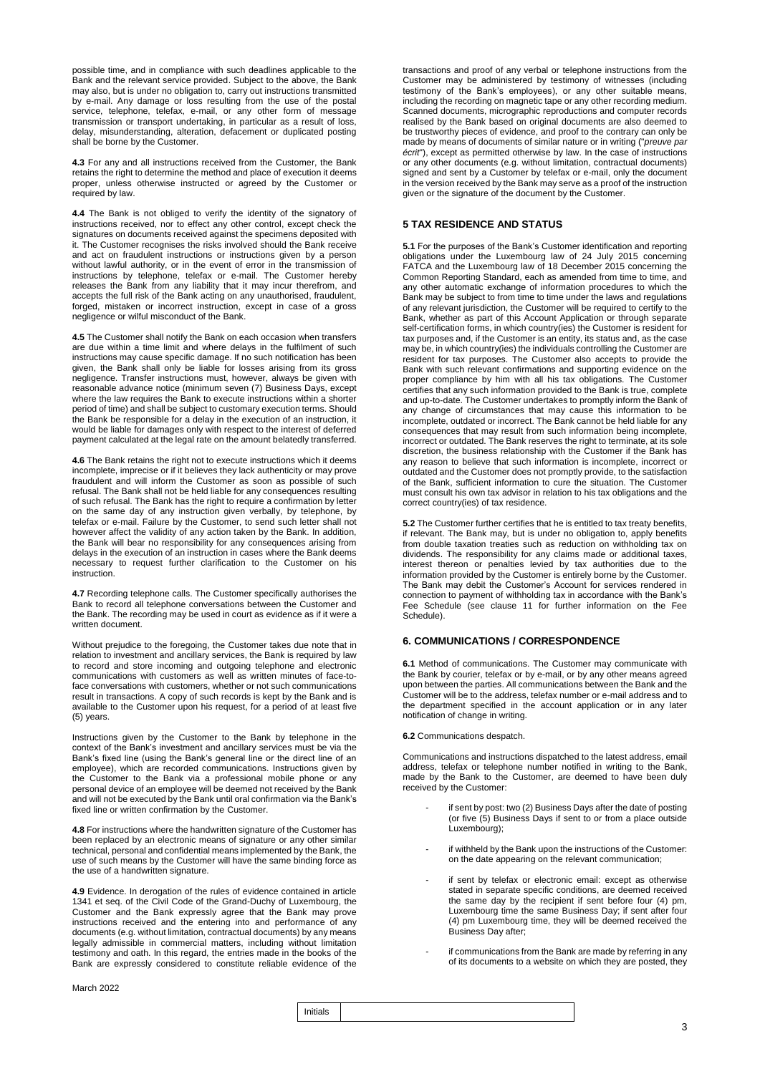possible time, and in compliance with such deadlines applicable to the Bank and the relevant service provided. Subject to the above, the Bank may also, but is under no obligation to, carry out instructions transmitted by e-mail. Any damage or loss resulting from the use of the postal service, telephone, telefax, e-mail, or any other form of message transmission or transport undertaking, in particular as a result of loss, delay, misunderstanding, alteration, defacement or duplicated posting shall be borne by the Customer.

**4.3** For any and all instructions received from the Customer, the Bank retains the right to determine the method and place of execution it deems proper, unless otherwise instructed or agreed by the Customer or required by law.

**4.4** The Bank is not obliged to verify the identity of the signatory of instructions received, nor to effect any other control, except check the signatures on documents received against the specimens deposited with it. The Customer recognises the risks involved should the Bank receive and act on fraudulent instructions or instructions given by a person without lawful authority, or in the event of error in the transmission of instructions by telephone, telefax or e-mail. The Customer hereby releases the Bank from any liability that it may incur therefrom, and accepts the full risk of the Bank acting on any unauthorised, fraudulent, forged, mistaken or incorrect instruction, except in case of a gross negligence or wilful misconduct of the Bank.

**4.5** The Customer shall notify the Bank on each occasion when transfers are due within a time limit and where delays in the fulfilment of such instructions may cause specific damage. If no such notification has been given, the Bank shall only be liable for losses arising from its gross negligence. Transfer instructions must, however, always be given with reasonable advance notice (minimum seven (7) Business Days, except where the law requires the Bank to execute instructions within a shorter period of time) and shall be subject to customary execution terms. Should the Bank be responsible for a delay in the execution of an instruction, it would be liable for damages only with respect to the interest of deferred payment calculated at the legal rate on the amount belatedly transferred.

**4.6** The Bank retains the right not to execute instructions which it deems incomplete, imprecise or if it believes they lack authenticity or may prove fraudulent and will inform the Customer as soon as possible of such refusal. The Bank shall not be held liable for any consequences resulting of such refusal. The Bank has the right to require a confirmation by letter on the same day of any instruction given verbally, by telephone, by telefax or e-mail. Failure by the Customer, to send such letter shall not however affect the validity of any action taken by the Bank. In addition, the Bank will bear no responsibility for any consequences arising from delays in the execution of an instruction in cases where the Bank deems necessary to request further clarification to the Customer on his instruction.

**4.7** Recording telephone calls. The Customer specifically authorises the Bank to record all telephone conversations between the Customer and the Bank. The recording may be used in court as evidence as if it were a written document.

Without prejudice to the foregoing, the Customer takes due note that in relation to investment and ancillary services, the Bank is required by law to record and store incoming and outgoing telephone and electronic communications with customers as well as written minutes of face-toface conversations with customers, whether or not such communications result in transactions. A copy of such records is kept by the Bank and is available to the Customer upon his request, for a period of at least five (5) years.

Instructions given by the Customer to the Bank by telephone in the context of the Bank's investment and ancillary services must be via the Bank's fixed line (using the Bank's general line or the direct line of an employee), which are recorded communications. Instructions given by the Customer to the Bank via a professional mobile phone or any personal device of an employee will be deemed not received by the Bank and will not be executed by the Bank until oral confirmation via the Bank's fixed line or written confirmation by the Customer.

**4.8** For instructions where the handwritten signature of the Customer has been replaced by an electronic means of signature or any other similar technical, personal and confidential means implemented by the Bank, the use of such means by the Customer will have the same binding force as the use of a handwritten signature.

**4.9** Evidence. In derogation of the rules of evidence contained in article 1341 et seq. of the Civil Code of the Grand-Duchy of Luxembourg, the Customer and the Bank expressly agree that the Bank may prove instructions received and the entering into and performance of any documents (e.g. without limitation, contractual documents) by any means legally admissible in commercial matters, including without limitation testimony and oath. In this regard, the entries made in the books of the Bank are expressly considered to constitute reliable evidence of the

transactions and proof of any verbal or telephone instructions from the Customer may be administered by testimony of witnesses (including testimony of the Bank's employees), or any other suitable means, including the recording on magnetic tape or any other recording medium. Scanned documents, micrographic reproductions and computer records realised by the Bank based on original documents are also deemed to be trustworthy pieces of evidence, and proof to the contrary can only be made by means of documents of similar nature or in writing ("*preuve par écrit*"), except as permitted otherwise by law. In the case of instructions or any other documents (e.g. without limitation, contractual documents) signed and sent by a Customer by telefax or e-mail, only the document in the version received by the Bank may serve as a proof of the instruction given or the signature of the document by the Customer.

### **5 TAX RESIDENCE AND STATUS**

**5.1** For the purposes of the Bank's Customer identification and reporting obligations under the Luxembourg law of 24 July 2015 concerning FATCA and the Luxembourg law of 18 December 2015 concerning the Common Reporting Standard, each as amended from time to time, and any other automatic exchange of information procedures to which the Bank may be subject to from time to time under the laws and regulations of any relevant jurisdiction, the Customer will be required to certify to the Bank, whether as part of this Account Application or through separate self-certification forms, in which country(ies) the Customer is resident for tax purposes and, if the Customer is an entity, its status and, as the case may be, in which country(ies) the individuals controlling the Customer are resident for tax purposes. The Customer also accepts to provide the Bank with such relevant confirmations and supporting evidence on the proper compliance by him with all his tax obligations. The Customer certifies that any such information provided to the Bank is true, complete and up-to-date. The Customer undertakes to promptly inform the Bank of any change of circumstances that may cause this information to be incomplete, outdated or incorrect. The Bank cannot be held liable for any consequences that may result from such information being incomplete, incorrect or outdated. The Bank reserves the right to terminate, at its sole discretion, the business relationship with the Customer if the Bank has any reason to believe that such information is incomplete, incorrect or outdated and the Customer does not promptly provide, to the satisfaction of the Bank, sufficient information to cure the situation. The Customer must consult his own tax advisor in relation to his tax obligations and the correct country(ies) of tax residence.

**5.2** The Customer further certifies that he is entitled to tax treaty benefits, if relevant. The Bank may, but is under no obligation to, apply benefits from double taxation treaties such as reduction on withholding tax on dividends. The responsibility for any claims made or additional taxes, interest thereon or penalties levied by tax authorities due to the information provided by the Customer is entirely borne by the Customer. The Bank may debit the Customer's Account for services rendered in connection to payment of withholding tax in accordance with the Bank's Fee Schedule (see clause 11 for further information on the Fee Schedule).

### **6. COMMUNICATIONS / CORRESPONDENCE**

**6.1** Method of communications. The Customer may communicate with the Bank by courier, telefax or by e-mail, or by any other means agreed upon between the parties. All communications between the Bank and the Customer will be to the address, telefax number or e-mail address and to the department specified in the account application or in any later notification of change in writing.

### **6.2** Communications despatch.

Communications and instructions dispatched to the latest address, email address, telefax or telephone number notified in writing to the Bank, made by the Bank to the Customer, are deemed to have been duly received by the Customer:

- if sent by post: two (2) Business Days after the date of posting (or five (5) Business Days if sent to or from a place outside Luxembourg);
- if withheld by the Bank upon the instructions of the Customer: on the date appearing on the relevant communication;
- if sent by telefax or electronic email: except as otherwise stated in separate specific conditions, are deemed received the same day by the recipient if sent before four (4) pm, Luxembourg time the same Business Day; if sent after four (4) pm Luxembourg time, they will be deemed received the Business Day after;
- if communications from the Bank are made by referring in any of its documents to a website on which they are posted, they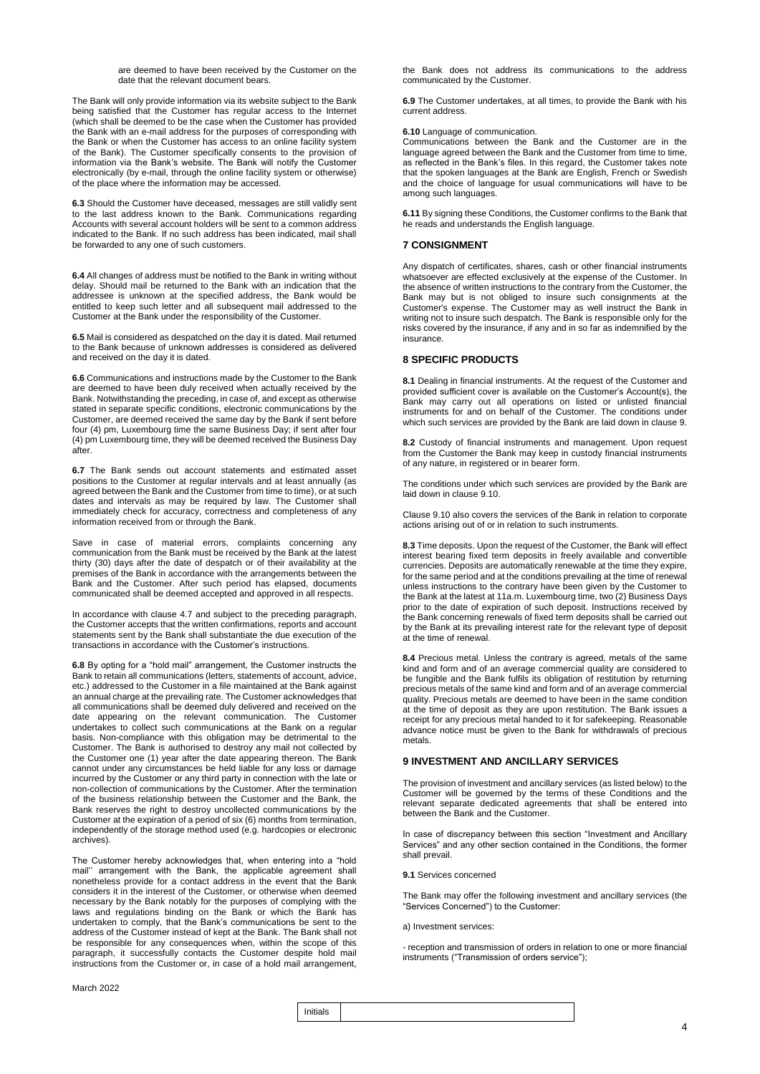are deemed to have been received by the Customer on the date that the relevant document bears.

The Bank will only provide information via its website subject to the Bank being satisfied that the Customer has regular access to the Internet (which shall be deemed to be the case when the Customer has provided the Bank with an e-mail address for the purposes of corresponding with the Bank or when the Customer has access to an online facility system of the Bank). The Customer specifically consents to the provision of information via the Bank's website. The Bank will notify the Customer electronically (by e-mail, through the online facility system or otherwise) of the place where the information may be accessed.

**6.3** Should the Customer have deceased, messages are still validly sent to the last address known to the Bank. Communications regarding Accounts with several account holders will be sent to a common address indicated to the Bank. If no such address has been indicated, mail shall be forwarded to any one of such customers.

**6.4** All changes of address must be notified to the Bank in writing without delay. Should mail be returned to the Bank with an indication that the addressee is unknown at the specified address, the Bank would be entitled to keep such letter and all subsequent mail addressed to the Customer at the Bank under the responsibility of the Customer.

**6.5** Mail is considered as despatched on the day it is dated. Mail returned to the Bank because of unknown addresses is considered as delivered and received on the day it is dated.

**6.6** Communications and instructions made by the Customer to the Bank are deemed to have been duly received when actually received by the Bank. Notwithstanding the preceding, in case of, and except as otherwise stated in separate specific conditions, electronic communications by the Customer, are deemed received the same day by the Bank if sent before four (4) pm, Luxembourg time the same Business Day; if sent after four (4) pm Luxembourg time, they will be deemed received the Business Day after.

**6.7** The Bank sends out account statements and estimated asset positions to the Customer at regular intervals and at least annually (as agreed between the Bank and the Customer from time to time), or at such dates and intervals as may be required by law. The Customer shall immediately check for accuracy, correctness and completeness of any information received from or through the Bank.

Save in case of material errors, complaints concerning any communication from the Bank must be received by the Bank at the latest thirty (30) days after the date of despatch or of their availability at the premises of the Bank in accordance with the arrangements between the Bank and the Customer. After such period has elapsed, documents communicated shall be deemed accepted and approved in all respects.

In accordance with clause 4.7 and subject to the preceding paragraph, the Customer accepts that the written confirmations, reports and account statements sent by the Bank shall substantiate the due execution of the transactions in accordance with the Customer's instructions.

**6.8** By opting for a "hold mail" arrangement, the Customer instructs the Bank to retain all communications (letters, statements of account, advice, etc.) addressed to the Customer in a file maintained at the Bank against an annual charge at the prevailing rate. The Customer acknowledges that all communications shall be deemed duly delivered and received on the date appearing on the relevant communication. The Customer undertakes to collect such communications at the Bank on a regular basis. Non-compliance with this obligation may be detrimental to the Customer. The Bank is authorised to destroy any mail not collected by the Customer one (1) year after the date appearing thereon. The Bank cannot under any circumstances be held liable for any loss or damage incurred by the Customer or any third party in connection with the late or non-collection of communications by the Customer. After the termination of the business relationship between the Customer and the Bank, the Bank reserves the right to destroy uncollected communications by the Customer at the expiration of a period of six (6) months from termination, independently of the storage method used (e.g. hardcopies or electronic archives).

The Customer hereby acknowledges that, when entering into a "hold mail" arrangement with the Bank, the applicable agreement shall nonetheless provide for a contact address in the event that the Bank considers it in the interest of the Customer, or otherwise when deemed necessary by the Bank notably for the purposes of complying with the laws and regulations binding on the Bank or which the Bank has undertaken to comply, that the Bank's communications be sent to the address of the Customer instead of kept at the Bank. The Bank shall not be responsible for any consequences when, within the scope of this paragraph, it successfully contacts the Customer despite hold mail instructions from the Customer or, in case of a hold mail arrangement, the Bank does not address its communications to the address communicated by the Customer.

**6.9** The Customer undertakes, at all times, to provide the Bank with his current address.

### **6.10** Language of communication.

Communications between the Bank and the Customer are in the language agreed between the Bank and the Customer from time to time, as reflected in the Bank's files. In this regard, the Customer takes note that the spoken languages at the Bank are English, French or Swedish and the choice of language for usual communications will have to be among such languages.

**6.11** By signing these Conditions, the Customer confirms to the Bank that he reads and understands the English language.

### **7 CONSIGNMENT**

Any dispatch of certificates, shares, cash or other financial instruments whatsoever are effected exclusively at the expense of the Customer. In the absence of written instructions to the contrary from the Customer, the Bank may but is not obliged to insure such consignments at the Customer's expense. The Customer may as well instruct the Bank in writing not to insure such despatch. The Bank is responsible only for the risks covered by the insurance, if any and in so far as indemnified by the insurance.

### **8 SPECIFIC PRODUCTS**

**8.1** Dealing in financial instruments. At the request of the Customer and provided sufficient cover is available on the Customer's Account(s), the Bank may carry out all operations on listed or unlisted financial instruments for and on behalf of the Customer. The conditions under which such services are provided by the Bank are laid down in clause 9.

**8.2** Custody of financial instruments and management. Upon request from the Customer the Bank may keep in custody financial instruments of any nature, in registered or in bearer form.

The conditions under which such services are provided by the Bank are laid down in clause 9.10.

Clause 9.10 also covers the services of the Bank in relation to corporate actions arising out of or in relation to such instruments.

**8.3** Time deposits. Upon the request of the Customer, the Bank will effect interest bearing fixed term deposits in freely available and convertible currencies. Deposits are automatically renewable at the time they expire, for the same period and at the conditions prevailing at the time of renewal unless instructions to the contrary have been given by the Customer to the Bank at the latest at 11a.m. Luxembourg time, two (2) Business Days prior to the date of expiration of such deposit. Instructions received by the Bank concerning renewals of fixed term deposits shall be carried out by the Bank at its prevailing interest rate for the relevant type of deposit at the time of renewal.

**8.4** Precious metal. Unless the contrary is agreed, metals of the same kind and form and of an average commercial quality are considered to be fungible and the Bank fulfils its obligation of restitution by returning precious metals of the same kind and form and of an average commercial quality. Precious metals are deemed to have been in the same condition at the time of deposit as they are upon restitution. The Bank issues a receipt for any precious metal handed to it for safekeeping. Reasonable advance notice must be given to the Bank for withdrawals of precious metals.

### **9 INVESTMENT AND ANCILLARY SERVICES**

The provision of investment and ancillary services (as listed below) to the Customer will be governed by the terms of these Conditions and the relevant separate dedicated agreements that shall be entered into between the Bank and the Customer.

In case of discrepancy between this section "Investment and Ancillary Services" and any other section contained in the Conditions, the former shall prevail.

#### **9.1** Services concerned

The Bank may offer the following investment and ancillary services (the "Services Concerned") to the Customer:

a) Investment services:

- reception and transmission of orders in relation to one or more financial instruments ("Transmission of orders service");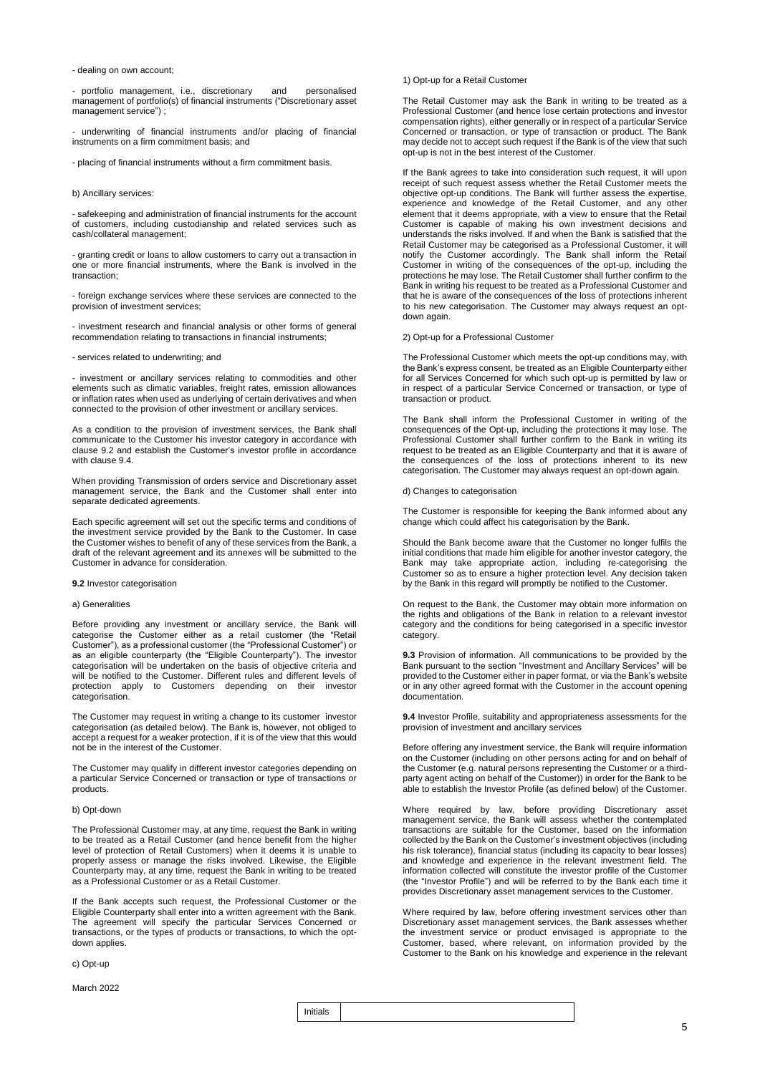- dealing on own account;

- portfolio management, i.e., discretionary and personalised management of portfolio(s) of financial instruments ("Discretionary asset management service") ;

- underwriting of financial instruments and/or placing of financial instruments on a firm commitment basis; and

- placing of financial instruments without a firm commitment basis.

### b) Ancillary services:

- safekeeping and administration of financial instruments for the account of customers, including custodianship and related services such as cash/collateral management;

- granting credit or loans to allow customers to carry out a transaction in one or more financial instruments, where the Bank is involved in the transaction;

- foreign exchange services where these services are connected to the provision of investment services;

- investment research and financial analysis or other forms of general recommendation relating to transactions in financial instruments;

### - services related to underwriting; and

- investment or ancillary services relating to commodities and other elements such as climatic variables, freight rates, emission allowances or inflation rates when used as underlying of certain derivatives and when connected to the provision of other investment or ancillary services.

As a condition to the provision of investment services, the Bank shall communicate to the Customer his investor category in accordance with clause 9.2 and establish the Customer's investor profile in accordance with clause 9.4.

When providing Transmission of orders service and Discretionary asset management service, the Bank and the Customer shall enter into separate dedicated agreements.

Each specific agreement will set out the specific terms and conditions of the investment service provided by the Bank to the Customer. In case the Customer wishes to benefit of any of these services from the Bank, a draft of the relevant agreement and its annexes will be submitted to the Customer in advance for consideration.

**9.2** Investor categorisation

### a) Generalities

Before providing any investment or ancillary service, the Bank will categorise the Customer either as a retail customer (the "Retail Customer"), as a professional customer (the "Professional Customer") or as an eligible counterparty (the "Eligible Counterparty"). The investor categorisation will be undertaken on the basis of objective criteria and will be notified to the Customer. Different rules and different levels of protection apply to Customers depending on their investor categorisation.

The Customer may request in writing a change to its customer investor categorisation (as detailed below). The Bank is, however, not obliged to accept a request for a weaker protection, if it is of the view that this would not be in the interest of the Customer.

The Customer may qualify in different investor categories depending on a particular Service Concerned or transaction or type of transactions or products.

#### b) Opt-down

The Professional Customer may, at any time, request the Bank in writing to be treated as a Retail Customer (and hence benefit from the higher level of protection of Retail Customers) when it deems it is unable to properly assess or manage the risks involved. Likewise, the Eligible Counterparty may, at any time, request the Bank in writing to be treated as a Professional Customer or as a Retail Customer.

If the Bank accepts such request, the Professional Customer or the Eligible Counterparty shall enter into a written agreement with the Bank. The agreement will specify the particular Services Concerned or transactions, or the types of products or transactions, to which the optdown applies.

c) Opt-up

March 2022

### 1) Opt-up for a Retail Customer

The Retail Customer may ask the Bank in writing to be treated as a Professional Customer (and hence lose certain protections and investor compensation rights), either generally or in respect of a particular Service Concerned or transaction, or type of transaction or product. The Bank may decide not to accept such request if the Bank is of the view that such opt-up is not in the best interest of the Customer.

If the Bank agrees to take into consideration such request, it will upon receipt of such request assess whether the Retail Customer meets the objective opt-up conditions. The Bank will further assess the expertise, experience and knowledge of the Retail Customer, and any other element that it deems appropriate, with a view to ensure that the Retail Customer is capable of making his own investment decisions and understands the risks involved. If and when the Bank is satisfied that the Retail Customer may be categorised as a Professional Customer, it will notify the Customer accordingly. The Bank shall inform the Retail Customer in writing of the consequences of the opt-up, including the protections he may lose. The Retail Customer shall further confirm to the Bank in writing his request to be treated as a Professional Customer and that he is aware of the consequences of the loss of protections inherent to his new categorisation. The Customer may always request an optdown again.

### 2) Opt-up for a Professional Customer

The Professional Customer which meets the opt-up conditions may, with the Bank's express consent, be treated as an Eligible Counterparty either for all Services Concerned for which such opt-up is permitted by law or in respect of a particular Service Concerned or transaction, or type of transaction or product.

The Bank shall inform the Professional Customer in writing of the consequences of the Opt-up, including the protections it may lose. The Professional Customer shall further confirm to the Bank in writing its request to be treated as an Eligible Counterparty and that it is aware of the consequences of the loss of protections inherent to its new categorisation. The Customer may always request an opt-down again.

#### d) Changes to categorisation

The Customer is responsible for keeping the Bank informed about any change which could affect his categorisation by the Bank.

Should the Bank become aware that the Customer no longer fulfils the initial conditions that made him eligible for another investor category, the Bank may take appropriate action, including re-categorising the Customer so as to ensure a higher protection level. Any decision taken by the Bank in this regard will promptly be notified to the Customer.

On request to the Bank, the Customer may obtain more information on the rights and obligations of the Bank in relation to a relevant investor category and the conditions for being categorised in a specific investor category.

**9.3** Provision of information. All communications to be provided by the Bank pursuant to the section "Investment and Ancillary Services" will be provided to the Customer either in paper format, or via the Bank's website or in any other agreed format with the Customer in the account opening documentation.

**9.4** Investor Profile, suitability and appropriateness assessments for the provision of investment and ancillary services

Before offering any investment service, the Bank will require information on the Customer (including on other persons acting for and on behalf of the Customer (e.g. natural persons representing the Customer or a thirdparty agent acting on behalf of the Customer)) in order for the Bank to be able to establish the Investor Profile (as defined below) of the Customer.

Where required by law, before providing Discretionary asset management service, the Bank will assess whether the contemplated transactions are suitable for the Customer, based on the information collected by the Bank on the Customer's investment objectives (including his risk tolerance), financial status (including its capacity to bear losses) and knowledge and experience in the relevant investment field. The information collected will constitute the investor profile of the Customer (the "Investor Profile") and will be referred to by the Bank each time it provides Discretionary asset management services to the Customer.

Where required by law, before offering investment services other than Discretionary asset management services, the Bank assesses whether the investment service or product envisaged is appropriate to the Customer, based, where relevant, on information provided by the Customer to the Bank on his knowledge and experience in the relevant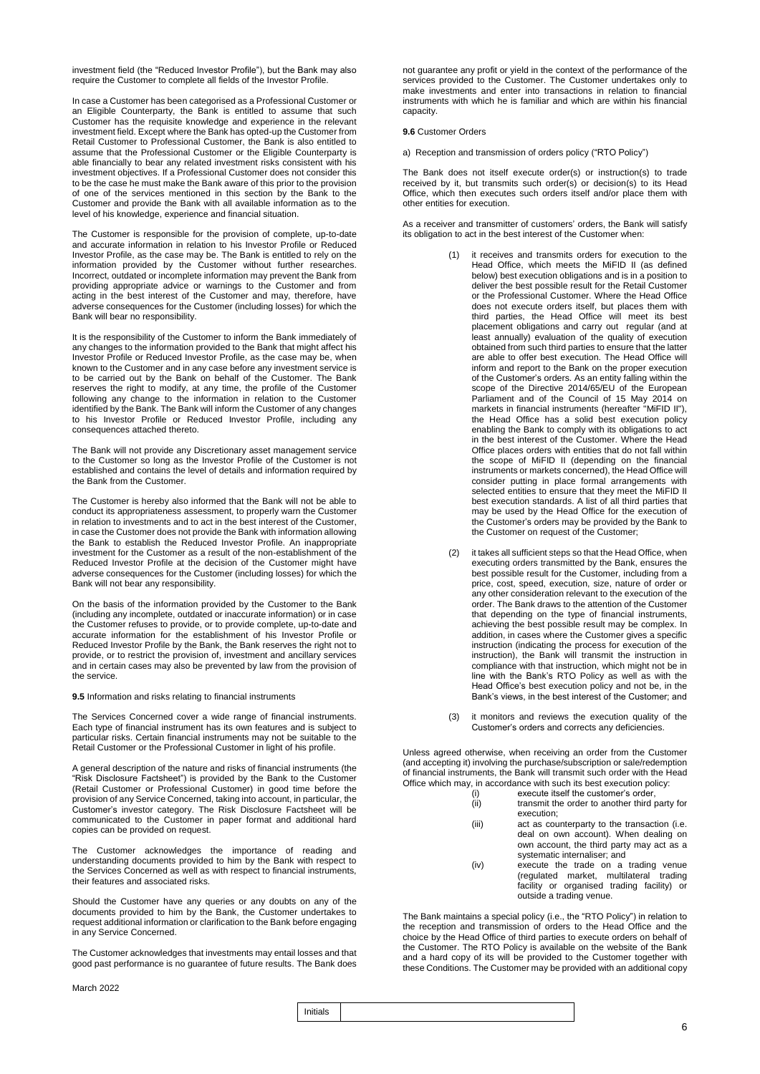investment field (the "Reduced Investor Profile"), but the Bank may also require the Customer to complete all fields of the Investor Profile.

In case a Customer has been categorised as a Professional Customer or an Eligible Counterparty, the Bank is entitled to assume that such Customer has the requisite knowledge and experience in the relevant investment field. Except where the Bank has opted-up the Customer from Retail Customer to Professional Customer, the Bank is also entitled to assume that the Professional Customer or the Eligible Counterparty is able financially to bear any related investment risks consistent with his investment objectives. If a Professional Customer does not consider this to be the case he must make the Bank aware of this prior to the provision of one of the services mentioned in this section by the Bank to the Customer and provide the Bank with all available information as to the level of his knowledge, experience and financial situation.

The Customer is responsible for the provision of complete, up-to-date and accurate information in relation to his Investor Profile or Reduced Investor Profile, as the case may be. The Bank is entitled to rely on the information provided by the Customer without further researches. Incorrect, outdated or incomplete information may prevent the Bank from providing appropriate advice or warnings to the Customer and from acting in the best interest of the Customer and may, therefore, have adverse consequences for the Customer (including losses) for which the Bank will bear no responsibility.

It is the responsibility of the Customer to inform the Bank immediately of any changes to the information provided to the Bank that might affect his Investor Profile or Reduced Investor Profile, as the case may be, when known to the Customer and in any case before any investment service is to be carried out by the Bank on behalf of the Customer. The Bank reserves the right to modify, at any time, the profile of the Customer following any change to the information in relation to the Customer identified by the Bank. The Bank will inform the Customer of any changes to his Investor Profile or Reduced Investor Profile, including any consequences attached thereto.

The Bank will not provide any Discretionary asset management service to the Customer so long as the Investor Profile of the Customer is not established and contains the level of details and information required by the Bank from the Customer.

The Customer is hereby also informed that the Bank will not be able to conduct its appropriateness assessment, to properly warn the Customer in relation to investments and to act in the best interest of the Customer, in case the Customer does not provide the Bank with information allowing the Bank to establish the Reduced Investor Profile. An inappropriate investment for the Customer as a result of the non-establishment of the Reduced Investor Profile at the decision of the Customer might have adverse consequences for the Customer (including losses) for which the Bank will not bear any responsibility.

On the basis of the information provided by the Customer to the Bank (including any incomplete, outdated or inaccurate information) or in case the Customer refuses to provide, or to provide complete, up-to-date and accurate information for the establishment of his Investor Profile or Reduced Investor Profile by the Bank, the Bank reserves the right not to provide, or to restrict the provision of, investment and ancillary services and in certain cases may also be prevented by law from the provision of the service.

**9.5** Information and risks relating to financial instruments

The Services Concerned cover a wide range of financial instruments. Each type of financial instrument has its own features and is subject to particular risks. Certain financial instruments may not be suitable to the Retail Customer or the Professional Customer in light of his profile.

A general description of the nature and risks of financial instruments (the "Risk Disclosure Factsheet") is provided by the Bank to the Customer (Retail Customer or Professional Customer) in good time before the provision of any Service Concerned, taking into account, in particular, the Customer's investor category. The Risk Disclosure Factsheet will be communicated to the Customer in paper format and additional hard copies can be provided on request.

The Customer acknowledges the importance of reading and understanding documents provided to him by the Bank with respect to the Services Concerned as well as with respect to financial instruments, their features and associated risks.

Should the Customer have any queries or any doubts on any of the documents provided to him by the Bank, the Customer undertakes to request additional information or clarification to the Bank before engaging in any Service Concerned.

The Customer acknowledges that investments may entail losses and that good past performance is no guarantee of future results. The Bank does

March 2022

not guarantee any profit or yield in the context of the performance of the services provided to the Customer. The Customer undertakes only to make investments and enter into transactions in relation to financial instruments with which he is familiar and which are within his financial capacity.

### **9.6** Customer Orders

a) Reception and transmission of orders policy ("RTO Policy")

The Bank does not itself execute order(s) or instruction(s) to trade received by it, but transmits such order(s) or decision(s) to its Head Office, which then executes such orders itself and/or place them with other entities for execution.

As a receiver and transmitter of customers' orders, the Bank will satisfy its obligation to act in the best interest of the Customer when:

- it receives and transmits orders for execution to the Head Office, which meets the MiFID II (as defined below) best execution obligations and is in a position to deliver the best possible result for the Retail Customer or the Professional Customer. Where the Head Office does not execute orders itself, but places them with third parties, the Head Office will meet its best placement obligations and carry out regular (and at least annually) evaluation of the quality of execution obtained from such third parties to ensure that the latter are able to offer best execution. The Head Office will inform and report to the Bank on the proper execution of the Customer's orders. As an entity falling within the scope of the Directive 2014/65/EU of the European Parliament and of the Council of 15 May 2014 on markets in financial instruments (hereafter "MiFID II"), the Head Office has a solid best execution policy enabling the Bank to comply with its obligations to act in the best interest of the Customer. Where the Head Office places orders with entities that do not fall within the scope of MiFID II (depending on the financial instruments or markets concerned), the Head Office will consider putting in place formal arrangements with selected entities to ensure that they meet the MiFID II best execution standards. A list of all third parties that may be used by the Head Office for the execution of the Customer's orders may be provided by the Bank to the Customer on request of the Customer;
- (2) it takes all sufficient steps so that the Head Office, when executing orders transmitted by the Bank, ensures the best possible result for the Customer, including from a price, cost, speed, execution, size, nature of order or any other consideration relevant to the execution of the order. The Bank draws to the attention of the Customer that depending on the type of financial instruments, achieving the best possible result may be complex. In addition, in cases where the Customer gives a specific instruction (indicating the process for execution of the instruction), the Bank will transmit the instruction in compliance with that instruction, which might not be in line with the Bank's RTO Policy as well as with the Head Office's best execution policy and not be, in the Bank's views, in the best interest of the Customer; and
- (3) it monitors and reviews the execution quality of the Customer's orders and corrects any deficiencies.

Unless agreed otherwise, when receiving an order from the Customer (and accepting it) involving the purchase/subscription or sale/redemption of financial instruments, the Bank will transmit such order with the Head Office which may, in accordance with such its best execution policy:

- (i) execute itself the customer's order,
- (ii) transmit the order to another third party for execution;
- (iii) act as counterparty to the transaction (i.e. deal on own account). When dealing on own account, the third party may act as a systematic internaliser; and
- (iv) execute the trade on a trading venue (regulated market, multilateral trading facility or organised trading facility) or outside a trading venue.

The Bank maintains a special policy (i.e., the "RTO Policy") in relation to the reception and transmission of orders to the Head Office and the choice by the Head Office of third parties to execute orders on behalf of the Customer. The RTO Policy is available on the website of the Bank and a hard copy of its will be provided to the Customer together with these Conditions. The Customer may be provided with an additional copy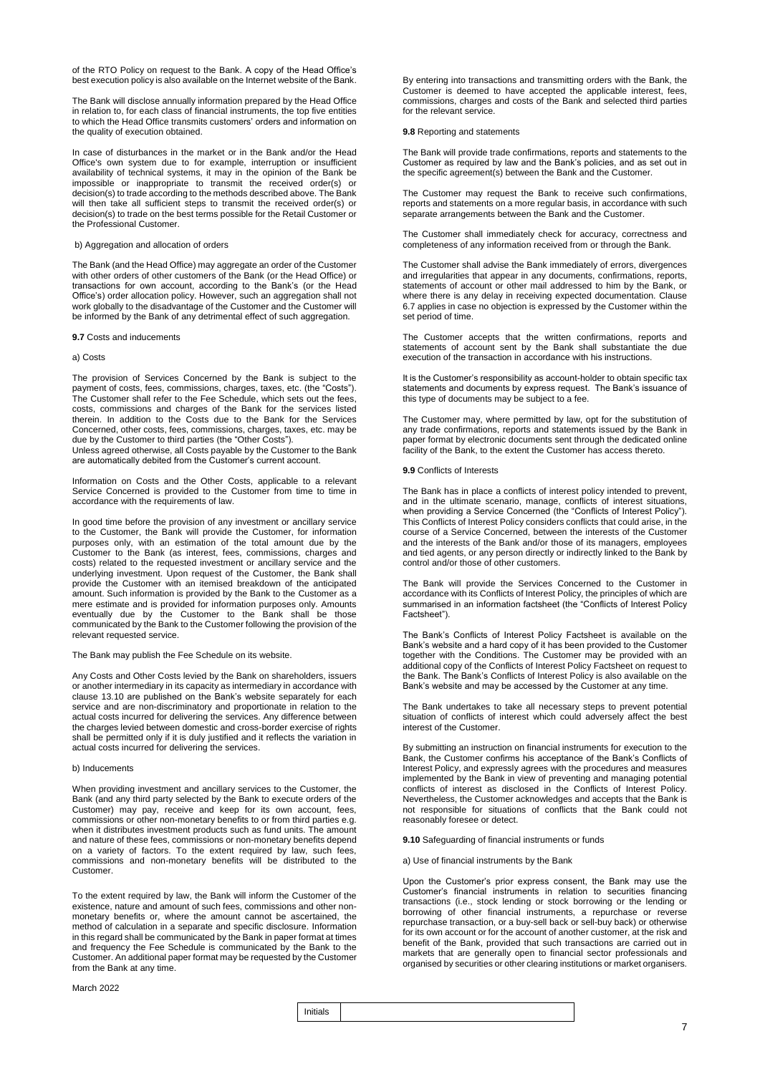of the RTO Policy on request to the Bank. A copy of the Head Office's best execution policy is also available on the Internet website of the Bank.

The Bank will disclose annually information prepared by the Head Office in relation to, for each class of financial instruments, the top five entities to which the Head Office transmits customers' orders and information on the quality of execution obtained.

In case of disturbances in the market or in the Bank and/or the Head Office's own system due to for example, interruption or insufficient availability of technical systems, it may in the opinion of the Bank be impossible or inappropriate to transmit the received order(s) or decision(s) to trade according to the methods described above. The Bank will then take all sufficient steps to transmit the received order(s) or decision(s) to trade on the best terms possible for the Retail Customer or the Professional Customer.

b) Aggregation and allocation of orders

The Bank (and the Head Office) may aggregate an order of the Customer with other orders of other customers of the Bank (or the Head Office) or transactions for own account, according to the Bank's (or the Head Office's) order allocation policy. However, such an aggregation shall not work globally to the disadvantage of the Customer and the Customer will be informed by the Bank of any detrimental effect of such aggregation.

### **9.7** Costs and inducements

### a) Costs

The provision of Services Concerned by the Bank is subject to the payment of costs, fees, commissions, charges, taxes, etc. (the "Costs"). The Customer shall refer to the Fee Schedule, which sets out the fees, costs, commissions and charges of the Bank for the services listed therein. In addition to the Costs due to the Bank for the Services Concerned, other costs, fees, commissions, charges, taxes, etc. may be due by the Customer to third parties (the "Other Costs").

Unless agreed otherwise, all Costs payable by the Customer to the Bank are automatically debited from the Customer's current account.

Information on Costs and the Other Costs, applicable to a relevant Service Concerned is provided to the Customer from time to time in accordance with the requirements of law.

In good time before the provision of any investment or ancillary service to the Customer, the Bank will provide the Customer, for information purposes only, with an estimation of the total amount due by the Customer to the Bank (as interest, fees, commissions, charges and costs) related to the requested investment or ancillary service and the underlying investment. Upon request of the Customer, the Bank shall provide the Customer with an itemised breakdown of the anticipated amount. Such information is provided by the Bank to the Customer as a mere estimate and is provided for information purposes only. Amounts eventually due by the Customer to the Bank shall be those communicated by the Bank to the Customer following the provision of the relevant requested service.

The Bank may publish the Fee Schedule on its website.

Any Costs and Other Costs levied by the Bank on shareholders, issuers or another intermediary in its capacity as intermediary in accordance with clause 13.10 are published on the Bank's website separately for each service and are non-discriminatory and proportionate in relation to the actual costs incurred for delivering the services. Any difference between the charges levied between domestic and cross-border exercise of rights shall be permitted only if it is duly justified and it reflects the variation in actual costs incurred for delivering the services.

### b) Inducements

When providing investment and ancillary services to the Customer, the Bank (and any third party selected by the Bank to execute orders of the Customer) may pay, receive and keep for its own account, fees, commissions or other non-monetary benefits to or from third parties e.g. when it distributes investment products such as fund units. The amount and nature of these fees, commissions or non-monetary benefits depend on a variety of factors. To the extent required by law, such fees, commissions and non-monetary benefits will be distributed to the Customer.

To the extent required by law, the Bank will inform the Customer of the existence, nature and amount of such fees, commissions and other nonmonetary benefits or, where the amount cannot be ascertained, the method of calculation in a separate and specific disclosure. Information in this regard shall be communicated by the Bank in paper format at times and frequency the Fee Schedule is communicated by the Bank to the Customer. An additional paper format may be requested by the Customer from the Bank at any time.

March 2022

By entering into transactions and transmitting orders with the Bank, the Customer is deemed to have accepted the applicable interest, fees, commissions, charges and costs of the Bank and selected third parties for the relevant service.

### **9.8** Reporting and statements

The Bank will provide trade confirmations, reports and statements to the Customer as required by law and the Bank's policies, and as set out in the specific agreement(s) between the Bank and the Customer.

The Customer may request the Bank to receive such confirmations, reports and statements on a more regular basis, in accordance with such separate arrangements between the Bank and the Customer.

The Customer shall immediately check for accuracy, correctness and completeness of any information received from or through the Bank.

The Customer shall advise the Bank immediately of errors, divergences and irregularities that appear in any documents, confirmations, reports, statements of account or other mail addressed to him by the Bank, or where there is any delay in receiving expected documentation. Clause 6.7 applies in case no objection is expressed by the Customer within the set period of time.

The Customer accepts that the written confirmations, reports and statements of account sent by the Bank shall substantiate the due execution of the transaction in accordance with his instructions.

It is the Customer's responsibility as account-holder to obtain specific tax statements and documents by express request. The Bank's issuance of this type of documents may be subject to a fee.

The Customer may, where permitted by law, opt for the substitution of any trade confirmations, reports and statements issued by the Bank in paper format by electronic documents sent through the dedicated online facility of the Bank, to the extent the Customer has access thereto.

### **9.9** Conflicts of Interests

The Bank has in place a conflicts of interest policy intended to prevent, and in the ultimate scenario, manage, conflicts of interest situations, when providing a Service Concerned (the "Conflicts of Interest Policy"). This Conflicts of Interest Policy considers conflicts that could arise, in the course of a Service Concerned, between the interests of the Customer and the interests of the Bank and/or those of its managers, employees and tied agents, or any person directly or indirectly linked to the Bank by control and/or those of other customers.

The Bank will provide the Services Concerned to the Customer in accordance with its Conflicts of Interest Policy, the principles of which are summarised in an information factsheet (the "Conflicts of Interest Policy Factsheet").

The Bank's Conflicts of Interest Policy Factsheet is available on the Bank's website and a hard copy of it has been provided to the Customer together with the Conditions. The Customer may be provided with an additional copy of the Conflicts of Interest Policy Factsheet on request to the Bank. The Bank's Conflicts of Interest Policy is also available on the Bank's website and may be accessed by the Customer at any time.

The Bank undertakes to take all necessary steps to prevent potential situation of conflicts of interest which could adversely affect the best interest of the Customer.

By submitting an instruction on financial instruments for execution to the Bank, the Customer confirms his acceptance of the Bank's Conflicts of Interest Policy, and expressly agrees with the procedures and measures implemented by the Bank in view of preventing and managing potential conflicts of interest as disclosed in the Conflicts of Interest Policy. Nevertheless, the Customer acknowledges and accepts that the Bank is not responsible for situations of conflicts that the Bank could not reasonably foresee or detect.

**9.10** Safeguarding of financial instruments or funds

a) Use of financial instruments by the Bank

Upon the Customer's prior express consent, the Bank may use the Customer's financial instruments in relation to securities financing transactions (i.e., stock lending or stock borrowing or the lending or borrowing of other financial instruments, a repurchase or reverse repurchase transaction, or a buy-sell back or sell-buy back) or otherwise for its own account or for the account of another customer, at the risk and benefit of the Bank, provided that such transactions are carried out in markets that are generally open to financial sector professionals and organised by securities or other clearing institutions or market organisers.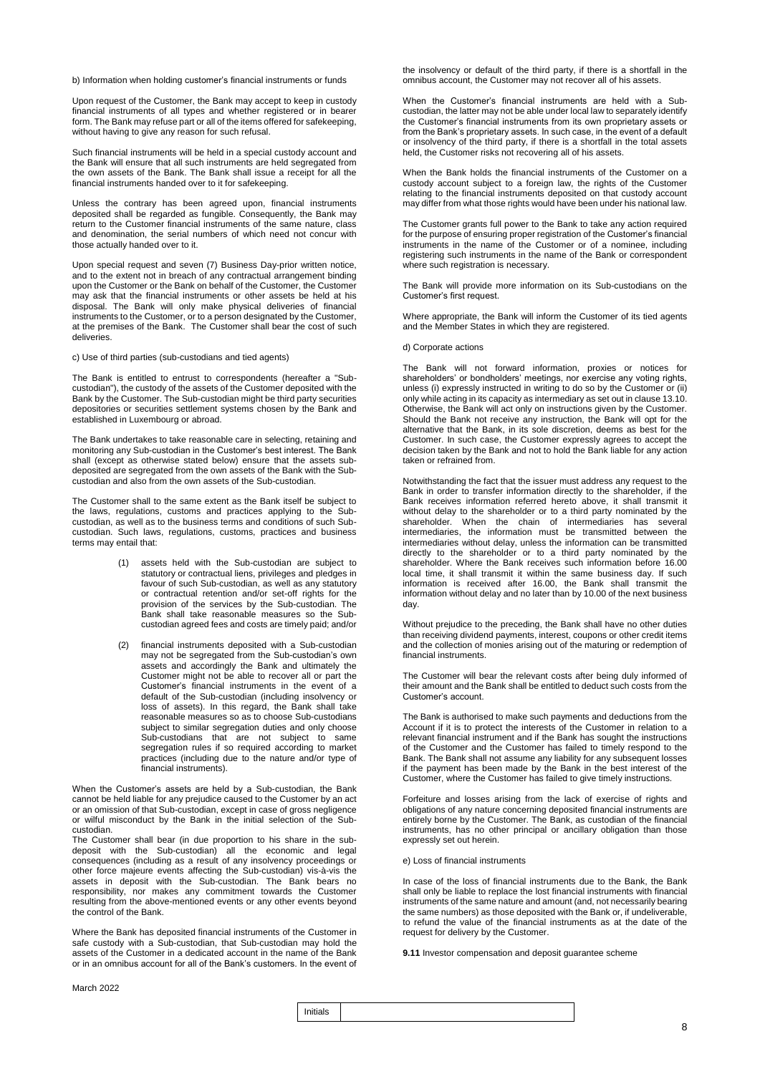b) Information when holding customer's financial instruments or funds

Upon request of the Customer, the Bank may accept to keep in custody financial instruments of all types and whether registered or in bearer form. The Bank may refuse part or all of the items offered for safekeeping, without having to give any reason for such refusal.

Such financial instruments will be held in a special custody account and the Bank will ensure that all such instruments are held segregated from the own assets of the Bank. The Bank shall issue a receipt for all the financial instruments handed over to it for safekeeping.

Unless the contrary has been agreed upon, financial instruments deposited shall be regarded as fungible. Consequently, the Bank may return to the Customer financial instruments of the same nature, class and denomination, the serial numbers of which need not concur with those actually handed over to it.

Upon special request and seven (7) Business Day-prior written notice, and to the extent not in breach of any contractual arrangement binding upon the Customer or the Bank on behalf of the Customer, the Customer may ask that the financial instruments or other assets be held at his disposal. The Bank will only make physical deliveries of financial instruments to the Customer, or to a person designated by the Customer, at the premises of the Bank. The Customer shall bear the cost of such deliveries.

c) Use of third parties (sub-custodians and tied agents)

The Bank is entitled to entrust to correspondents (hereafter a "Subcustodian"), the custody of the assets of the Customer deposited with the Bank by the Customer. The Sub-custodian might be third party securities depositories or securities settlement systems chosen by the Bank and established in Luxembourg or abroad.

The Bank undertakes to take reasonable care in selecting, retaining and monitoring any Sub-custodian in the Customer's best interest. The Bank shall (except as otherwise stated below) ensure that the assets subdeposited are segregated from the own assets of the Bank with the Subcustodian and also from the own assets of the Sub-custodian.

The Customer shall to the same extent as the Bank itself be subject to the laws, regulations, customs and practices applying to the Subcustodian, as well as to the business terms and conditions of such Subcustodian. Such laws, regulations, customs, practices and business terms may entail that:

- (1) assets held with the Sub-custodian are subject to statutory or contractual liens, privileges and pledges in favour of such Sub-custodian, as well as any statutory or contractual retention and/or set-off rights for the provision of the services by the Sub-custodian. The Bank shall take reasonable measures so the Subcustodian agreed fees and costs are timely paid; and/or
- (2) financial instruments deposited with a Sub-custodian may not be segregated from the Sub-custodian's own assets and accordingly the Bank and ultimately the Customer might not be able to recover all or part the Customer's financial instruments in the event of a default of the Sub-custodian (including insolvency or loss of assets). In this regard, the Bank shall take reasonable measures so as to choose Sub-custodians subject to similar segregation duties and only choose Sub-custodians that are not subject to same segregation rules if so required according to market practices (including due to the nature and/or type of financial instruments).

When the Customer's assets are held by a Sub-custodian, the Bank cannot be held liable for any prejudice caused to the Customer by an act or an omission of that Sub-custodian, except in case of gross negligence or wilful misconduct by the Bank in the initial selection of the Subcustodian.

The Customer shall bear (in due proportion to his share in the subdeposit with the Sub-custodian) all the economic and legal consequences (including as a result of any insolvency proceedings or other force majeure events affecting the Sub-custodian) vis-à-vis the assets in deposit with the Sub-custodian. The Bank bears no responsibility, nor makes any commitment towards the Customer resulting from the above-mentioned events or any other events beyond the control of the Bank.

Where the Bank has deposited financial instruments of the Customer in safe custody with a Sub-custodian, that Sub-custodian may hold the assets of the Customer in a dedicated account in the name of the Bank or in an omnibus account for all of the Bank's customers. In the event of

the insolvency or default of the third party, if there is a shortfall in the omnibus account, the Customer may not recover all of his assets.

When the Customer's financial instruments are held with a Subcustodian, the latter may not be able under local law to separately identify the Customer's financial instruments from its own proprietary assets or from the Bank's proprietary assets. In such case, in the event of a default or insolvency of the third party, if there is a shortfall in the total assets held, the Customer risks not recovering all of his assets.

When the Bank holds the financial instruments of the Customer on a custody account subject to a foreign law, the rights of the Customer relating to the financial instruments deposited on that custody account may differ from what those rights would have been under his national law.

The Customer grants full power to the Bank to take any action required for the purpose of ensuring proper registration of the Customer's financial instruments in the name of the Customer or of a nominee, including registering such instruments in the name of the Bank or correspondent where such registration is necessary.

The Bank will provide more information on its Sub-custodians on the Customer's first request.

Where appropriate, the Bank will inform the Customer of its tied agents and the Member States in which they are registered.

### d) Corporate actions

The Bank will not forward information, proxies or notices for shareholders' or bondholders' meetings, nor exercise any voting rights, unless (i) expressly instructed in writing to do so by the Customer or (ii) only while acting in its capacity as intermediary as set out in clause 13.10. Otherwise, the Bank will act only on instructions given by the Customer. Should the Bank not receive any instruction, the Bank will opt for the alternative that the Bank, in its sole discretion, deems as best for the Customer. In such case, the Customer expressly agrees to accept the decision taken by the Bank and not to hold the Bank liable for any action taken or refrained from.

Notwithstanding the fact that the issuer must address any request to the Bank in order to transfer information directly to the shareholder, if the Bank receives information referred hereto above, it shall transmit it without delay to the shareholder or to a third party nominated by the shareholder. When the chain of intermediaries has several intermediaries, the information must be transmitted between the intermediaries without delay, unless the information can be transmitted directly to the shareholder or to a third party nominated by the shareholder. Where the Bank receives such information before 16.00 local time, it shall transmit it within the same business day. If such information is received after 16.00, the Bank shall transmit the information without delay and no later than by 10.00 of the next business day.

Without prejudice to the preceding, the Bank shall have no other duties than receiving dividend payments, interest, coupons or other credit items and the collection of monies arising out of the maturing or redemption of financial instruments.

The Customer will bear the relevant costs after being duly informed of their amount and the Bank shall be entitled to deduct such costs from the Customer's account.

The Bank is authorised to make such payments and deductions from the Account if it is to protect the interests of the Customer in relation to a relevant financial instrument and if the Bank has sought the instructions of the Customer and the Customer has failed to timely respond to the Bank. The Bank shall not assume any liability for any subsequent losses if the payment has been made by the Bank in the best interest of the Customer, where the Customer has failed to give timely instructions.

Forfeiture and losses arising from the lack of exercise of rights and obligations of any nature concerning deposited financial instruments are entirely borne by the Customer. The Bank, as custodian of the financial instruments, has no other principal or ancillary obligation than those expressly set out herein.

#### e) Loss of financial instruments

In case of the loss of financial instruments due to the Bank, the Bank shall only be liable to replace the lost financial instruments with financial instruments of the same nature and amount (and, not necessarily bearing the same numbers) as those deposited with the Bank or, if undeliverable, to refund the value of the financial instruments as at the date of the request for delivery by the Customer.

**9.11** Investor compensation and deposit guarantee scheme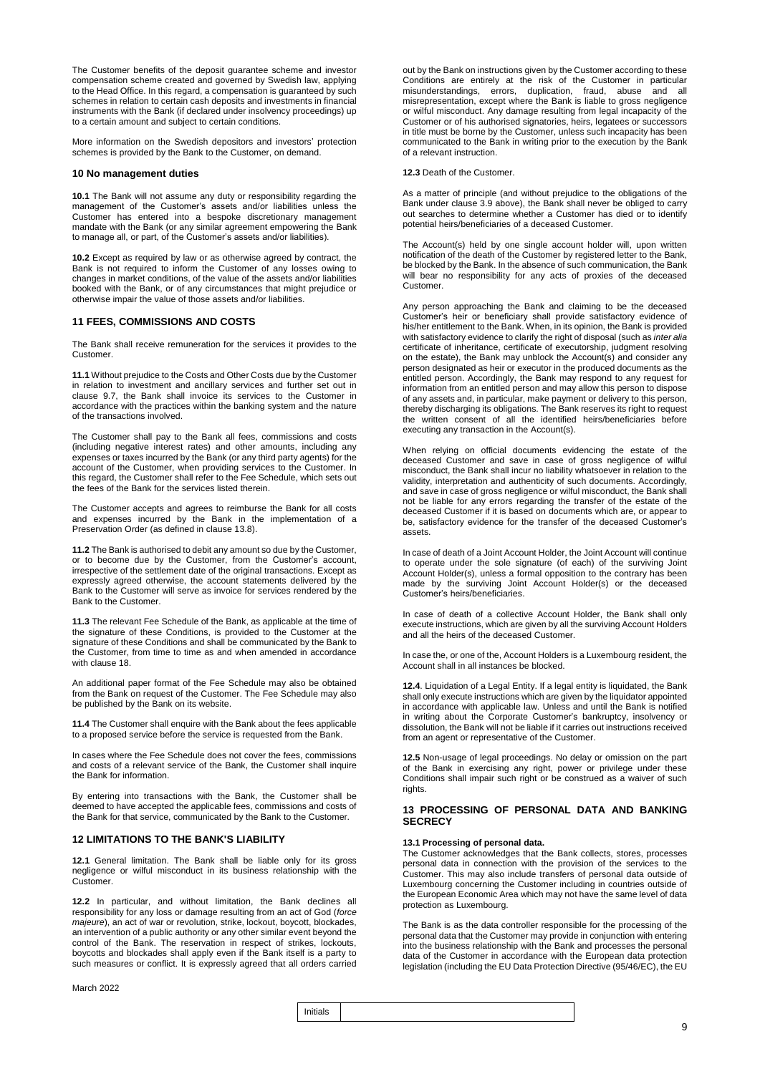The Customer benefits of the deposit guarantee scheme and investor compensation scheme created and governed by Swedish law, applying to the Head Office. In this regard, a compensation is guaranteed by such schemes in relation to certain cash deposits and investments in financial instruments with the Bank (if declared under insolvency proceedings) up to a certain amount and subject to certain conditions.

More information on the Swedish depositors and investors' protection schemes is provided by the Bank to the Customer, on demand.

### **10 No management duties**

**10.1** The Bank will not assume any duty or responsibility regarding the management of the Customer's assets and/or liabilities unless the Customer has entered into a bespoke discretionary management mandate with the Bank (or any similar agreement empowering the Bank to manage all, or part, of the Customer's assets and/or liabilities).

**10.2** Except as required by law or as otherwise agreed by contract, the Bank is not required to inform the Customer of any losses owing to changes in market conditions, of the value of the assets and/or liabilities booked with the Bank, or of any circumstances that might prejudice or otherwise impair the value of those assets and/or liabilities.

### **11 FEES, COMMISSIONS AND COSTS**

The Bank shall receive remuneration for the services it provides to the Customer.

**11.1** Without prejudice to the Costs and Other Costs due by the Customer in relation to investment and ancillary services and further set out in clause 9.7, the Bank shall invoice its services to the Customer in accordance with the practices within the banking system and the nature of the transactions involved.

The Customer shall pay to the Bank all fees, commissions and costs (including negative interest rates) and other amounts, including any expenses or taxes incurred by the Bank (or any third party agents) for the account of the Customer, when providing services to the Customer. In this regard, the Customer shall refer to the Fee Schedule, which sets out the fees of the Bank for the services listed therein.

The Customer accepts and agrees to reimburse the Bank for all costs and expenses incurred by the Bank in the implementation of a Preservation Order (as defined in clause 13.8).

**11.2** The Bank is authorised to debit any amount so due by the Customer, or to become due by the Customer, from the Customer's account, irrespective of the settlement date of the original transactions. Except as expressly agreed otherwise, the account statements delivered by the Bank to the Customer will serve as invoice for services rendered by the Bank to the Customer.

**11.3** The relevant Fee Schedule of the Bank, as applicable at the time of the signature of these Conditions, is provided to the Customer at the signature of these Conditions and shall be communicated by the Bank to the Customer, from time to time as and when amended in accordance with clause 18.

An additional paper format of the Fee Schedule may also be obtained from the Bank on request of the Customer. The Fee Schedule may also be published by the Bank on its website.

**11.4** The Customer shall enquire with the Bank about the fees applicable to a proposed service before the service is requested from the Bank.

In cases where the Fee Schedule does not cover the fees, commissions and costs of a relevant service of the Bank, the Customer shall inquire the Bank for information.

By entering into transactions with the Bank, the Customer shall be deemed to have accepted the applicable fees, commissions and costs of the Bank for that service, communicated by the Bank to the Customer.

### **12 LIMITATIONS TO THE BANK'S LIABILITY**

**12.1** General limitation. The Bank shall be liable only for its gross negligence or wilful misconduct in its business relationship with the Customer.

**12.2** In particular, and without limitation, the Bank declines all responsibility for any loss or damage resulting from an act of God (*force majeure*), an act of war or revolution, strike, lockout, boycott, blockades, an intervention of a public authority or any other similar event beyond the control of the Bank. The reservation in respect of strikes, lockouts, boycotts and blockades shall apply even if the Bank itself is a party to such measures or conflict. It is expressly agreed that all orders carried

out by the Bank on instructions given by the Customer according to these Conditions are entirely at the risk of the Customer in particular misunderstandings, errors, duplication, fraud, abuse and all misrepresentation, except where the Bank is liable to gross negligence or wilful misconduct. Any damage resulting from legal incapacity of the Customer or of his authorised signatories, heirs, legatees or successors in title must be borne by the Customer, unless such incapacity has been communicated to the Bank in writing prior to the execution by the Bank of a relevant instruction.

### **12.3** Death of the Customer.

As a matter of principle (and without prejudice to the obligations of the Bank under clause 3.9 above), the Bank shall never be obliged to carry out searches to determine whether a Customer has died or to identify potential heirs/beneficiaries of a deceased Customer.

The Account(s) held by one single account holder will, upon written notification of the death of the Customer by registered letter to the Bank, be blocked by the Bank. In the absence of such communication, the Bank will bear no responsibility for any acts of proxies of the deceased Customer.

Any person approaching the Bank and claiming to be the deceased Customer's heir or beneficiary shall provide satisfactory evidence of his/her entitlement to the Bank. When, in its opinion, the Bank is provided with satisfactory evidence to clarify the right of disposal (such as *inter alia* certificate of inheritance, certificate of executorship, judgment resolving on the estate), the Bank may unblock the Account(s) and consider any person designated as heir or executor in the produced documents as the entitled person. Accordingly, the Bank may respond to any request for information from an entitled person and may allow this person to dispose of any assets and, in particular, make payment or delivery to this person, thereby discharging its obligations. The Bank reserves its right to request the written consent of all the identified heirs/beneficiaries before executing any transaction in the Account(s).

When relying on official documents evidencing the estate of the deceased Customer and save in case of gross negligence of wilful misconduct, the Bank shall incur no liability whatsoever in relation to the validity, interpretation and authenticity of such documents. Accordingly, and save in case of gross negligence or wilful misconduct, the Bank shall not be liable for any errors regarding the transfer of the estate of the deceased Customer if it is based on documents which are, or appear to be, satisfactory evidence for the transfer of the deceased Customer's assets.

In case of death of a Joint Account Holder, the Joint Account will continue to operate under the sole signature (of each) of the surviving Joint Account Holder(s), unless a formal opposition to the contrary has been made by the surviving Joint Account Holder(s) or the deceased Customer's heirs/beneficiaries.

In case of death of a collective Account Holder, the Bank shall only execute instructions, which are given by all the surviving Account Holders and all the heirs of the deceased Customer.

In case the, or one of the, Account Holders is a Luxembourg resident, the Account shall in all instances be blocked.

**12.4**. Liquidation of a Legal Entity. If a legal entity is liquidated, the Bank shall only execute instructions which are given by the liquidator appointed in accordance with applicable law. Unless and until the Bank is notified in writing about the Corporate Customer's bankruptcy, insolvency or dissolution, the Bank will not be liable if it carries out instructions received from an agent or representative of the Customer.

**12.5** Non-usage of legal proceedings. No delay or omission on the part of the Bank in exercising any right, power or privilege under these Conditions shall impair such right or be construed as a waiver of such rights.

### **13 PROCESSING OF PERSONAL DATA AND BANKING SECRECY**

### **13.1 Processing of personal data.**

The Customer acknowledges that the Bank collects, stores, processes personal data in connection with the provision of the services to the Customer. This may also include transfers of personal data outside of Luxembourg concerning the Customer including in countries outside of the European Economic Area which may not have the same level of data protection as Luxembourg.

The Bank is as the data controller responsible for the processing of the personal data that the Customer may provide in conjunction with entering into the business relationship with the Bank and processes the personal data of the Customer in accordance with the European data protection legislation (including the EU Data Protection Directive (95/46/EC), the EU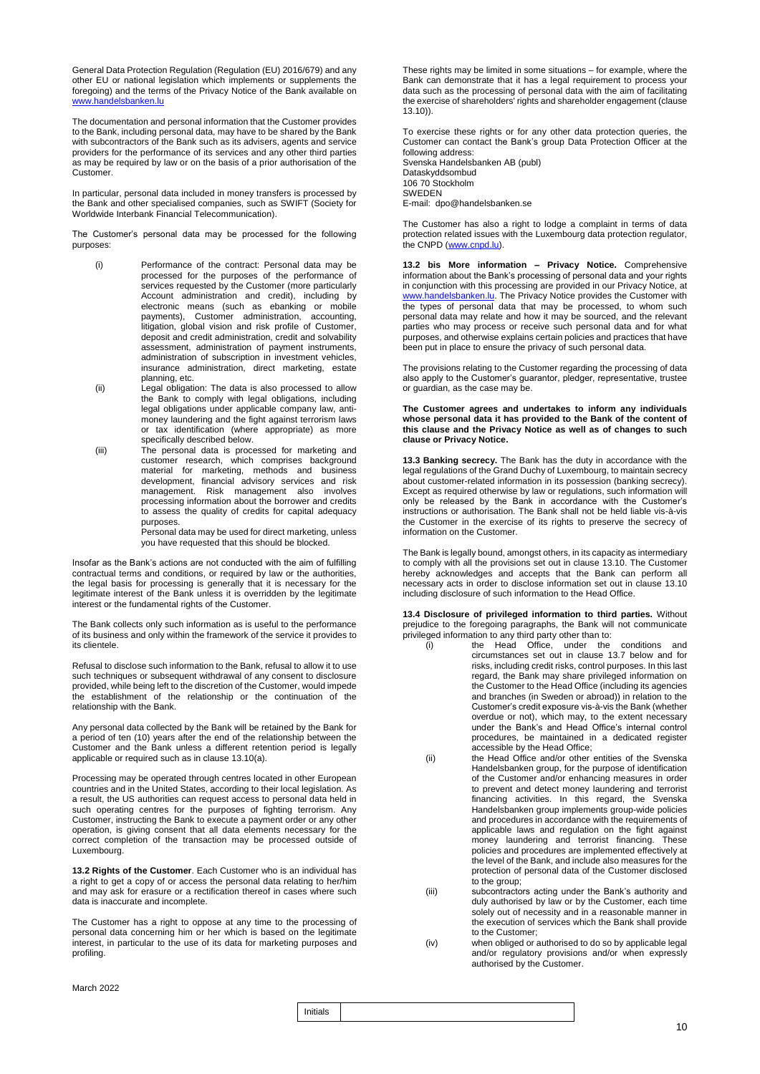General Data Protection Regulation (Regulation (EU) 2016/679) and any other EU or national legislation which implements or supplements the foregoing) and the terms of the Privacy Notice of the Bank available on sbanken.lu

The documentation and personal information that the Customer provides to the Bank, including personal data, may have to be shared by the Bank with subcontractors of the Bank such as its advisers, agents and service providers for the performance of its services and any other third parties as may be required by law or on the basis of a prior authorisation of the Customer.

In particular, personal data included in money transfers is processed by the Bank and other specialised companies, such as SWIFT (Society for Worldwide Interbank Financial Telecommunication).

The Customer's personal data may be processed for the following purposes:

- (i) Performance of the contract: Personal data may be processed for the purposes of the performance of services requested by the Customer (more particularly Account administration and credit), including by electronic means (such as ebanking or mobile payments), Customer administration, accounting, litigation, global vision and risk profile of Customer, deposit and credit administration, credit and solvability assessment, administration of payment instruments, administration of subscription in investment vehicles, insurance administration, direct marketing, estate planning, etc.
- (ii) Legal obligation: The data is also processed to allow the Bank to comply with legal obligations, including legal obligations under applicable company law, antimoney laundering and the fight against terrorism laws or tax identification (where appropriate) as more specifically described below.
- (iii) The personal data is processed for marketing and customer research, which comprises background material for marketing, methods and business development, financial advisory services and risk management. Risk management also involves processing information about the borrower and credits to assess the quality of credits for capital adequacy purposes.

Personal data may be used for direct marketing, unless you have requested that this should be blocked.

Insofar as the Bank's actions are not conducted with the aim of fulfilling contractual terms and conditions, or required by law or the authorities, the legal basis for processing is generally that it is necessary for the legitimate interest of the Bank unless it is overridden by the legitimate interest or the fundamental rights of the Customer.

The Bank collects only such information as is useful to the performance of its business and only within the framework of the service it provides to its clientele.

Refusal to disclose such information to the Bank, refusal to allow it to use such techniques or subsequent withdrawal of any consent to disclosure provided, while being left to the discretion of the Customer, would impede the establishment of the relationship or the continuation of the relationship with the Bank.

Any personal data collected by the Bank will be retained by the Bank for a period of ten (10) years after the end of the relationship between the Customer and the Bank unless a different retention period is legally applicable or required such as in clause 13.10(a).

Processing may be operated through centres located in other European countries and in the United States, according to their local legislation. As a result, the US authorities can request access to personal data held in such operating centres for the purposes of fighting terrorism. Any Customer, instructing the Bank to execute a payment order or any other operation, is giving consent that all data elements necessary for the correct completion of the transaction may be processed outside of Luxembourg.

**13.2 Rights of the Customer**. Each Customer who is an individual has a right to get a copy of or access the personal data relating to her/him and may ask for erasure or a rectification thereof in cases where such data is inaccurate and incomplete.

The Customer has a right to oppose at any time to the processing of personal data concerning him or her which is based on the legitimate interest, in particular to the use of its data for marketing purposes and profiling.

These rights may be limited in some situations – for example, where the Bank can demonstrate that it has a legal requirement to process your data such as the processing of personal data with the aim of facilitating the exercise of shareholders' rights and shareholder engagement (clause 13.10)).

To exercise these rights or for any other data protection queries, the Customer can contact the Bank's group Data Protection Officer at the following address: Svenska Handelsbanken AB (publ) Dataskyddsombud 106 70 Stockholm

SWEDEN

E-mail: dpo@handelsbanken.se

The Customer has also a right to lodge a complaint in terms of data protection related issues with the Luxembourg data protection regulator, the CNPD [\(www.cnpd.lu\)](http://www.cnpd.lu/).

**13.2 bis More information – Privacy Notice.** Comprehensive information about the Bank's processing of personal data and your rights in conjunction with this processing are provided in our Privacy Notice, at [www.handelsbanken.lu.](http://www.handelsbanken.lu/) The Privacy Notice provides the Customer with the types of personal data that may be processed, to whom such personal data may relate and how it may be sourced, and the relevant parties who may process or receive such personal data and for what purposes, and otherwise explains certain policies and practices that have been put in place to ensure the privacy of such personal data.

The provisions relating to the Customer regarding the processing of data also apply to the Customer's guarantor, pledger, representative, trustee or guardian, as the case may be.

### **The Customer agrees and undertakes to inform any individuals whose personal data it has provided to the Bank of the content of this clause and the Privacy Notice as well as of changes to such clause or Privacy Notice.**

**13.3 Banking secrecy.** The Bank has the duty in accordance with the legal regulations of the Grand Duchy of Luxembourg, to maintain secrecy about customer-related information in its possession (banking secrecy). Except as required otherwise by law or regulations, such information will only be released by the Bank in accordance with the Customer's instructions or authorisation. The Bank shall not be held liable vis-à-vis the Customer in the exercise of its rights to preserve the secrecy of information on the Customer.

The Bank is legally bound, amongst others, in its capacity as intermediary to comply with all the provisions set out in clause 13.10. The Customer hereby acknowledges and accepts that the Bank can perform all necessary acts in order to disclose information set out in clause 13.10 including disclosure of such information to the Head Office.

**13.4 Disclosure of privileged information to third parties.** Without prejudice to the foregoing paragraphs, the Bank will not communicate privileged information to any third party other than to:

- (i) the Head Office, under the conditions and circumstances set out in clause 13.7 below and for risks, including credit risks, control purposes. In this last regard, the Bank may share privileged information on the Customer to the Head Office (including its agencies and branches (in Sweden or abroad)) in relation to the Customer's credit exposure vis-à-vis the Bank (whether overdue or not), which may, to the extent necessary under the Bank's and Head Office's internal control procedures, be maintained in a dedicated register accessible by the Head Office;
- (ii) the Head Office and/or other entities of the Svenska Handelsbanken group, for the purpose of identification of the Customer and/or enhancing measures in order to prevent and detect money laundering and terrorist financing activities. In this regard, the Svenska Handelsbanken group implements group-wide policies and procedures in accordance with the requirements of applicable laws and regulation on the fight against money laundering and terrorist financing. These policies and procedures are implemented effectively at the level of the Bank, and include also measures for the protection of personal data of the Customer disclosed to the group:
- (iii) subcontractors acting under the Bank's authority and duly authorised by law or by the Customer, each time solely out of necessity and in a reasonable manner in the execution of services which the Bank shall provide to the Customer;
- (iv) when obliged or authorised to do so by applicable legal and/or regulatory provisions and/or when expressly authorised by the Customer.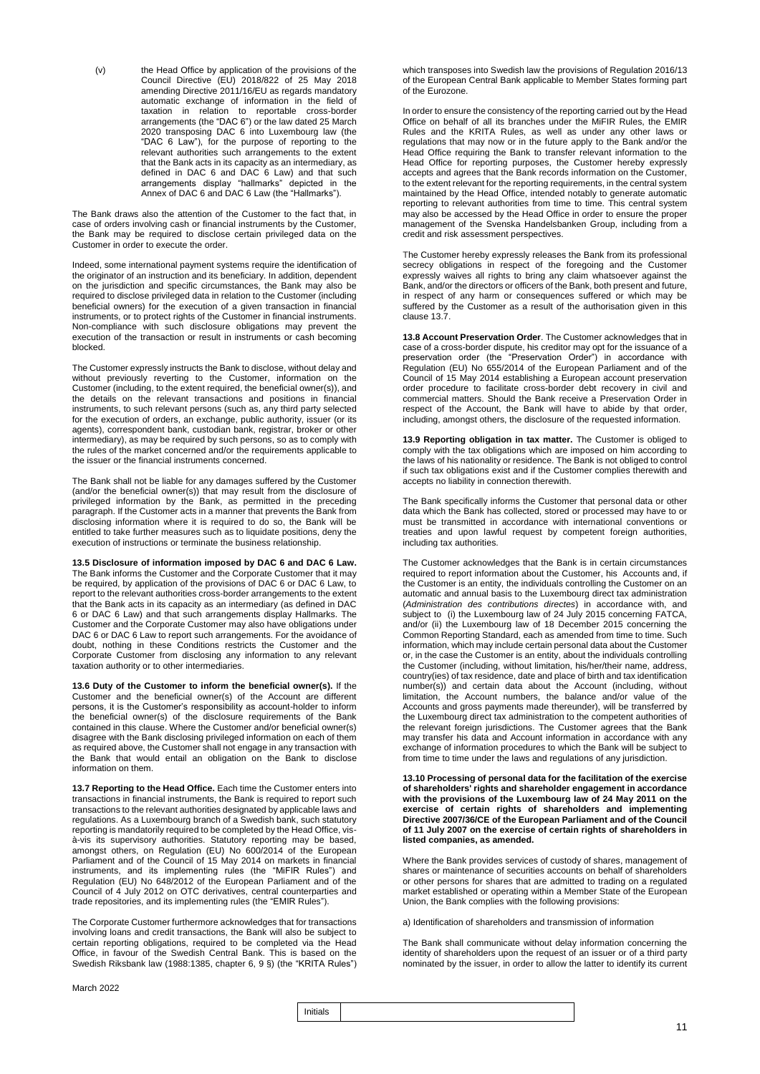(v) the Head Office by application of the provisions of the Council Directive (EU) 2018/822 of 25 May 2018 amending Directive 2011/16/EU as regards mandatory automatic exchange of information in the field of taxation in relation to reportable cross-border arrangements (the "DAC 6") or the law dated 25 March 2020 transposing DAC 6 into Luxembourg law (the "DAC 6 Law"), for the purpose of reporting to the relevant authorities such arrangements to the extent that the Bank acts in its capacity as an intermediary, as defined in DAC 6 and DAC 6 Law) and that such arrangements display "hallmarks" depicted in the Annex of DAC 6 and DAC 6 Law (the "Hallmarks").

The Bank draws also the attention of the Customer to the fact that, in case of orders involving cash or financial instruments by the Customer, the Bank may be required to disclose certain privileged data on the Customer in order to execute the order.

Indeed, some international payment systems require the identification of the originator of an instruction and its beneficiary. In addition, dependent on the jurisdiction and specific circumstances, the Bank may also be required to disclose privileged data in relation to the Customer (including beneficial owners) for the execution of a given transaction in financial instruments, or to protect rights of the Customer in financial instruments. Non-compliance with such disclosure obligations may prevent the execution of the transaction or result in instruments or cash becoming blocked.

The Customer expressly instructs the Bank to disclose, without delay and without previously reverting to the Customer, information on the Customer (including, to the extent required, the beneficial owner(s)), and the details on the relevant transactions and positions in financial instruments, to such relevant persons (such as, any third party selected for the execution of orders, an exchange, public authority, issuer (or its agents), correspondent bank, custodian bank, registrar, broker or other intermediary), as may be required by such persons, so as to comply with the rules of the market concerned and/or the requirements applicable to the issuer or the financial instruments concerned.

The Bank shall not be liable for any damages suffered by the Customer (and/or the beneficial owner(s)) that may result from the disclosure of privileged information by the Bank, as permitted in the preceding paragraph. If the Customer acts in a manner that prevents the Bank from disclosing information where it is required to do so, the Bank will be entitled to take further measures such as to liquidate positions, deny the execution of instructions or terminate the business relationship.

**13.5 Disclosure of information imposed by DAC 6 and DAC 6 Law.** The Bank informs the Customer and the Corporate Customer that it may be required, by application of the provisions of DAC 6 or DAC 6 Law, to report to the relevant authorities cross-border arrangements to the extent that the Bank acts in its capacity as an intermediary (as defined in DAC 6 or DAC 6 Law) and that such arrangements display Hallmarks. The Customer and the Corporate Customer may also have obligations under DAC 6 or DAC 6 Law to report such arrangements. For the avoidance of doubt, nothing in these Conditions restricts the Customer and the Corporate Customer from disclosing any information to any relevant taxation authority or to other intermediaries.

**13.6 Duty of the Customer to inform the beneficial owner(s).** If the Customer and the beneficial owner(s) of the Account are different persons, it is the Customer's responsibility as account-holder to inform the beneficial owner(s) of the disclosure requirements of the Bank contained in this clause. Where the Customer and/or beneficial owner(s) disagree with the Bank disclosing privileged information on each of them as required above, the Customer shall not engage in any transaction with the Bank that would entail an obligation on the Bank to disclose information on them.

**13.7 Reporting to the Head Office.** Each time the Customer enters into transactions in financial instruments, the Bank is required to report such transactions to the relevant authorities designated by applicable laws and regulations. As a Luxembourg branch of a Swedish bank, such statutory reporting is mandatorily required to be completed by the Head Office, visà-vis its supervisory authorities. Statutory reporting may be based, amongst others, on Regulation (EU) No 600/2014 of the European Parliament and of the Council of 15 May 2014 on markets in financial instruments, and its implementing rules (the "MiFIR Rules") and Regulation (EU) No 648/2012 of the European Parliament and of the Council of 4 July 2012 on OTC derivatives, central counterparties and trade repositories, and its implementing rules (the "EMIR Rules").

The Corporate Customer furthermore acknowledges that for transactions involving loans and credit transactions, the Bank will also be subject to certain reporting obligations, required to be completed via the Head Office, in favour of the Swedish Central Bank. This is based on the Swedish Riksbank law (1988:1385, chapter 6, 9 §) (the "KRITA Rules")

which transposes into Swedish law the provisions of Regulation 2016/13 of the European Central Bank applicable to Member States forming part of the Eurozone.

In order to ensure the consistency of the reporting carried out by the Head Office on behalf of all its branches under the MiFIR Rules, the EMIR Rules and the KRITA Rules, as well as under any other laws or regulations that may now or in the future apply to the Bank and/or the Head Office requiring the Bank to transfer relevant information to the Head Office for reporting purposes, the Customer hereby expressly accepts and agrees that the Bank records information on the Customer, to the extent relevant for the reporting requirements, in the central system maintained by the Head Office, intended notably to generate automatic reporting to relevant authorities from time to time. This central system may also be accessed by the Head Office in order to ensure the proper management of the Svenska Handelsbanken Group, including from a credit and risk assessment perspectives.

The Customer hereby expressly releases the Bank from its professional secrecy obligations in respect of the foregoing and the Customer expressly waives all rights to bring any claim whatsoever against the Bank, and/or the directors or officers of the Bank, both present and future, in respect of any harm or consequences suffered or which may be suffered by the Customer as a result of the authorisation given in this clause 13.7.

**13.8 Account Preservation Order**. The Customer acknowledges that in case of a cross-border dispute, his creditor may opt for the issuance of a preservation order (the "Preservation Order") in accordance with Regulation (EU) No 655/2014 of the European Parliament and of the Council of 15 May 2014 establishing a European account preservation order procedure to facilitate cross-border debt recovery in civil and commercial matters. Should the Bank receive a Preservation Order in respect of the Account, the Bank will have to abide by that order, including, amongst others, the disclosure of the requested information.

**13.9 Reporting obligation in tax matter.** The Customer is obliged to comply with the tax obligations which are imposed on him according to the laws of his nationality or residence. The Bank is not obliged to control if such tax obligations exist and if the Customer complies therewith and accepts no liability in connection therewith.

The Bank specifically informs the Customer that personal data or other data which the Bank has collected, stored or processed may have to or must be transmitted in accordance with international conventions or treaties and upon lawful request by competent foreign authorities, including tax authorities.

The Customer acknowledges that the Bank is in certain circumstances required to report information about the Customer, his Accounts and, if the Customer is an entity, the individuals controlling the Customer on an automatic and annual basis to the Luxembourg direct tax administration (*Administration des contributions directes*) in accordance with, and subject to (i) the Luxembourg law of 24 July 2015 concerning FATCA, and/or (ii) the Luxembourg law of 18 December 2015 concerning the Common Reporting Standard, each as amended from time to time. Such information, which may include certain personal data about the Customer or, in the case the Customer is an entity, about the individuals controlling the Customer (including, without limitation, his/her/their name, address, country(ies) of tax residence, date and place of birth and tax identification number(s)) and certain data about the Account (including, without limitation, the Account numbers, the balance and/or value of the Accounts and gross payments made thereunder), will be transferred by the Luxembourg direct tax administration to the competent authorities of the relevant foreign jurisdictions. The Customer agrees that the Bank may transfer his data and Account information in accordance with any exchange of information procedures to which the Bank will be subject to from time to time under the laws and regulations of any jurisdiction.

**13.10 Processing of personal data for the facilitation of the exercise of shareholders' rights and shareholder engagement in accordance with the provisions of the Luxembourg law of 24 May 2011 on the exercise of certain rights of shareholders and implementing Directive 2007/36/CE of the European Parliament and of the Council of 11 July 2007 on the exercise of certain rights of shareholders in listed companies, as amended.**

Where the Bank provides services of custody of shares, management of shares or maintenance of securities accounts on behalf of shareholders or other persons for shares that are admitted to trading on a regulated market established or operating within a Member State of the European Union, the Bank complies with the following provisions:

a) Identification of shareholders and transmission of information

The Bank shall communicate without delay information concerning the identity of shareholders upon the request of an issuer or of a third party nominated by the issuer, in order to allow the latter to identify its current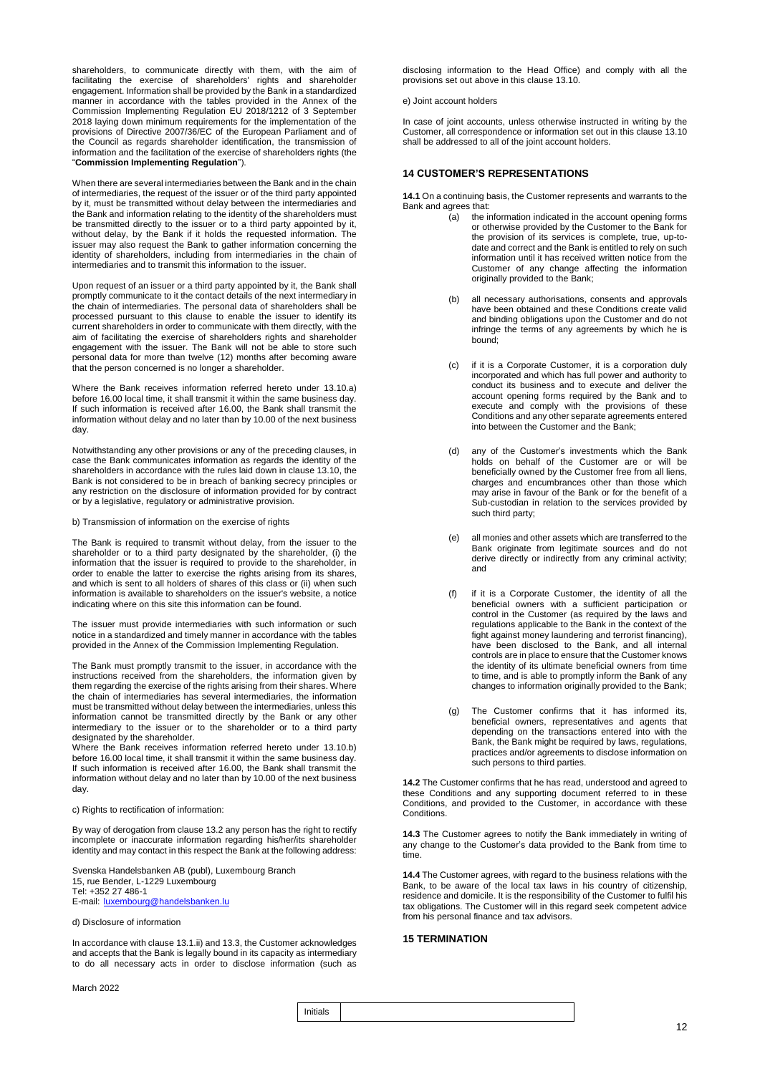shareholders, to communicate directly with them, with the aim of facilitating the exercise of shareholders' rights and shareholder engagement. Information shall be provided by the Bank in a standardized manner in accordance with the tables provided in the Annex of the Commission Implementing Regulation EU 2018/1212 of 3 September 2018 laying down minimum requirements for the implementation of the provisions of Directive 2007/36/EC of the European Parliament and of the Council as regards shareholder identification, the transmission of information and the facilitation of the exercise of shareholders rights (the "**Commission Implementing Regulation**").

When there are several intermediaries between the Bank and in the chain of intermediaries, the request of the issuer or of the third party appointed by it, must be transmitted without delay between the intermediaries and the Bank and information relating to the identity of the shareholders must be transmitted directly to the issuer or to a third party appointed by it, without delay, by the Bank if it holds the requested information. The issuer may also request the Bank to gather information concerning the identity of shareholders, including from intermediaries in the chain of intermediaries and to transmit this information to the issuer.

Upon request of an issuer or a third party appointed by it, the Bank shall promptly communicate to it the contact details of the next intermediary in the chain of intermediaries. The personal data of shareholders shall be processed pursuant to this clause to enable the issuer to identify its current shareholders in order to communicate with them directly, with the aim of facilitating the exercise of shareholders rights and shareholder engagement with the issuer. The Bank will not be able to store such personal data for more than twelve (12) months after becoming aware that the person concerned is no longer a shareholder.

Where the Bank receives information referred hereto under 13.10.a) before 16.00 local time, it shall transmit it within the same business day. If such information is received after 16.00, the Bank shall transmit the information without delay and no later than by 10.00 of the next business day.

Notwithstanding any other provisions or any of the preceding clauses, in case the Bank communicates information as regards the identity of the shareholders in accordance with the rules laid down in clause 13.10, the Bank is not considered to be in breach of banking secrecy principles or any restriction on the disclosure of information provided for by contract or by a legislative, regulatory or administrative provision.

b) Transmission of information on the exercise of rights

The Bank is required to transmit without delay, from the issuer to the shareholder or to a third party designated by the shareholder, (i) the information that the issuer is required to provide to the shareholder, in order to enable the latter to exercise the rights arising from its shares, and which is sent to all holders of shares of this class or (ii) when such information is available to shareholders on the issuer's website, a notice indicating where on this site this information can be found.

The issuer must provide intermediaries with such information or such notice in a standardized and timely manner in accordance with the tables provided in the Annex of the Commission Implementing Regulation.

The Bank must promptly transmit to the issuer, in accordance with the instructions received from the shareholders, the information given by them regarding the exercise of the rights arising from their shares. Where the chain of intermediaries has several intermediaries, the information must be transmitted without delay between the intermediaries, unless this information cannot be transmitted directly by the Bank or any other intermediary to the issuer or to the shareholder or to a third party designated by the shareholder.

Where the Bank receives information referred hereto under 13.10.b) before 16.00 local time, it shall transmit it within the same business day. If such information is received after 16.00, the Bank shall transmit the information without delay and no later than by 10.00 of the next business day.

c) Rights to rectification of information:

By way of derogation from clause 13.2 any person has the right to rectify incomplete or inaccurate information regarding his/her/its shareholder identity and may contact in this respect the Bank at the following address:

Svenska Handelsbanken AB (publ), Luxembourg Branch 15, rue Bender, L-1229 Luxembourg Tel: +352 27 486-1 E-mail: [luxembourg@handelsbanken.lu](mailto:luxembourg@handelsbanken.lu)

d) Disclosure of information

In accordance with clause 13.1.ii) and 13.3, the Customer acknowledges and accepts that the Bank is legally bound in its capacity as intermediary to do all necessary acts in order to disclose information (such as

March 2022

disclosing information to the Head Office) and comply with all the provisions set out above in this clause 13.10.

e) Joint account holders

In case of joint accounts, unless otherwise instructed in writing by the Customer, all correspondence or information set out in this clause 13.10 shall be addressed to all of the joint account holders.

### **14 CUSTOMER'S REPRESENTATIONS**

**14.1** On a continuing basis, the Customer represents and warrants to the Bank and agrees that:<br>(a) the in

- the information indicated in the account opening forms or otherwise provided by the Customer to the Bank for the provision of its services is complete, true, up-todate and correct and the Bank is entitled to rely on such information until it has received written notice from the Customer of any change affecting the information originally provided to the Bank;
- (b) all necessary authorisations, consents and approvals have been obtained and these Conditions create valid and binding obligations upon the Customer and do not infringe the terms of any agreements by which he is bound;
- (c) if it is a Corporate Customer, it is a corporation duly incorporated and which has full power and authority to conduct its business and to execute and deliver the account opening forms required by the Bank and to execute and comply with the provisions of these Conditions and any other separate agreements entered into between the Customer and the Bank;
- (d) any of the Customer's investments which the Bank holds on behalf of the Customer are or will be beneficially owned by the Customer free from all liens, charges and encumbrances other than those which may arise in favour of the Bank or for the benefit of a Sub-custodian in relation to the services provided by such third party;
- (e) all monies and other assets which are transferred to the Bank originate from legitimate sources and do not derive directly or indirectly from any criminal activity; and
- (f) if it is a Corporate Customer, the identity of all the beneficial owners with a sufficient participation or control in the Customer (as required by the laws and regulations applicable to the Bank in the context of the fight against money laundering and terrorist financing), have been disclosed to the Bank, and all internal controls are in place to ensure that the Customer knows the identity of its ultimate beneficial owners from time to time, and is able to promptly inform the Bank of any changes to information originally provided to the Bank;
- (g) The Customer confirms that it has informed its, beneficial owners, representatives and agents that depending on the transactions entered into with the Bank, the Bank might be required by laws, regulations, practices and/or agreements to disclose information on such persons to third parties.

**14.2** The Customer confirms that he has read, understood and agreed to these Conditions and any supporting document referred to in these Conditions, and provided to the Customer, in accordance with these **Conditions** 

**14.3** The Customer agrees to notify the Bank immediately in writing of any change to the Customer's data provided to the Bank from time to time.

**14.4** The Customer agrees, with regard to the business relations with the Bank, to be aware of the local tax laws in his country of citizenship, residence and domicile. It is the responsibility of the Customer to fulfil his tax obligations. The Customer will in this regard seek competent advice from his personal finance and tax advisors.

### **15 TERMINATION**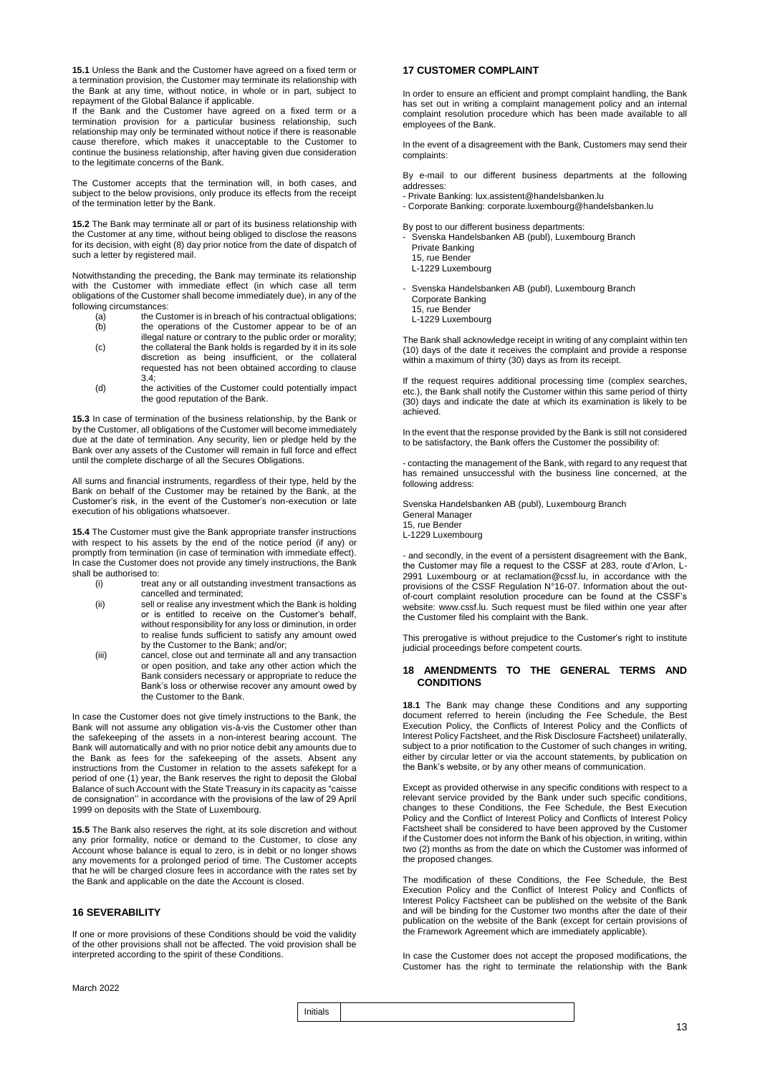**15.1** Unless the Bank and the Customer have agreed on a fixed term or a termination provision, the Customer may terminate its relationship with the Bank at any time, without notice, in whole or in part, subject to repayment of the Global Balance if applicable.

If the Bank and the Customer have agreed on a fixed term or a termination provision for a particular business relationship, such relationship may only be terminated without notice if there is reasonable cause therefore, which makes it unacceptable to the Customer to continue the business relationship, after having given due consideration to the legitimate concerns of the Bank.

The Customer accepts that the termination will, in both cases, and subject to the below provisions, only produce its effects from the receipt of the termination letter by the Bank.

**15.2** The Bank may terminate all or part of its business relationship with the Customer at any time, without being obliged to disclose the reasons for its decision, with eight (8) day prior notice from the date of dispatch of such a letter by registered mail.

Notwithstanding the preceding, the Bank may terminate its relationship with the Customer with immediate effect (in which case all term obligations of the Customer shall become immediately due), in any of the following circumstances:<br>(a) the Cus

- $(a)$  the Customer is in breach of his contractual obligations;<br>(b) the operations of the Customer appear to be of an the operations of the Customer appear to be of an
- illegal nature or contrary to the public order or morality; (c) the collateral the Bank holds is regarded by it in its sole discretion as being insufficient, or the collateral requested has not been obtained according to clause 3.4;
- (d) the activities of the Customer could potentially impact the good reputation of the Bank.

**15.3** In case of termination of the business relationship, by the Bank or by the Customer, all obligations of the Customer will become immediately due at the date of termination. Any security, lien or pledge held by the Bank over any assets of the Customer will remain in full force and effect until the complete discharge of all the Secures Obligations.

All sums and financial instruments, regardless of their type, held by the Bank on behalf of the Customer may be retained by the Bank, at the Customer's risk, in the event of the Customer's non-execution or late execution of his obligations whatsoever.

**15.4** The Customer must give the Bank appropriate transfer instructions with respect to his assets by the end of the notice period (if any) or promptly from termination (in case of termination with immediate effect). In case the Customer does not provide any timely instructions, the Bank shall be authorised to:<br>(i) treat

- treat any or all outstanding investment transactions as cancelled and terminated;
- (ii) sell or realise any investment which the Bank is holding or is entitled to receive on the Customer's behalf, without responsibility for any loss or diminution, in order to realise funds sufficient to satisfy any amount owed by the Customer to the Bank; and/or;
- (iii) cancel, close out and terminate all and any transaction or open position, and take any other action which the Bank considers necessary or appropriate to reduce the Bank's loss or otherwise recover any amount owed by the Customer to the Bank.

In case the Customer does not give timely instructions to the Bank, the Bank will not assume any obligation vis-à-vis the Customer other than the safekeeping of the assets in a non-interest bearing account. The Bank will automatically and with no prior notice debit any amounts due to the Bank as fees for the safekeeping of the assets. Absent any instructions from the Customer in relation to the assets safekept for a period of one (1) year, the Bank reserves the right to deposit the Global Balance of such Account with the State Treasury in its capacity as "caisse de consignation'' in accordance with the provisions of the law of 29 April 1999 on deposits with the State of Luxembourg.

**15.5** The Bank also reserves the right, at its sole discretion and without any prior formality, notice or demand to the Customer, to close any Account whose balance is equal to zero, is in debit or no longer shows any movements for a prolonged period of time. The Customer accepts that he will be charged closure fees in accordance with the rates set by the Bank and applicable on the date the Account is closed.

### **16 SEVERABILITY**

If one or more provisions of these Conditions should be void the validity of the other provisions shall not be affected. The void provision shall be interpreted according to the spirit of these Conditions.

### **17 CUSTOMER COMPLAINT**

In order to ensure an efficient and prompt complaint handling, the Bank has set out in writing a complaint management policy and an internal complaint resolution procedure which has been made available to all employees of the Bank.

In the event of a disagreement with the Bank, Customers may send their complaints:

By e-mail to our different business departments at the following addresses:

- Private Banking: lux.assistent@handelsbanken.lu

- Corporate Banking: corporate.luxembourg@handelsbanken.lu

By post to our different business departments:

- Svenska Handelsbanken AB (publ), Luxembourg Branch Private Banking

15, rue Bender

L-1229 Luxembourg

- Svenska Handelsbanken AB (publ), Luxembourg Branch Corporate Banking 15, rue Bender

L-1229 Luxembourg

The Bank shall acknowledge receipt in writing of any complaint within ten (10) days of the date it receives the complaint and provide a response within a maximum of thirty (30) days as from its receipt.

If the request requires additional processing time (complex searches, etc.), the Bank shall notify the Customer within this same period of thirty (30) days and indicate the date at which its examination is likely to be achieved.

In the event that the response provided by the Bank is still not considered to be satisfactory, the Bank offers the Customer the possibility of:

- contacting the management of the Bank, with regard to any request that has remained unsuccessful with the business line concerned, at the following address:

Svenska Handelsbanken AB (publ), Luxembourg Branch General Manager 15, rue Bender L-1229 Luxembourg

- and secondly, in the event of a persistent disagreement with the Bank, the Customer may file a request to the CSSF at 283, route d'Arlon, L-2991 Luxembourg or at reclamation@cssf.lu, in accordance with the provisions of the CSSF Regulation N°16-07. Information about the outof-court complaint resolution procedure can be found at the CSSF's website: www.cssf.lu. Such request must be filed within one year after the Customer filed his complaint with the Bank.

This prerogative is without prejudice to the Customer's right to institute judicial proceedings before competent courts.

### **18 AMENDMENTS TO THE GENERAL TERMS AND CONDITIONS**

**18.1** The Bank may change these Conditions and any supporting document referred to herein (including the Fee Schedule, the Best Execution Policy, the Conflicts of Interest Policy and the Conflicts of Interest Policy Factsheet, and the Risk Disclosure Factsheet) unilaterally, subject to a prior notification to the Customer of such changes in writing, either by circular letter or via the account statements, by publication on the Bank's website, or by any other means of communication.

Except as provided otherwise in any specific conditions with respect to a relevant service provided by the Bank under such specific conditions, changes to these Conditions, the Fee Schedule, the Best Execution Policy and the Conflict of Interest Policy and Conflicts of Interest Policy Factsheet shall be considered to have been approved by the Customer if the Customer does not inform the Bank of his objection, in writing, within two (2) months as from the date on which the Customer was informed of the proposed changes.

The modification of these Conditions, the Fee Schedule, the Best Execution Policy and the Conflict of Interest Policy and Conflicts of Interest Policy Factsheet can be published on the website of the Bank and will be binding for the Customer two months after the date of their publication on the website of the Bank (except for certain provisions of the Framework Agreement which are immediately applicable).

In case the Customer does not accept the proposed modifications, the Customer has the right to terminate the relationship with the Bank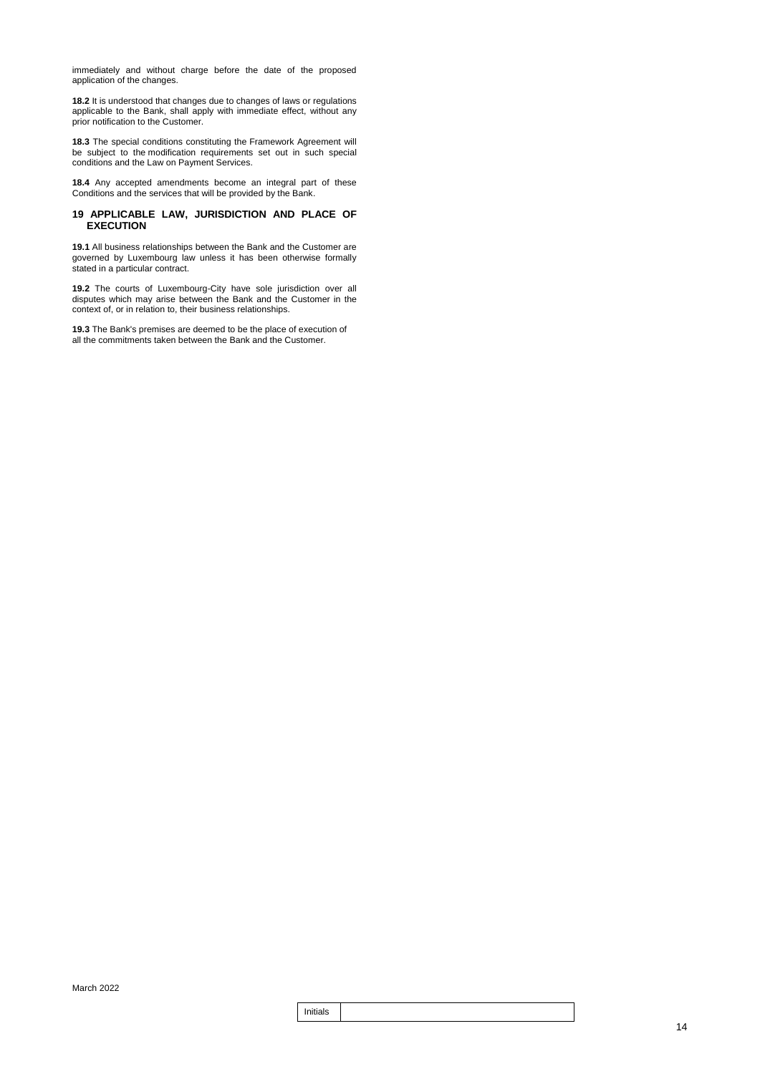immediately and without charge before the date of the proposed application of the changes.

**18.2** It is understood that changes due to changes of laws or regulations applicable to the Bank, shall apply with immediate effect, without any prior notification to the Customer.

**18.3** The special conditions constituting the Framework Agreement will be subject to the modification requirements set out in such special conditions and the Law on Payment Services.

**18.4** Any accepted amendments become an integral part of these Conditions and the services that will be provided by the Bank.

### **19 APPLICABLE LAW, JURISDICTION AND PLACE OF EXECUTION**

**19.1** All business relationships between the Bank and the Customer are governed by Luxembourg law unless it has been otherwise formally stated in a particular contract.

**19.2** The courts of Luxembourg-City have sole jurisdiction over all disputes which may arise between the Bank and the Customer in the context of, or in relation to, their business relationships.

**19.3** The Bank's premises are deemed to be the place of execution of all the commitments taken between the Bank and the Customer.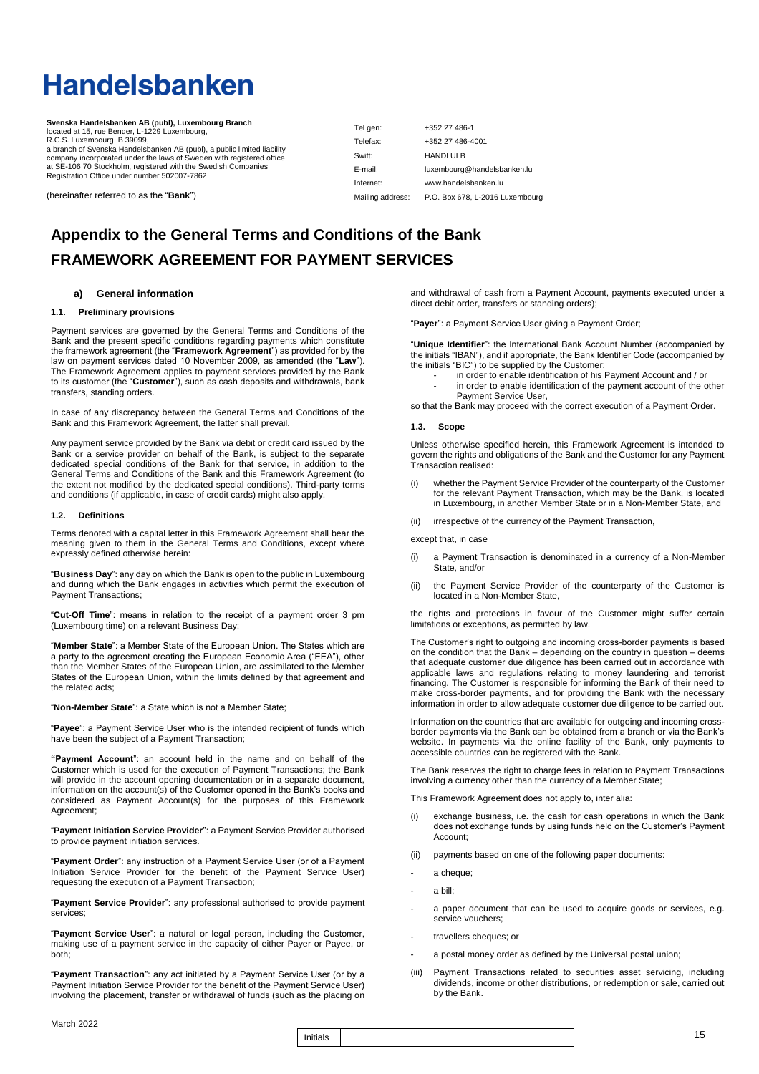# **Handelsbanken**

**Svenska Handelsbanken AB (publ), Luxembourg Branch** located at 15, rue Bender, L-1229 Luxembourg, R.C.S. Luxembourg B 39099, a branch of Svenska Handelsbanken AB (publ), a public limited liability company incorporated under the laws of Sweden with registered office at SE-106 70 Stockholm, registered with the Swedish Companies Registration Office under number 502007-7862

(hereinafter referred to as the "**Bank**")

| Tel gen:         | +352 27 486-1                   |
|------------------|---------------------------------|
| Telefax:         | +352 27 486-4001                |
| Swift:           | <b>HANDLULB</b>                 |
| E-mail:          | luxembourg@handelsbanken.lu     |
| Internet:        | www.handelsbanken.lu            |
| Mailing address: | P.O. Box 678, L-2016 Luxembourg |

### **Appendix to the General Terms and Conditions of the Bank FRAMEWORK AGREEMENT FOR PAYMENT SERVICES**

### **a) General information**

### **1.1. Preliminary provisions**

Payment services are governed by the General Terms and Conditions of the Bank and the present specific conditions regarding payments which constitute the framework agreement (the "**Framework Agreement**") as provided for by the law on payment services dated 10 November 2009, as amended (the "**Law**"). The Framework Agreement applies to payment services provided by the Bank to its customer (the "**Customer**"), such as cash deposits and withdrawals, bank transfers, standing orders.

In case of any discrepancy between the General Terms and Conditions of the Bank and this Framework Agreement, the latter shall prevail.

Any payment service provided by the Bank via debit or credit card issued by the Bank or a service provider on behalf of the Bank, is subject to the separate dedicated special conditions of the Bank for that service, in addition to the General Terms and Conditions of the Bank and this Framework Agreement (to the extent not modified by the dedicated special conditions). Third-party terms and conditions (if applicable, in case of credit cards) might also apply.

### **1.2. Definitions**

Terms denoted with a capital letter in this Framework Agreement shall bear the meaning given to them in the General Terms and Conditions, except where expressly defined otherwise herein:

"**Business Day**": any day on which the Bank is open to the public in Luxembourg and during which the Bank engages in activities which permit the execution of Payment Transactions;

"**Cut-Off Time**": means in relation to the receipt of a payment order 3 pm (Luxembourg time) on a relevant Business Day;

"**Member State**": a Member State of the European Union. The States which are a party to the agreement creating the European Economic Area ("EEA"), other than the Member States of the European Union, are assimilated to the Member States of the European Union, within the limits defined by that agreement and the related acts;

"**Non-Member State**": a State which is not a Member State;

"**Payee**": a Payment Service User who is the intended recipient of funds which have been the subject of a Payment Transaction;

**"Payment Account**": an account held in the name and on behalf of the Customer which is used for the execution of Payment Transactions; the Bank will provide in the account opening documentation or in a separate document, information on the account(s) of the Customer opened in the Bank's books and considered as Payment Account(s) for the purposes of this Framework Agreement;

"**Payment Initiation Service Provider**": a Payment Service Provider authorised to provide payment initiation services.

"**Payment Order**": any instruction of a Payment Service User (or of a Payment Initiation Service Provider for the benefit of the Payment Service User) requesting the execution of a Payment Transaction;

"**Payment Service Provider**": any professional authorised to provide payment services;

"**Payment Service User**": a natural or legal person, including the Customer, making use of a payment service in the capacity of either Payer or Payee, or both;

"**Payment Transaction**": any act initiated by a Payment Service User (or by a Payment Initiation Service Provider for the benefit of the Payment Service User) involving the placement, transfer or withdrawal of funds (such as the placing on

and withdrawal of cash from a Payment Account, payments executed under a direct debit order, transfers or standing orders);

"**Payer**": a Payment Service User giving a Payment Order;

"**Unique Identifier**": the International Bank Account Number (accompanied by the initials "IBAN"), and if appropriate, the Bank Identifier Code (accompanied by the initials "BIC") to be supplied by the Customer:

- in order to enable identification of his Payment Account and / or
- in order to enable identification of the payment account of the other Payment Service User,

so that the Bank may proceed with the correct execution of a Payment Order.

### **1.3. Scope**

Unless otherwise specified herein, this Framework Agreement is intended to govern the rights and obligations of the Bank and the Customer for any Payment Transaction realised:

- (i) whether the Payment Service Provider of the counterparty of the Customer for the relevant Payment Transaction, which may be the Bank, is located in Luxembourg, in another Member State or in a Non-Member State, and
- (ii) irrespective of the currency of the Payment Transaction,

except that, in case

- (i) a Payment Transaction is denominated in a currency of a Non-Member State, and/or
- (ii) the Payment Service Provider of the counterparty of the Customer is located in a Non-Member State,

the rights and protections in favour of the Customer might suffer certain limitations or exceptions, as permitted by law.

The Customer's right to outgoing and incoming cross-border payments is based on the condition that the Bank – depending on the country in question – deems that adequate customer due diligence has been carried out in accordance with applicable laws and regulations relating to money laundering and terrorist financing. The Customer is responsible for informing the Bank of their need to make cross-border payments, and for providing the Bank with the necessary information in order to allow adequate customer due diligence to be carried out.

Information on the countries that are available for outgoing and incoming crossborder payments via the Bank can be obtained from a branch or via the Bank's website. In payments via the online facility of the Bank, only payments to accessible countries can be registered with the Bank.

The Bank reserves the right to charge fees in relation to Payment Transactions involving a currency other than the currency of a Member State;

This Framework Agreement does not apply to, inter alia:

- (i) exchange business, i.e. the cash for cash operations in which the Bank does not exchange funds by using funds held on the Customer's Payment Account;
- (ii) payments based on one of the following paper documents:
- a cheque;
- a bill;
- a paper document that can be used to acquire goods or services, e.g. service vouchers;
- travellers cheques; or
- a postal money order as defined by the Universal postal union;
- (iii) Payment Transactions related to securities asset servicing, including dividends, income or other distributions, or redemption or sale, carried out by the Bank.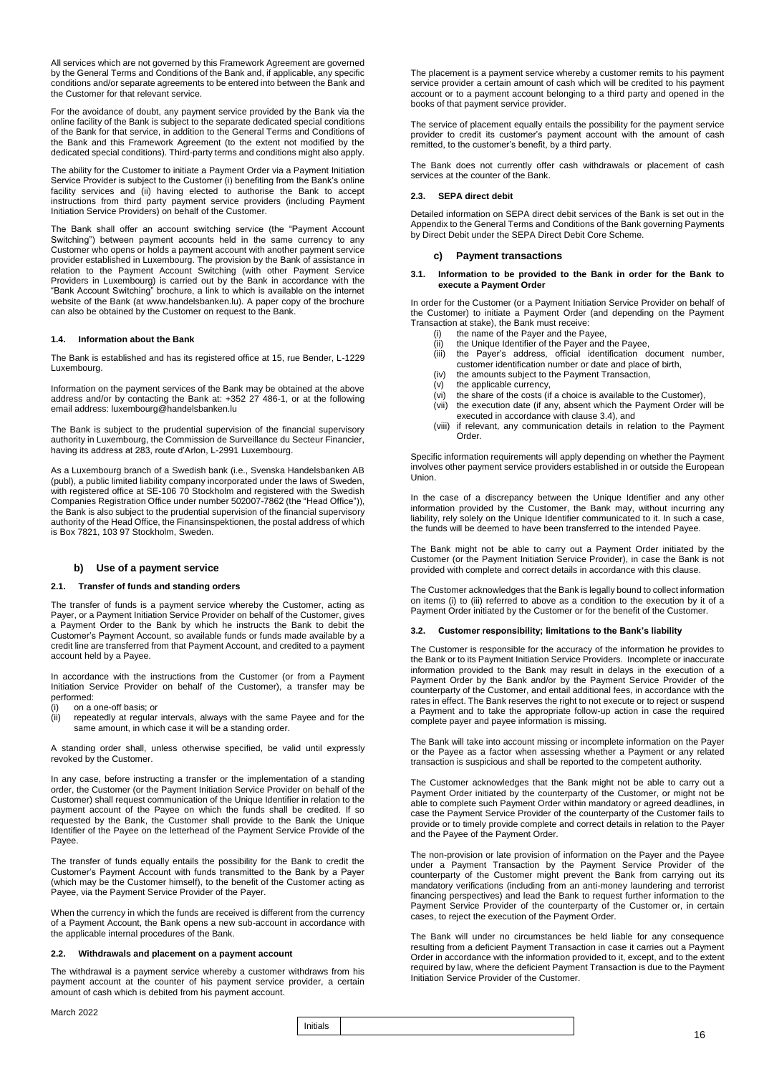All services which are not governed by this Framework Agreement are governed by the General Terms and Conditions of the Bank and, if applicable, any specific conditions and/or separate agreements to be entered into between the Bank and the Customer for that relevant service.

For the avoidance of doubt, any payment service provided by the Bank via the online facility of the Bank is subject to the separate dedicated special conditions of the Bank for that service, in addition to the General Terms and Conditions of the Bank and this Framework Agreement (to the extent not modified by the dedicated special conditions). Third-party terms and conditions might also apply.

The ability for the Customer to initiate a Payment Order via a Payment Initiation Service Provider is subject to the Customer (i) benefiting from the Bank's online facility services and (ii) having elected to authorise the Bank to accept instructions from third party payment service providers (including Payment Initiation Service Providers) on behalf of the Customer.

The Bank shall offer an account switching service (the "Payment Account Switching") between payment accounts held in the same currency to any Customer who opens or holds a payment account with another payment service provider established in Luxembourg. The provision by the Bank of assistance in relation to the Payment Account Switching (with other Payment Service Providers in Luxembourg) is carried out by the Bank in accordance with the "Bank Account Switching" brochure, a link to which is available on the internet website of the Bank (at www.handelsbanken.lu). A paper copy of the brochure can also be obtained by the Customer on request to the Bank.

### **1.4. Information about the Bank**

The Bank is established and has its registered office at 15, rue Bender, L-1229 Luxembourg.

Information on the payment services of the Bank may be obtained at the above address and/or by contacting the Bank at: +352 27 486-1, or at the following email address: luxembourg@handelsbanken.lu

The Bank is subject to the prudential supervision of the financial supervisory authority in Luxembourg, the Commission de Surveillance du Secteur Financier, having its address at 283, route d'Arlon, L-2991 Luxembourg.

As a Luxembourg branch of a Swedish bank (i.e., Svenska Handelsbanken AB (publ), a public limited liability company incorporated under the laws of Sweden, with registered office at SE-106 70 Stockholm and registered with the Swedish Companies Registration Office under number 502007-7862 (the "Head Office")), the Bank is also subject to the prudential supervision of the financial supervisory authority of the Head Office, the Finansinspektionen, the postal address of which is Box 7821, 103 97 Stockholm, Sweden.

### **b) Use of a payment service**

### **2.1. Transfer of funds and standing orders**

The transfer of funds is a payment service whereby the Customer, acting as Payer, or a Payment Initiation Service Provider on behalf of the Customer, gives a Payment Order to the Bank by which he instructs the Bank to debit the Customer's Payment Account, so available funds or funds made available by a credit line are transferred from that Payment Account, and credited to a payment account held by a Payee.

In accordance with the instructions from the Customer (or from a Payment Initiation Service Provider on behalf of the Customer), a transfer may be performed:

- (i) on a one-off basis; or
- (ii) repeatedly at regular intervals, always with the same Payee and for the same amount, in which case it will be a standing order.

A standing order shall, unless otherwise specified, be valid until expressly revoked by the Customer.

In any case, before instructing a transfer or the implementation of a standing order, the Customer (or the Payment Initiation Service Provider on behalf of the Customer) shall request communication of the Unique Identifier in relation to the payment account of the Payee on which the funds shall be credited. If so requested by the Bank, the Customer shall provide to the Bank the Unique Identifier of the Payee on the letterhead of the Payment Service Provide of the Payee.

The transfer of funds equally entails the possibility for the Bank to credit the Customer's Payment Account with funds transmitted to the Bank by a Payer (which may be the Customer himself), to the benefit of the Customer acting as Payee, via the Payment Service Provider of the Payer.

When the currency in which the funds are received is different from the currency of a Payment Account, the Bank opens a new sub-account in accordance with the applicable internal procedures of the Bank.

### **2.2. Withdrawals and placement on a payment account**

The withdrawal is a payment service whereby a customer withdraws from his payment account at the counter of his payment service provider, a certain amount of cash which is debited from his payment account.

March 2022

The placement is a payment service whereby a customer remits to his payment service provider a certain amount of cash which will be credited to his payment account or to a payment account belonging to a third party and opened in the books of that payment service provider.

The service of placement equally entails the possibility for the payment service provider to credit its customer's payment account with the amount of cash remitted, to the customer's benefit, by a third party.

The Bank does not currently offer cash withdrawals or placement of cash services at the counter of the Bank.

### **2.3. SEPA direct debit**

Detailed information on SEPA direct debit services of the Bank is set out in the Appendix to the General Terms and Conditions of the Bank governing Payments by Direct Debit under the SEPA Direct Debit Core Scheme.

### **c) Payment transactions**

### **3.1. Information to be provided to the Bank in order for the Bank to execute a Payment Order**

In order for the Customer (or a Payment Initiation Service Provider on behalf of the Customer) to initiate a Payment Order (and depending on the Payment Transaction at stake), the Bank must receive:

- $(i)$  the name of the Payer and the Payee,
- 
- (ii) the Unique Identifier of the Payer and the Payee,<br>(iii) the Payer's address, official identification d the Payer's address, official identification document number, customer identification number or date and place of birth,
- (iv) the amounts subject to the Payment Transaction,  $(v)$  the applicable currency,
- (v) the applicable currency,
- (vi) the share of the costs (if a choice is available to the Customer),
- (vii) the execution date (if any, absent which the Payment Order will be executed in accordance with clause 3.4), and
- (viii) if relevant, any communication details in relation to the Payment Order.

Specific information requirements will apply depending on whether the Payment involves other payment service providers established in or outside the European Union.

In the case of a discrepancy between the Unique Identifier and any other information provided by the Customer, the Bank may, without incurring any liability, rely solely on the Unique Identifier communicated to it. In such a case, the funds will be deemed to have been transferred to the intended Payee.

The Bank might not be able to carry out a Payment Order initiated by the Customer (or the Payment Initiation Service Provider), in case the Bank is not provided with complete and correct details in accordance with this clause.

The Customer acknowledges that the Bank is legally bound to collect information on items (i) to (iii) referred to above as a condition to the execution by it of a Payment Order initiated by the Customer or for the benefit of the Customer.

### **3.2. Customer responsibility; limitations to the Bank's liability**

The Customer is responsible for the accuracy of the information he provides to the Bank or to its Payment Initiation Service Providers. Incomplete or inaccurate information provided to the Bank may result in delays in the execution of a Payment Order by the Bank and/or by the Payment Service Provider of the counterparty of the Customer, and entail additional fees, in accordance with the rates in effect. The Bank reserves the right to not execute or to reject or suspend a Payment and to take the appropriate follow-up action in case the required complete payer and payee information is missing.

The Bank will take into account missing or incomplete information on the Payer or the Payee as a factor when assessing whether a Payment or any related transaction is suspicious and shall be reported to the competent authority.

The Customer acknowledges that the Bank might not be able to carry out a Payment Order initiated by the counterparty of the Customer, or might not be able to complete such Payment Order within mandatory or agreed deadlines, in case the Payment Service Provider of the counterparty of the Customer fails to provide or to timely provide complete and correct details in relation to the Payer and the Payee of the Payment Order.

The non-provision or late provision of information on the Payer and the Payee under a Payment Transaction by the Payment Service Provider of the counterparty of the Customer might prevent the Bank from carrying out its mandatory verifications (including from an anti-money laundering and terrorist financing perspectives) and lead the Bank to request further information to the Payment Service Provider of the counterparty of the Customer or, in certain cases, to reject the execution of the Payment Order.

The Bank will under no circumstances be held liable for any consequence resulting from a deficient Payment Transaction in case it carries out a Payment Order in accordance with the information provided to it, except, and to the extent required by law, where the deficient Payment Transaction is due to the Payment Initiation Service Provider of the Customer.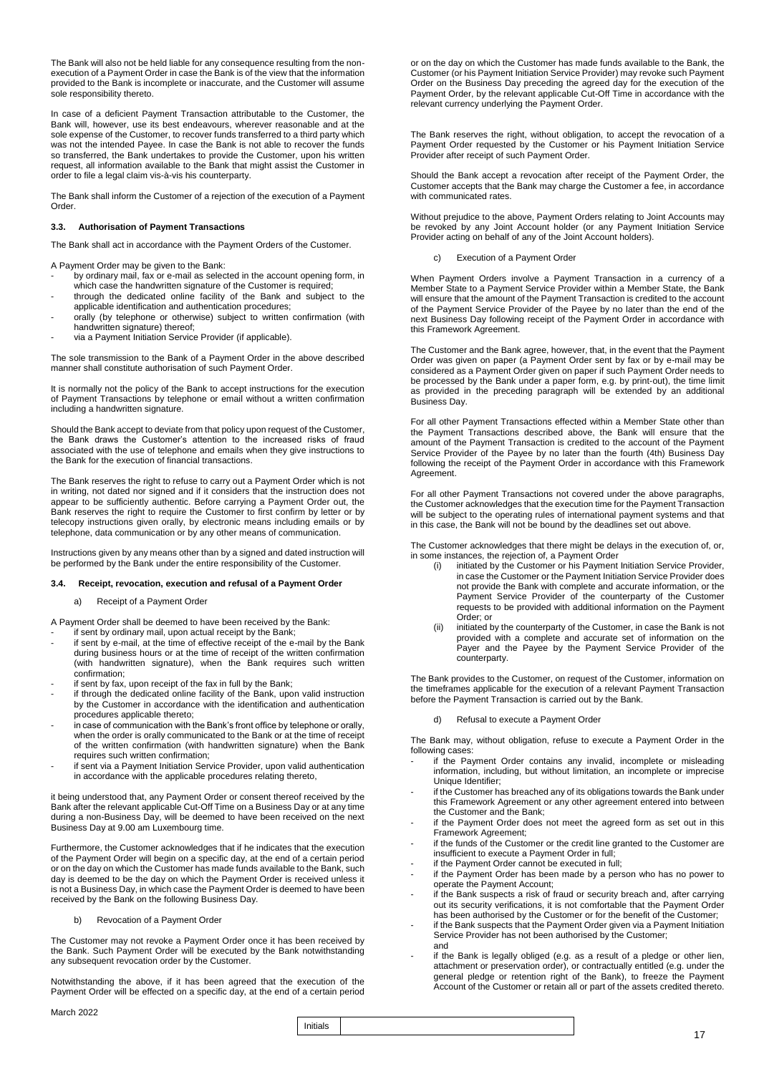The Bank will also not be held liable for any consequence resulting from the nonexecution of a Payment Order in case the Bank is of the view that the information provided to the Bank is incomplete or inaccurate, and the Customer will assume sole responsibility thereto.

In case of a deficient Payment Transaction attributable to the Customer, the Bank will, however, use its best endeavours, wherever reasonable and at the sole expense of the Customer, to recover funds transferred to a third party which was not the intended Payee. In case the Bank is not able to recover the funds so transferred, the Bank undertakes to provide the Customer, upon his written request, all information available to the Bank that might assist the Customer in order to file a legal claim vis-à-vis his counterparty.

The Bank shall inform the Customer of a rejection of the execution of a Payment Order.

### **3.3. Authorisation of Payment Transactions**

The Bank shall act in accordance with the Payment Orders of the Customer.

A Payment Order may be given to the Bank:

- by ordinary mail, fax or e-mail as selected in the account opening form, in which case the handwritten signature of the Customer is required
- through the dedicated online facility of the Bank and subject to the applicable identification and authentication procedures;
- orally (by telephone or otherwise) subject to written confirmation (with handwritten signature) thereof;
- via a Payment Initiation Service Provider (if applicable).

The sole transmission to the Bank of a Payment Order in the above described manner shall constitute authorisation of such Payment Order.

It is normally not the policy of the Bank to accept instructions for the execution of Payment Transactions by telephone or email without a written confirmation including a handwritten signature.

Should the Bank accept to deviate from that policy upon request of the Customer, the Bank draws the Customer's attention to the increased risks of fraud associated with the use of telephone and emails when they give instructions to the Bank for the execution of financial transactions.

The Bank reserves the right to refuse to carry out a Payment Order which is not in writing, not dated nor signed and if it considers that the instruction does not appear to be sufficiently authentic. Before carrying a Payment Order out, the Bank reserves the right to require the Customer to first confirm by letter or by telecopy instructions given orally, by electronic means including emails or by telephone, data communication or by any other means of communication.

Instructions given by any means other than by a signed and dated instruction will be performed by the Bank under the entire responsibility of the Customer.

### **3.4. Receipt, revocation, execution and refusal of a Payment Order**

a) Receipt of a Payment Order

A Payment Order shall be deemed to have been received by the Bank:

- if sent by ordinary mail, upon actual receipt by the Bank; if sent by e-mail, at the time of effective receipt of the e-mail by the Bank during business hours or at the time of receipt of the written confirmation (with handwritten signature), when the Bank requires such written confirmation;
- if sent by fax, upon receipt of the fax in full by the Bank;
- if through the dedicated online facility of the Bank, upon valid instruction by the Customer in accordance with the identification and authentication procedures applicable thereto;
- in case of communication with the Bank's front office by telephone or orally, when the order is orally communicated to the Bank or at the time of receipt of the written confirmation (with handwritten signature) when the Bank requires such written confirmation;
- if sent via a Payment Initiation Service Provider, upon valid authentication in accordance with the applicable procedures relating thereto,

it being understood that, any Payment Order or consent thereof received by the Bank after the relevant applicable Cut-Off Time on a Business Day or at any time during a non-Business Day, will be deemed to have been received on the next Business Day at 9.00 am Luxembourg time.

Furthermore, the Customer acknowledges that if he indicates that the execution of the Payment Order will begin on a specific day, at the end of a certain period or on the day on which the Customer has made funds available to the Bank, such day is deemed to be the day on which the Payment Order is received unless it is not a Business Day, in which case the Payment Order is deemed to have been received by the Bank on the following Business Day.

b) Revocation of a Payment Order

The Customer may not revoke a Payment Order once it has been received by the Bank. Such Payment Order will be executed by the Bank notwithstanding any subsequent revocation order by the Customer.

Notwithstanding the above, if it has been agreed that the execution of the Payment Order will be effected on a specific day, at the end of a certain period

or on the day on which the Customer has made funds available to the Bank, the Customer (or his Payment Initiation Service Provider) may revoke such Payment Order on the Business Day preceding the agreed day for the execution of the Payment Order, by the relevant applicable Cut-Off Time in accordance with the relevant currency underlying the Payment Order.

The Bank reserves the right, without obligation, to accept the revocation of a Payment Order requested by the Customer or his Payment Initiation Service Provider after receipt of such Payment Order.

Should the Bank accept a revocation after receipt of the Payment Order, the Customer accepts that the Bank may charge the Customer a fee, in accordance with communicated rates.

Without prejudice to the above, Payment Orders relating to Joint Accounts may be revoked by any Joint Account holder (or any Payment Initiation Service Provider acting on behalf of any of the Joint Account holders).

### c) Execution of a Payment Order

When Payment Orders involve a Payment Transaction in a currency of a Member State to a Payment Service Provider within a Member State, the Bank will ensure that the amount of the Payment Transaction is credited to the account of the Payment Service Provider of the Payee by no later than the end of the next Business Day following receipt of the Payment Order in accordance with this Framework Agreement.

The Customer and the Bank agree, however, that, in the event that the Payment Order was given on paper (a Payment Order sent by fax or by e-mail may be considered as a Payment Order given on paper if such Payment Order needs to be processed by the Bank under a paper form, e.g. by print-out), the time limit as provided in the preceding paragraph will be extended by an additional Business Day.

For all other Payment Transactions effected within a Member State other than the Payment Transactions described above, the Bank will ensure that the amount of the Payment Transaction is credited to the account of the Payment Service Provider of the Payee by no later than the fourth (4th) Business Day following the receipt of the Payment Order in accordance with this Framework Agreement.

For all other Payment Transactions not covered under the above paragraphs, the Customer acknowledges that the execution time for the Payment Transaction will be subject to the operating rules of international payment systems and that in this case, the Bank will not be bound by the deadlines set out above.

The Customer acknowledges that there might be delays in the execution of, or, in some instances, the rejection of, a Payment Order<br>(i) initiated by the Customer or his Payment

- initiated by the Customer or his Payment Initiation Service Provider, in case the Customer or the Payment Initiation Service Provider does not provide the Bank with complete and accurate information, or the Payment Service Provider of the counterparty of the Customer requests to be provided with additional information on the Payment Order; or
- (ii) initiated by the counterparty of the Customer, in case the Bank is not provided with a complete and accurate set of information on the Payer and the Payee by the Payment Service Provider of the counterparty.

The Bank provides to the Customer, on request of the Customer, information on the timeframes applicable for the execution of a relevant Payment Transaction before the Payment Transaction is carried out by the Bank.

d) Refusal to execute a Payment Order

The Bank may, without obligation, refuse to execute a Payment Order in the following cases:

- if the Payment Order contains any invalid, incomplete or misleading information, including, but without limitation, an incomplete or imprecise Unique Identifier;
- if the Customer has breached any of its obligations towards the Bank under this Framework Agreement or any other agreement entered into between the Customer and the Bank;
- if the Payment Order does not meet the agreed form as set out in this Framework Agreement;
- if the funds of the Customer or the credit line granted to the Customer are insufficient to execute a Payment Order in full;
- if the Payment Order cannot be executed in full;
- if the Payment Order has been made by a person who has no power to operate the Payment Account;
- if the Bank suspects a risk of fraud or security breach and, after carrying out its security verifications, it is not comfortable that the Payment Order has been authorised by the Customer or for the benefit of the Customer;
- if the Bank suspects that the Payment Order given via a Payment Initiation Service Provider has not been authorised by the Customer;
- and if the Bank is legally obliged (e.g. as a result of a pledge or other lien, attachment or preservation order), or contractually entitled (e.g. under the general pledge or retention right of the Bank), to freeze the Payment Account of the Customer or retain all or part of the assets credited thereto.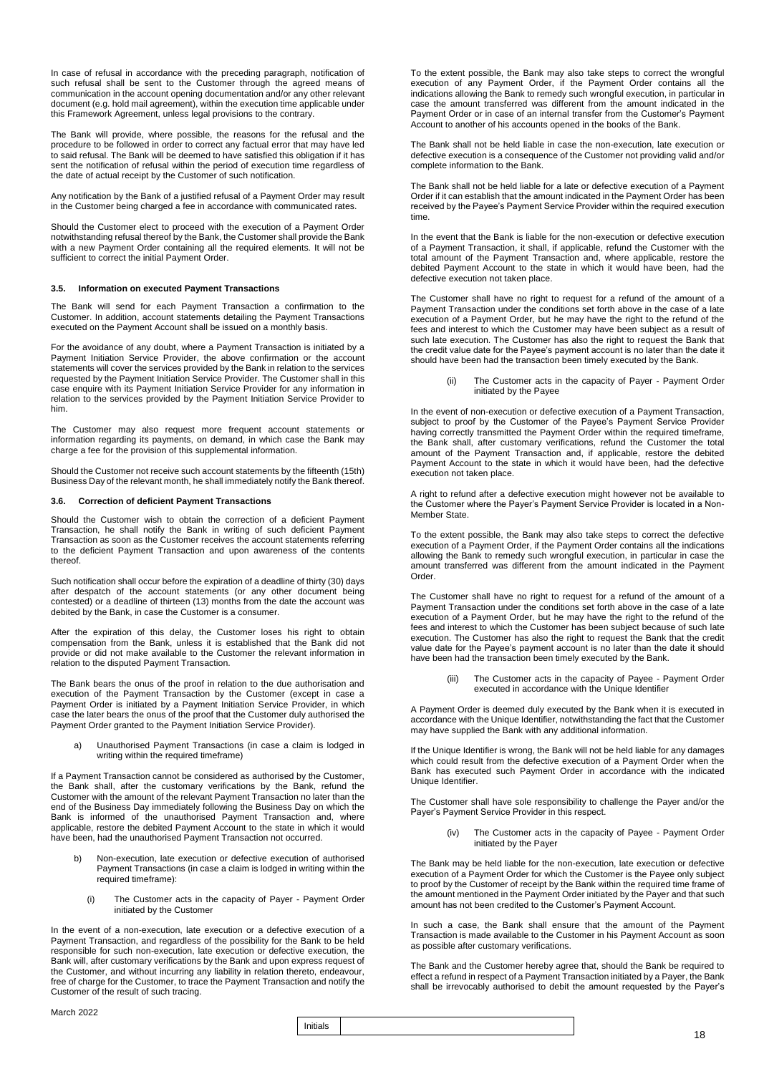In case of refusal in accordance with the preceding paragraph, notification of such refusal shall be sent to the Customer through the agreed means of communication in the account opening documentation and/or any other relevant document (e.g. hold mail agreement), within the execution time applicable under this Framework Agreement, unless legal provisions to the contrary.

The Bank will provide, where possible, the reasons for the refusal and the procedure to be followed in order to correct any factual error that may have led to said refusal. The Bank will be deemed to have satisfied this obligation if it has sent the notification of refusal within the period of execution time regardless of the date of actual receipt by the Customer of such notification.

Any notification by the Bank of a justified refusal of a Payment Order may result in the Customer being charged a fee in accordance with communicated rates.

Should the Customer elect to proceed with the execution of a Payment Order notwithstanding refusal thereof by the Bank, the Customer shall provide the Bank with a new Payment Order containing all the required elements. It will not be sufficient to correct the initial Payment Order.

### **3.5. Information on executed Payment Transactions**

The Bank will send for each Payment Transaction a confirmation to the Customer. In addition, account statements detailing the Payment Transactions executed on the Payment Account shall be issued on a monthly basis.

For the avoidance of any doubt, where a Payment Transaction is initiated by a Payment Initiation Service Provider, the above confirmation or the account statements will cover the services provided by the Bank in relation to the services requested by the Payment Initiation Service Provider. The Customer shall in this case enquire with its Payment Initiation Service Provider for any information in relation to the services provided by the Payment Initiation Service Provider to him.

The Customer may also request more frequent account statements or information regarding its payments, on demand, in which case the Bank may charge a fee for the provision of this supplemental information.

Should the Customer not receive such account statements by the fifteenth (15th) Business Day of the relevant month, he shall immediately notify the Bank thereof.

### **3.6. Correction of deficient Payment Transactions**

Should the Customer wish to obtain the correction of a deficient Payment Transaction, he shall notify the Bank in writing of such deficient Payment Transaction as soon as the Customer receives the account statements referring to the deficient Payment Transaction and upon awareness of the contents thereof.

Such notification shall occur before the expiration of a deadline of thirty (30) days after despatch of the account statements (or any other document being contested) or a deadline of thirteen (13) months from the date the account was debited by the Bank, in case the Customer is a consumer.

After the expiration of this delay, the Customer loses his right to obtain compensation from the Bank, unless it is established that the Bank did not provide or did not make available to the Customer the relevant information in relation to the disputed Payment Transaction.

The Bank bears the onus of the proof in relation to the due authorisation and execution of the Payment Transaction by the Customer (except in case a Payment Order is initiated by a Payment Initiation Service Provider, in which case the later bears the onus of the proof that the Customer duly authorised the Payment Order granted to the Payment Initiation Service Provider).

a) Unauthorised Payment Transactions (in case a claim is lodged in writing within the required timeframe)

If a Payment Transaction cannot be considered as authorised by the Customer, the Bank shall, after the customary verifications by the Bank, refund the Customer with the amount of the relevant Payment Transaction no later than the end of the Business Day immediately following the Business Day on which the Bank is informed of the unauthorised Payment Transaction and, where applicable, restore the debited Payment Account to the state in which it would have been, had the unauthorised Payment Transaction not occurred

- b) Non-execution, late execution or defective execution of authorised Payment Transactions (in case a claim is lodged in writing within the required timeframe):
	- (i) The Customer acts in the capacity of Payer Payment Order initiated by the Customer

In the event of a non-execution, late execution or a defective execution of a Payment Transaction, and regardless of the possibility for the Bank to be held responsible for such non-execution, late execution or defective execution, the Bank will, after customary verifications by the Bank and upon express request of the Customer, and without incurring any liability in relation thereto, endeavour, free of charge for the Customer, to trace the Payment Transaction and notify the Customer of the result of such tracing.

To the extent possible, the Bank may also take steps to correct the wrongful execution of any Payment Order, if the Payment Order contains all the indications allowing the Bank to remedy such wrongful execution, in particular in case the amount transferred was different from the amount indicated in the Payment Order or in case of an internal transfer from the Customer's Payment Account to another of his accounts opened in the books of the Bank.

The Bank shall not be held liable in case the non-execution, late execution or defective execution is a consequence of the Customer not providing valid and/or complete information to the Bank.

The Bank shall not be held liable for a late or defective execution of a Payment Order if it can establish that the amount indicated in the Payment Order has been received by the Payee's Payment Service Provider within the required execution time.

In the event that the Bank is liable for the non-execution or defective execution of a Payment Transaction, it shall, if applicable, refund the Customer with the total amount of the Payment Transaction and, where applicable, restore the debited Payment Account to the state in which it would have been, had the defective execution not taken place.

The Customer shall have no right to request for a refund of the amount of a Payment Transaction under the conditions set forth above in the case of a late execution of a Payment Order, but he may have the right to the refund of the fees and interest to which the Customer may have been subject as a result of such late execution. The Customer has also the right to request the Bank that the credit value date for the Payee's payment account is no later than the date it should have been had the transaction been timely executed by the Bank.

> (ii) The Customer acts in the capacity of Payer - Payment Order initiated by the Payee

In the event of non-execution or defective execution of a Payment Transaction, subject to proof by the Customer of the Payee's Payment Service Provider having correctly transmitted the Payment Order within the required timeframe, the Bank shall, after customary verifications, refund the Customer the total amount of the Payment Transaction and, if applicable, restore the debited Payment Account to the state in which it would have been, had the defective execution not taken place.

A right to refund after a defective execution might however not be available to the Customer where the Payer's Payment Service Provider is located in a Non-Member State.

To the extent possible, the Bank may also take steps to correct the defective execution of a Payment Order, if the Payment Order contains all the indications allowing the Bank to remedy such wrongful execution, in particular in case the amount transferred was different from the amount indicated in the Payment Order.

The Customer shall have no right to request for a refund of the amount of a Payment Transaction under the conditions set forth above in the case of a late execution of a Payment Order, but he may have the right to the refund of the fees and interest to which the Customer has been subject because of such late execution. The Customer has also the right to request the Bank that the credit value date for the Payee's payment account is no later than the date it should have been had the transaction been timely executed by the Bank.

> (iii) The Customer acts in the capacity of Payee - Payment Order executed in accordance with the Unique Identifier

A Payment Order is deemed duly executed by the Bank when it is executed in accordance with the Unique Identifier, notwithstanding the fact that the Customer may have supplied the Bank with any additional information.

If the Unique Identifier is wrong, the Bank will not be held liable for any damages which could result from the defective execution of a Payment Order when the Bank has executed such Payment Order in accordance with the indicated Unique Identifier.

The Customer shall have sole responsibility to challenge the Payer and/or the Payer's Payment Service Provider in this respect.

> (iv) The Customer acts in the capacity of Payee - Payment Order initiated by the Payer

The Bank may be held liable for the non-execution, late execution or defective execution of a Payment Order for which the Customer is the Payee only subject to proof by the Customer of receipt by the Bank within the required time frame of the amount mentioned in the Payment Order initiated by the Payer and that such amount has not been credited to the Customer's Payment Account.

In such a case, the Bank shall ensure that the amount of the Payment Transaction is made available to the Customer in his Payment Account as soon as possible after customary verifications.

The Bank and the Customer hereby agree that, should the Bank be required to effect a refund in respect of a Payment Transaction initiated by a Payer, the Bank shall be irrevocably authorised to debit the amount requested by the Payer's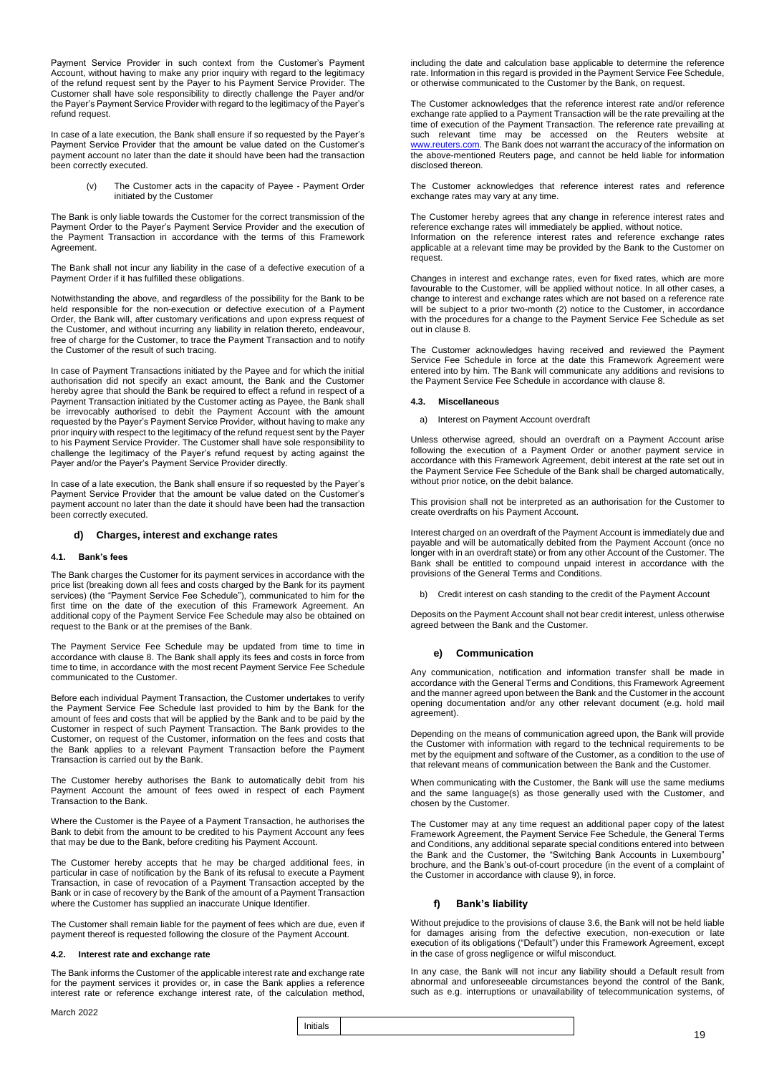Payment Service Provider in such context from the Customer's Payment Account, without having to make any prior inquiry with regard to the legitimacy of the refund request sent by the Payer to his Payment Service Provider. The Customer shall have sole responsibility to directly challenge the Payer and/or the Payer's Payment Service Provider with regard to the legitimacy of the Payer's refund request.

In case of a late execution, the Bank shall ensure if so requested by the Payer's Payment Service Provider that the amount be value dated on the Customer's payment account no later than the date it should have been had the transaction been correctly executed.

> (v) The Customer acts in the capacity of Payee - Payment Order initiated by the Customer

The Bank is only liable towards the Customer for the correct transmission of the Payment Order to the Payer's Payment Service Provider and the execution of the Payment Transaction in accordance with the terms of this Framework Agreement.

The Bank shall not incur any liability in the case of a defective execution of a Payment Order if it has fulfilled these obligations.

Notwithstanding the above, and regardless of the possibility for the Bank to be held responsible for the non-execution or defective execution of a Payment Order, the Bank will, after customary verifications and upon express request of the Customer, and without incurring any liability in relation thereto, endeavour, free of charge for the Customer, to trace the Payment Transaction and to notify the Customer of the result of such tracing.

In case of Payment Transactions initiated by the Payee and for which the initial authorisation did not specify an exact amount, the Bank and the Customer hereby agree that should the Bank be required to effect a refund in respect of a Payment Transaction initiated by the Customer acting as Payee, the Bank shall be irrevocably authorised to debit the Payment Account with the amount requested by the Payer's Payment Service Provider, without having to make any prior inquiry with respect to the legitimacy of the refund request sent by the Payer to his Payment Service Provider. The Customer shall have sole responsibility to challenge the legitimacy of the Payer's refund request by acting against the Payer and/or the Payer's Payment Service Provider directly.

In case of a late execution, the Bank shall ensure if so requested by the Payer's Payment Service Provider that the amount be value dated on the Customer's payment account no later than the date it should have been had the transaction been correctly executed.

### **d) Charges, interest and exchange rates**

### **4.1. Bank's fees**

The Bank charges the Customer for its payment services in accordance with the price list (breaking down all fees and costs charged by the Bank for its payment services) (the "Payment Service Fee Schedule"), communicated to him for the first time on the date of the execution of this Framework Agreement. An additional copy of the Payment Service Fee Schedule may also be obtained on request to the Bank or at the premises of the Bank.

The Payment Service Fee Schedule may be updated from time to time in accordance with clause 8. The Bank shall apply its fees and costs in force from time to time, in accordance with the most recent Payment Service Fee Schedule communicated to the Customer.

Before each individual Payment Transaction, the Customer undertakes to verify the Payment Service Fee Schedule last provided to him by the Bank for the amount of fees and costs that will be applied by the Bank and to be paid by the Customer in respect of such Payment Transaction. The Bank provides to the Customer, on request of the Customer, information on the fees and costs that the Bank applies to a relevant Payment Transaction before the Payment Transaction is carried out by the Bank.

The Customer hereby authorises the Bank to automatically debit from his Payment Account the amount of fees owed in respect of each Payment Transaction to the Bank.

Where the Customer is the Payee of a Payment Transaction, he authorises the Bank to debit from the amount to be credited to his Payment Account any fees that may be due to the Bank, before crediting his Payment Account.

The Customer hereby accepts that he may be charged additional fees, in particular in case of notification by the Bank of its refusal to execute a Payment Transaction, in case of revocation of a Payment Transaction accepted by the Bank or in case of recovery by the Bank of the amount of a Payment Transaction where the Customer has supplied an inaccurate Unique Identifier.

The Customer shall remain liable for the payment of fees which are due, even if payment thereof is requested following the closure of the Payment Account.

### **4.2. Interest rate and exchange rate**

The Bank informs the Customer of the applicable interest rate and exchange rate for the payment services it provides or, in case the Bank applies a reference interest rate or reference exchange interest rate, of the calculation method,

### March 2022

including the date and calculation base applicable to determine the reference rate. Information in this regard is provided in the Payment Service Fee Schedule, or otherwise communicated to the Customer by the Bank, on request.

The Customer acknowledges that the reference interest rate and/or reference exchange rate applied to a Payment Transaction will be the rate prevailing at the time of execution of the Payment Transaction. The reference rate prevailing at such relevant time may be accessed on the Reuters website at [www.reuters.com.](http://www.reuters.com/) The Bank does not warrant the accuracy of the information on the above-mentioned Reuters page, and cannot be held liable for information disclosed thereon.

The Customer acknowledges that reference interest rates and reference exchange rates may vary at any time.

The Customer hereby agrees that any change in reference interest rates and reference exchange rates will immediately be applied, without notice. Information on the reference interest rates and reference exchange rates applicable at a relevant time may be provided by the Bank to the Customer on request.

Changes in interest and exchange rates, even for fixed rates, which are more favourable to the Customer, will be applied without notice. In all other cases, a change to interest and exchange rates which are not based on a reference rate will be subject to a prior two-month (2) notice to the Customer, in accordance with the procedures for a change to the Payment Service Fee Schedule as set out in clause 8.

The Customer acknowledges having received and reviewed the Payment Service Fee Schedule in force at the date this Framework Agreement were entered into by him. The Bank will communicate any additions and revisions to the Payment Service Fee Schedule in accordance with clause 8.

### **4.3. Miscellaneous**

a) Interest on Payment Account overdraft

Unless otherwise agreed, should an overdraft on a Payment Account arise following the execution of a Payment Order or another payment service in accordance with this Framework Agreement, debit interest at the rate set out in the Payment Service Fee Schedule of the Bank shall be charged automatically, without prior notice, on the debit balance.

This provision shall not be interpreted as an authorisation for the Customer to create overdrafts on his Payment Account.

Interest charged on an overdraft of the Payment Account is immediately due and payable and will be automatically debited from the Payment Account (once no longer with in an overdraft state) or from any other Account of the Customer. The Bank shall be entitled to compound unpaid interest in accordance with the provisions of the General Terms and Conditions.

b) Credit interest on cash standing to the credit of the Payment Account

Deposits on the Payment Account shall not bear credit interest, unless otherwise agreed between the Bank and the Customer.

### **e) Communication**

Any communication, notification and information transfer shall be made in accordance with the General Terms and Conditions, this Framework Agreement and the manner agreed upon between the Bank and the Customer in the account opening documentation and/or any other relevant document (e.g. hold mail agreement).

Depending on the means of communication agreed upon, the Bank will provide the Customer with information with regard to the technical requirements to be met by the equipment and software of the Customer, as a condition to the use of that relevant means of communication between the Bank and the Customer.

When communicating with the Customer, the Bank will use the same mediums and the same language(s) as those generally used with the Customer, and chosen by the Customer.

The Customer may at any time request an additional paper copy of the latest Framework Agreement, the Payment Service Fee Schedule, the General Terms and Conditions, any additional separate special conditions entered into between the Bank and the Customer, the "Switching Bank Accounts in Luxembourg" brochure, and the Bank's out-of-court procedure (in the event of a complaint of the Customer in accordance with clause 9), in force.

### **f) Bank's liability**

Without prejudice to the provisions of clause 3.6, the Bank will not be held liable for damages arising from the defective execution, non-execution or late execution of its obligations ("Default") under this Framework Agreement, except in the case of gross negligence or wilful misconduct.

In any case, the Bank will not incur any liability should a Default result from abnormal and unforeseeable circumstances beyond the control of the Bank, such as e.g. interruptions or unavailability of telecommunication systems, of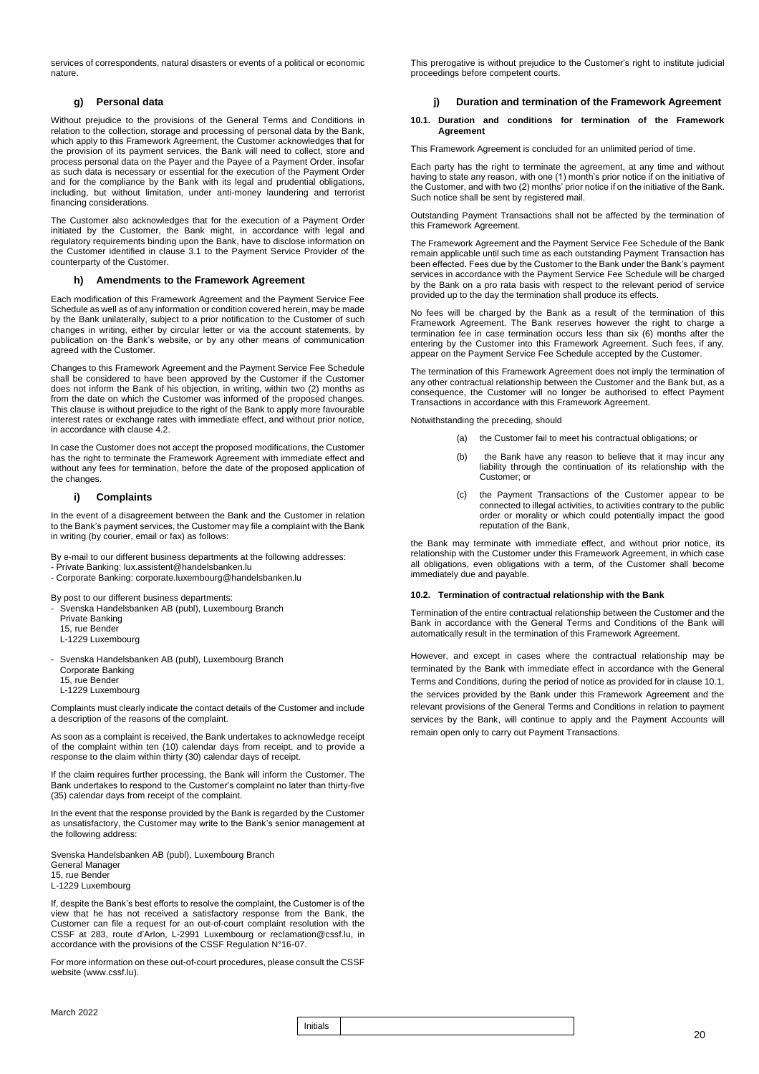services of correspondents, natural disasters or events of a political or economic nature.

### **g) Personal data**

Without prejudice to the provisions of the General Terms and Conditions in relation to the collection, storage and processing of personal data by the Bank, which apply to this Framework Agreement, the Customer acknowledges that for the provision of its payment services, the Bank will need to collect, store and process personal data on the Payer and the Payee of a Payment Order, insofar as such data is necessary or essential for the execution of the Payment Order and for the compliance by the Bank with its legal and prudential obligations, including, but without limitation, under anti-money laundering and terrorist financing considerations.

The Customer also acknowledges that for the execution of a Payment Order initiated by the Customer, the Bank might, in accordance with legal and regulatory requirements binding upon the Bank, have to disclose information on the Customer identified in clause 3.1 to the Payment Service Provider of the counterparty of the Customer.

### **h) Amendments to the Framework Agreement**

Each modification of this Framework Agreement and the Payment Service Fee Schedule as well as of any information or condition covered herein, may be made by the Bank unilaterally, subject to a prior notification to the Customer of such changes in writing, either by circular letter or via the account statements, by publication on the Bank's website, or by any other means of communication agreed with the Customer.

Changes to this Framework Agreement and the Payment Service Fee Schedule shall be considered to have been approved by the Customer if the Customer does not inform the Bank of his objection, in writing, within two (2) months as from the date on which the Customer was informed of the proposed changes. This clause is without prejudice to the right of the Bank to apply more favourable interest rates or exchange rates with immediate effect, and without prior notice, in accordance with clause 4.2.

In case the Customer does not accept the proposed modifications, the Customer has the right to terminate the Framework Agreement with immediate effect and without any fees for termination, before the date of the proposed application of the changes.

### **i) Complaints**

In the event of a disagreement between the Bank and the Customer in relation to the Bank's payment services, the Customer may file a complaint with the Bank in writing (by courier, email or fax) as follows:

By e-mail to our different business departments at the following addresses:

- Private Banking: lux.assistent@handelsbanken.lu
- Corporate Banking: corporate.luxembourg@handelsbanken.lu

By post to our different business departments:

- Svenska Handelsbanken AB (publ), Luxembourg Branch
- Private Banking
- 15, rue Bender
- L-1229 Luxembourg
- Svenska Handelsbanken AB (publ), Luxembourg Branch Corporate Banking 15, rue Bender
- L-1229 Luxembourg

Complaints must clearly indicate the contact details of the Customer and include a description of the reasons of the complaint.

As soon as a complaint is received, the Bank undertakes to acknowledge receipt of the complaint within ten (10) calendar days from receipt, and to provide a response to the claim within thirty (30) calendar days of receipt.

If the claim requires further processing, the Bank will inform the Customer. The Bank undertakes to respond to the Customer's complaint no later than thirty-five (35) calendar days from receipt of the complaint.

In the event that the response provided by the Bank is regarded by the Customer as unsatisfactory, the Customer may write to the Bank's senior management at the following address:

Svenska Handelsbanken AB (publ), Luxembourg Branch General Manager 15, rue Bender L-1229 Luxembourg

If, despite the Bank's best efforts to resolve the complaint, the Customer is of the view that he has not received a satisfactory response from the Bank, the Customer can file a request for an out-of-court complaint resolution with the CSSF at 283, route d'Arlon, L-2991 Luxembourg or reclamation@cssf.lu, in accordance with the provisions of the CSSF Regulation N°16-07.

For more information on these out-of-court procedures, please consult the CSSF website (www.cssf.lu).

This prerogative is without prejudice to the Customer's right to institute judicial proceedings before competent courts.

### **j) Duration and termination of the Framework Agreement**

### **10.1. Duration and conditions for termination of the Framework Agreement**

This Framework Agreement is concluded for an unlimited period of time.

Each party has the right to terminate the agreement, at any time and without having to state any reason, with one (1) month's prior notice if on the initiative of the Customer, and with two (2) months' prior notice if on the initiative of the Bank. Such notice shall be sent by registered mail.

Outstanding Payment Transactions shall not be affected by the termination of this Framework Agreement.

The Framework Agreement and the Payment Service Fee Schedule of the Bank remain applicable until such time as each outstanding Payment Transaction has been effected. Fees due by the Customer to the Bank under the Bank's payment services in accordance with the Payment Service Fee Schedule will be charged by the Bank on a pro rata basis with respect to the relevant period of service provided up to the day the termination shall produce its effects.

No fees will be charged by the Bank as a result of the termination of this Framework Agreement. The Bank reserves however the right to charge a termination fee in case termination occurs less than six (6) months after the entering by the Customer into this Framework Agreement. Such fees, if any, appear on the Payment Service Fee Schedule accepted by the Customer.

The termination of this Framework Agreement does not imply the termination of any other contractual relationship between the Customer and the Bank but, as a consequence, the Customer will no longer be authorised to effect Payment Transactions in accordance with this Framework Agreement.

Notwithstanding the preceding, should

- (a) the Customer fail to meet his contractual obligations; or
- (b) the Bank have any reason to believe that it may incur any liability through the continuation of its relationship with the Customer; or
- (c) the Payment Transactions of the Customer appear to be connected to illegal activities, to activities contrary to the public order or morality or which could potentially impact the good reputation of the Bank,

the Bank may terminate with immediate effect, and without prior notice, its relationship with the Customer under this Framework Agreement, in which case all obligations, even obligations with a term, of the Customer shall become immediately due and payable.

### **10.2. Termination of contractual relationship with the Bank**

Termination of the entire contractual relationship between the Customer and the Bank in accordance with the General Terms and Conditions of the Bank will automatically result in the termination of this Framework Agreement.

However, and except in cases where the contractual relationship may be terminated by the Bank with immediate effect in accordance with the General Terms and Conditions, during the period of notice as provided for in clause 10.1, the services provided by the Bank under this Framework Agreement and the relevant provisions of the General Terms and Conditions in relation to payment services by the Bank, will continue to apply and the Payment Accounts will remain open only to carry out Payment Transactions.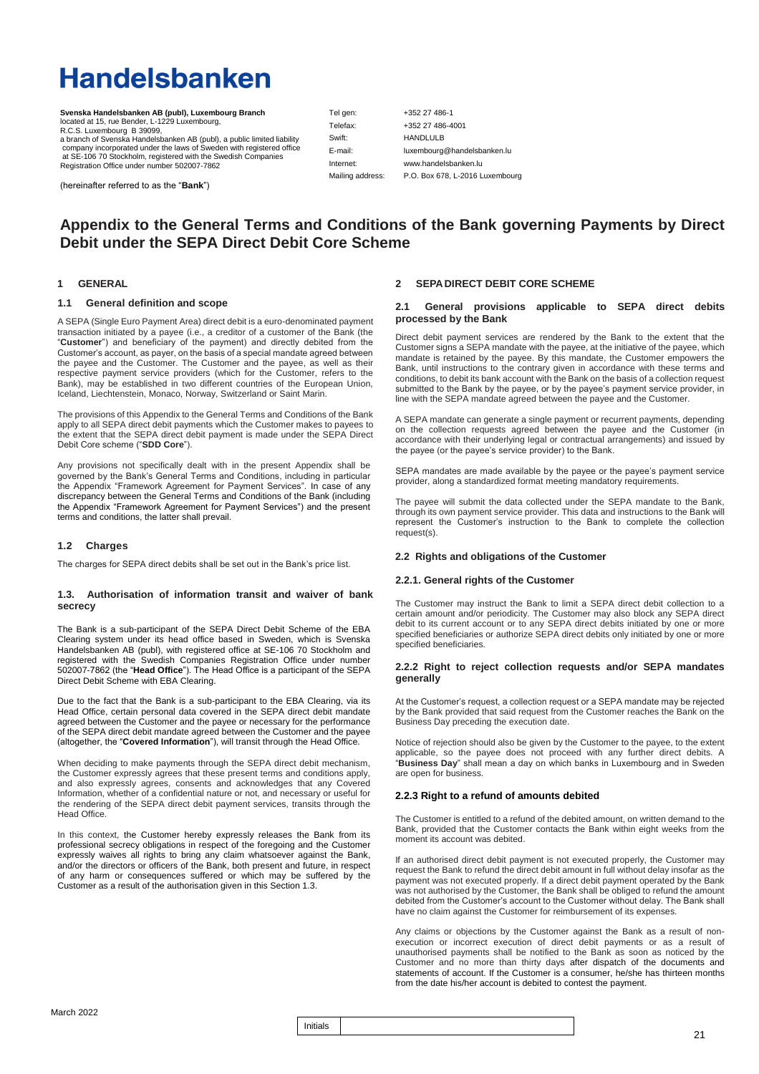# **Handelsbanken**

**Svenska Handelsbanken AB (publ), Luxembourg Branch** located at 15, rue Bender, L-1229 Luxembourg, R.C.S. Luxembourg B 39099, a branch of Svenska Handelsbanken AB (publ), a public limited liability company incorporated under the laws of Sweden with registered office at SE-106 70 Stockholm, registered with the Swedish Companies Registration Office under number 502007-7862

Telefax: Swift: E-mail: Internet: Mailing address:

Tel gen:

+352 27 486-1 +352 27 486-4001 HANDLULB luxembourg@handelsbanken.lu [www.handelsbanken.lu](http://www.handelsbanken.lu/) P.O. Box 678, L-2016 Luxembourg

(hereinafter referred to as the "**Bank**")

### **Appendix to the General Terms and Conditions of the Bank governing Payments by Direct Debit under the SEPA Direct Debit Core Scheme**

### **1 GENERAL**

### **1.1 General definition and scope**

A SEPA (Single Euro Payment Area) direct debit is a euro-denominated payment transaction initiated by a payee (i.e., a creditor of a customer of the Bank (the "**Customer**") and beneficiary of the payment) and directly debited from the Customer's account, as payer, on the basis of a special mandate agreed between the payee and the Customer. The Customer and the payee, as well as their respective payment service providers (which for the Customer, refers to the Bank), may be established in two different countries of the European Union, Iceland, Liechtenstein, Monaco, Norway, Switzerland or Saint Marin.

The provisions of this Appendix to the General Terms and Conditions of the Bank apply to all SEPA direct debit payments which the Customer makes to payees to the extent that the SEPA direct debit payment is made under the SEPA Direct Debit Core scheme ("**SDD Core**").

Any provisions not specifically dealt with in the present Appendix shall be governed by the Bank's General Terms and Conditions, including in particular the Appendix "Framework Agreement for Payment Services". In case of any discrepancy between the General Terms and Conditions of the Bank (including the Appendix "Framework Agreement for Payment Services") and the present terms and conditions, the latter shall prevail.

### **1.2 Charges**

The charges for SEPA direct debits shall be set out in the Bank's price list.

### **1.3. Authorisation of information transit and waiver of bank secrecy**

The Bank is a sub-participant of the SEPA Direct Debit Scheme of the EBA Clearing system under its head office based in Sweden, which is Svenska Handelsbanken AB (publ), with registered office at SE-106 70 Stockholm and registered with the Swedish Companies Registration Office under number 502007-7862 (the "**Head Office**"). The Head Office is a participant of the SEPA Direct Debit Scheme with EBA Clearing.

Due to the fact that the Bank is a sub-participant to the EBA Clearing, via its Head Office, certain personal data covered in the SEPA direct debit mandate agreed between the Customer and the payee or necessary for the performance of the SEPA direct debit mandate agreed between the Customer and the payee (altogether, the "**Covered Information**"), will transit through the Head Office.

When deciding to make payments through the SEPA direct debit mechanism, the Customer expressly agrees that these present terms and conditions apply, and also expressly agrees, consents and acknowledges that any Covered Information, whether of a confidential nature or not, and necessary or useful for the rendering of the SEPA direct debit payment services, transits through the Head Office.

In this context, the Customer hereby expressly releases the Bank from its professional secrecy obligations in respect of the foregoing and the Customer expressly waives all rights to bring any claim whatsoever against the Bank, and/or the directors or officers of the Bank, both present and future, in respect of any harm or consequences suffered or which may be suffered by the Customer as a result of the authorisation given in this Section 1.3.

### **2 SEPA DIRECT DEBIT CORE SCHEME**

### **2.1 General provisions applicable to SEPA direct debits processed by the Bank**

Direct debit payment services are rendered by the Bank to the extent that the Customer signs a SEPA mandate with the payee, at the initiative of the payee, which mandate is retained by the payee. By this mandate, the Customer empowers the Bank, until instructions to the contrary given in accordance with these terms and conditions, to debit its bank account with the Bank on the basis of a collection request submitted to the Bank by the payee, or by the payee's payment service provider, in line with the SEPA mandate agreed between the payee and the Customer.

A SEPA mandate can generate a single payment or recurrent payments, depending on the collection requests agreed between the payee and the Customer (in accordance with their underlying legal or contractual arrangements) and issued by the payee (or the payee's service provider) to the Bank.

SEPA mandates are made available by the payee or the payee's payment service provider, along a standardized format meeting mandatory requirements.

The payee will submit the data collected under the SEPA mandate to the Bank, through its own payment service provider. This data and instructions to the Bank will represent the Customer's instruction to the Bank to complete the collection request(s).

### **2.2 Rights and obligations of the Customer**

### **2.2.1. General rights of the Customer**

The Customer may instruct the Bank to limit a SEPA direct debit collection to a certain amount and/or periodicity. The Customer may also block any SEPA direct debit to its current account or to any SEPA direct debits initiated by one or more specified beneficiaries or authorize SEPA direct debits only initiated by one or more specified beneficiaries.

### **2.2.2 Right to reject collection requests and/or SEPA mandates generally**

At the Customer's request, a collection request or a SEPA mandate may be rejected by the Bank provided that said request from the Customer reaches the Bank on the Business Day preceding the execution date.

Notice of rejection should also be given by the Customer to the payee, to the extent applicable, so the payee does not proceed with any further direct debits. A "**Business Day**" shall mean a day on which banks in Luxembourg and in Sweden are open for business.

### **2.2.3 Right to a refund of amounts debited**

The Customer is entitled to a refund of the debited amount, on written demand to the Bank, provided that the Customer contacts the Bank within eight weeks from the moment its account was debited.

If an authorised direct debit payment is not executed properly, the Customer may request the Bank to refund the direct debit amount in full without delay insofar as the payment was not executed properly. If a direct debit payment operated by the Bank was not authorised by the Customer, the Bank shall be obliged to refund the amount debited from the Customer's account to the Customer without delay. The Bank shall have no claim against the Customer for reimbursement of its expenses.

Any claims or objections by the Customer against the Bank as a result of nonexecution or incorrect execution of direct debit payments or as a result of unauthorised payments shall be notified to the Bank as soon as noticed by the Customer and no more than thirty days after dispatch of the documents and statements of account. If the Customer is a consumer, he/she has thirteen months from the date his/her account is debited to contest the payment.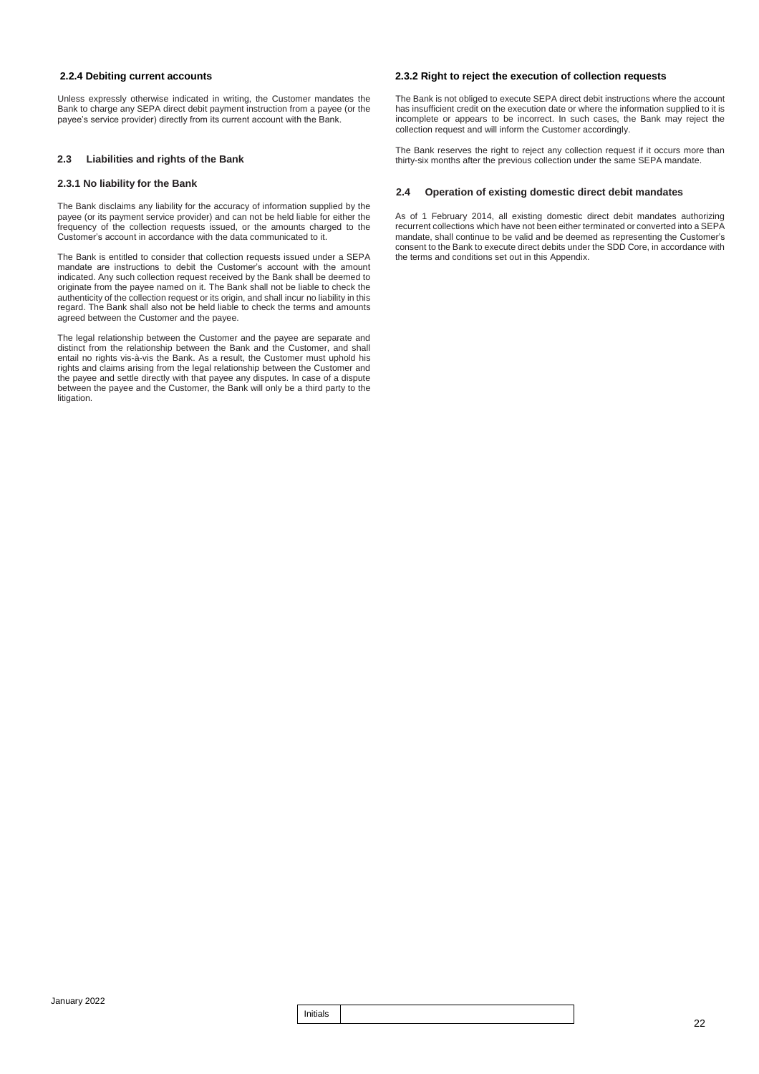### **2.2.4 Debiting current accounts**

Unless expressly otherwise indicated in writing, the Customer mandates the Bank to charge any SEPA direct debit payment instruction from a payee (or the payee's service provider) directly from its current account with the Bank.

### **2.3 Liabilities and rights of the Bank**

### **2.3.1 No liability for the Bank**

The Bank disclaims any liability for the accuracy of information supplied by the payee (or its payment service provider) and can not be held liable for either the frequency of the collection requests issued, or the amounts charged to the Customer's account in accordance with the data communicated to it.

The Bank is entitled to consider that collection requests issued under a SEPA mandate are instructions to debit the Customer's account with the amount indicated. Any such collection request received by the Bank shall be deemed to originate from the payee named on it. The Bank shall not be liable to check the authenticity of the collection request or its origin, and shall incur no liability in this regard. The Bank shall also not be held liable to check the terms and amounts agreed between the Customer and the payee.

The legal relationship between the Customer and the payee are separate and distinct from the relationship between the Bank and the Customer, and shall entail no rights vis-à-vis the Bank. As a result, the Customer must uphold his rights and claims arising from the legal relationship between the Customer and the payee and settle directly with that payee any disputes. In case of a dispute between the payee and the Customer, the Bank will only be a third party to the litigation.

### **2.3.2 Right to reject the execution of collection requests**

The Bank is not obliged to execute SEPA direct debit instructions where the account has insufficient credit on the execution date or where the information supplied to it is incomplete or appears to be incorrect. In such cases, the Bank may reject the collection request and will inform the Customer accordingly.

The Bank reserves the right to reject any collection request if it occurs more than thirty-six months after the previous collection under the same SEPA mandate.

### **2.4 Operation of existing domestic direct debit mandates**

As of 1 February 2014, all existing domestic direct debit mandates authorizing recurrent collections which have not been either terminated or converted into a SEPA mandate, shall continue to be valid and be deemed as representing the Customer's consent to the Bank to execute direct debits under the SDD Core, in accordance with the terms and conditions set out in this Appendix.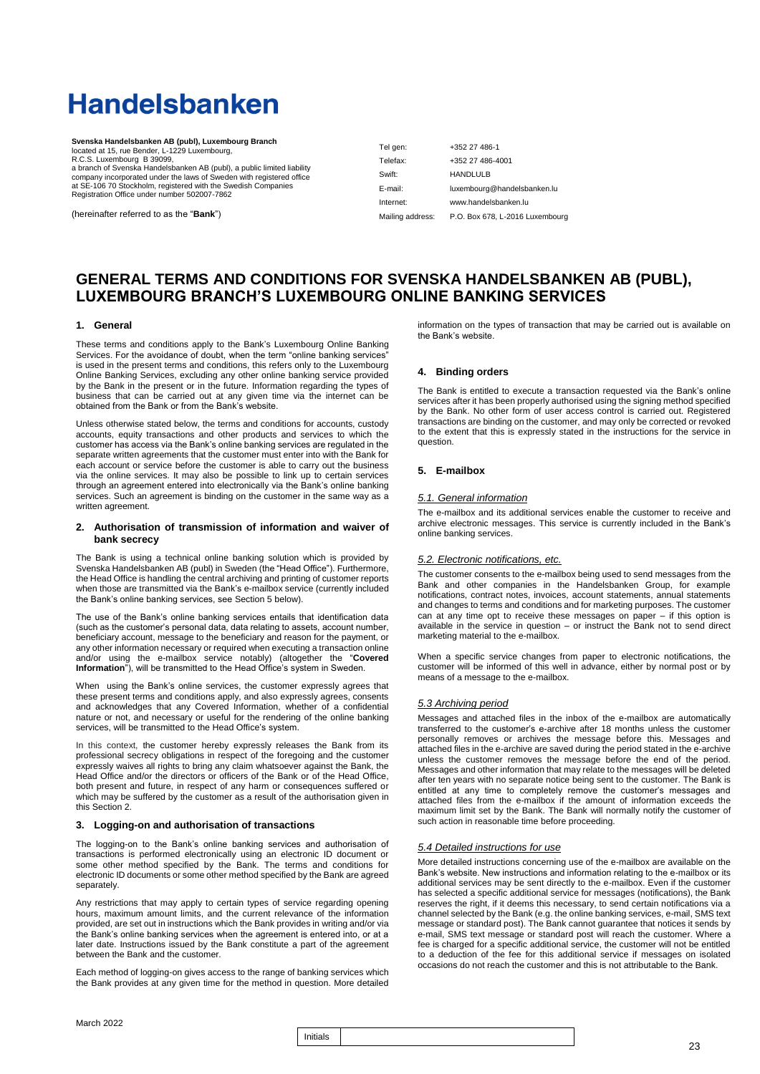# **Handelsbanken**

| Svenska Handelsbanken AB (publ), Luxembourg Branch                                                                                              |           |                                                  |
|-------------------------------------------------------------------------------------------------------------------------------------------------|-----------|--------------------------------------------------|
| located at 15, rue Bender, L-1229 Luxembourg,                                                                                                   | Tel gen:  | +352 27 486-1                                    |
| R.C.S. Luxembourg B 39099,                                                                                                                      | Telefax:  | +352 27 486-4001                                 |
| a branch of Svenska Handelsbanken AB (publ), a public limited liability<br>company incorporated under the laws of Sweden with registered office | Swift:    | <b>HANDLULB</b>                                  |
| at SE-106 70 Stockholm, registered with the Swedish Companies<br>Registration Office under number 502007-7862                                   | E-mail:   | luxembourg@handelsbanken.lu                      |
|                                                                                                                                                 | Internet: | www.handelsbanken.lu                             |
| (hereinafter referred to as the " <b>Bank</b> ")                                                                                                |           | Mailing address: P.O. Box 678, L-2016 Luxembourd |

### **GENERAL TERMS AND CONDITIONS FOR SVENSKA HANDELSBANKEN AB (PUBL), LUXEMBOURG BRANCH'S LUXEMBOURG ONLINE BANKING SERVICES**

### **1. General**

These terms and conditions apply to the Bank's Luxembourg Online Banking Services. For the avoidance of doubt, when the term "online banking services" is used in the present terms and conditions, this refers only to the Luxembourg Online Banking Services, excluding any other online banking service provided by the Bank in the present or in the future. Information regarding the types of business that can be carried out at any given time via the internet can be obtained from the Bank or from the Bank's website.

Unless otherwise stated below, the terms and conditions for accounts, custody accounts, equity transactions and other products and services to which the customer has access via the Bank's online banking services are regulated in the separate written agreements that the customer must enter into with the Bank for each account or service before the customer is able to carry out the business via the online services. It may also be possible to link up to certain services through an agreement entered into electronically via the Bank's online banking services. Such an agreement is binding on the customer in the same way as a written agreement.

### **2. Authorisation of transmission of information and waiver of bank secrecy**

The Bank is using a technical online banking solution which is provided by Svenska Handelsbanken AB (publ) in Sweden (the "Head Office"). Furthermore, the Head Office is handling the central archiving and printing of customer reports when those are transmitted via the Bank's e-mailbox service (currently included the Bank's online banking services, see Section 5 below).

The use of the Bank's online banking services entails that identification data (such as the customer's personal data, data relating to assets, account number, beneficiary account, message to the beneficiary and reason for the payment, or any other information necessary or required when executing a transaction online and/or using the e-mailbox service notably) (altogether the "**Covered Information**"), will be transmitted to the Head Office's system in Sweden.

When using the Bank's online services, the customer expressly agrees that these present terms and conditions apply, and also expressly agrees, consents and acknowledges that any Covered Information, whether of a confidential nature or not, and necessary or useful for the rendering of the online banking services, will be transmitted to the Head Office's system.

In this context, the customer hereby expressly releases the Bank from its professional secrecy obligations in respect of the foregoing and the customer expressly waives all rights to bring any claim whatsoever against the Bank, the Head Office and/or the directors or officers of the Bank or of the Head Office, both present and future, in respect of any harm or consequences suffered or which may be suffered by the customer as a result of the authorisation given in this Section 2.

### **3. Logging-on and authorisation of transactions**

The logging-on to the Bank's online banking services and authorisation of transactions is performed electronically using an electronic ID document or some other method specified by the Bank. The terms and conditions for electronic ID documents or some other method specified by the Bank are agreed separately.

Any restrictions that may apply to certain types of service regarding opening hours, maximum amount limits, and the current relevance of the information provided, are set out in instructions which the Bank provides in writing and/or via the Bank's online banking services when the agreement is entered into, or at a later date. Instructions issued by the Bank constitute a part of the agreement between the Bank and the customer.

Each method of logging-on gives access to the range of banking services which the Bank provides at any given time for the method in question. More detailed information on the types of transaction that may be carried out is available on the Bank's website.

### **4. Binding orders**

The Bank is entitled to execute a transaction requested via the Bank's online services after it has been properly authorised using the signing method specified by the Bank. No other form of user access control is carried out. Registered transactions are binding on the customer, and may only be corrected or revoked to the extent that this is expressly stated in the instructions for the service in question.

### **5. E-mailbox**

### *5.1. General information*

The e-mailbox and its additional services enable the customer to receive and archive electronic messages. This service is currently included in the Bank's online banking services.

### *5.2. Electronic notifications, etc.*

The customer consents to the e-mailbox being used to send messages from the Bank and other companies in the Handelsbanken Group, for example notifications, contract notes, invoices, account statements, annual statements and changes to terms and conditions and for marketing purposes. The customer can at any time opt to receive these messages on paper – if this option is available in the service in question – or instruct the Bank not to send direct marketing material to the e-mailbox.

When a specific service changes from paper to electronic notifications, the customer will be informed of this well in advance, either by normal post or by means of a message to the e-mailbox.

### *5.3 Archiving period*

Messages and attached files in the inbox of the e-mailbox are automatically transferred to the customer's e-archive after 18 months unless the customer personally removes or archives the message before this. Messages and attached files in the e-archive are saved during the period stated in the e-archive unless the customer removes the message before the end of the period. Messages and other information that may relate to the messages will be deleted after ten years with no separate notice being sent to the customer. The Bank is entitled at any time to completely remove the customer's messages and attached files from the e-mailbox if the amount of information exceeds the maximum limit set by the Bank. The Bank will normally notify the customer of such action in reasonable time before proceeding.

### *5.4 Detailed instructions for use*

More detailed instructions concerning use of the e-mailbox are available on the Bank's website. New instructions and information relating to the e-mailbox or its additional services may be sent directly to the e-mailbox. Even if the customer has selected a specific additional service for messages (notifications), the Bank reserves the right, if it deems this necessary, to send certain notifications via a channel selected by the Bank (e.g. the online banking services, e-mail, SMS text message or standard post). The Bank cannot guarantee that notices it sends by e-mail, SMS text message or standard post will reach the customer. Where a fee is charged for a specific additional service, the customer will not be entitled to a deduction of the fee for this additional service if messages on isolated occasions do not reach the customer and this is not attributable to the Bank.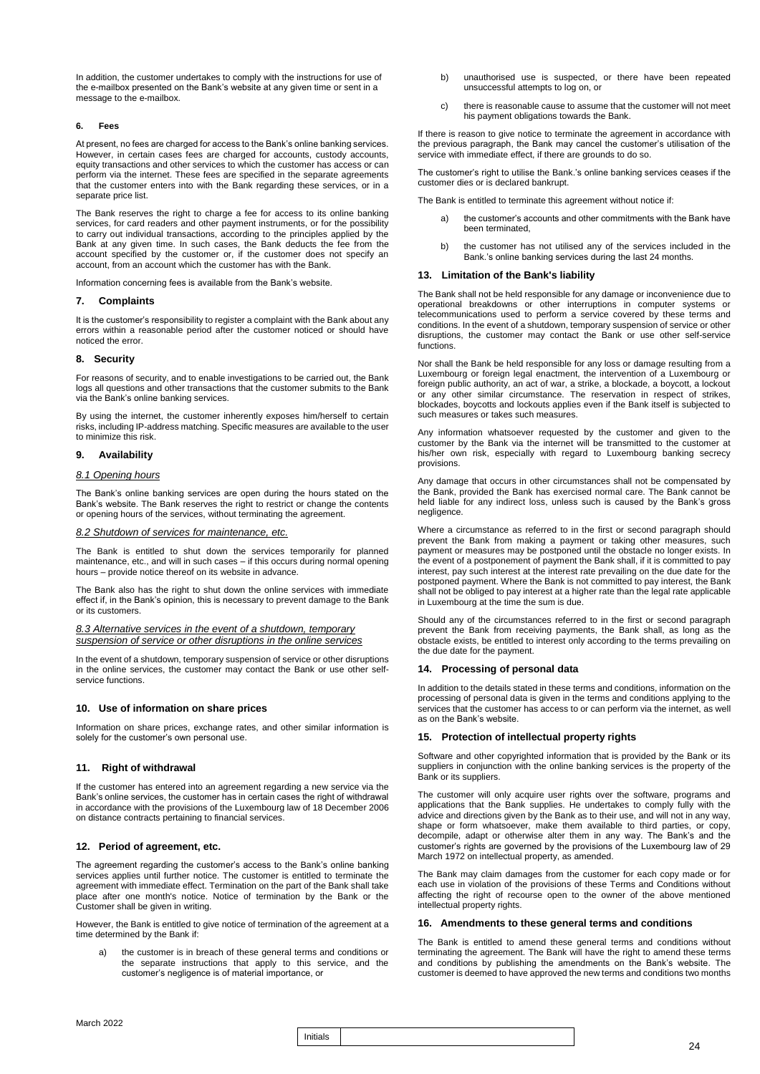In addition, the customer undertakes to comply with the instructions for use of the e-mailbox presented on the Bank's website at any given time or sent in a message to the e-mailbox.

### **6. Fees**

At present, no fees are charged for access to the Bank's online banking services. However, in certain cases fees are charged for accounts, custody accounts, equity transactions and other services to which the customer has access or can perform via the internet. These fees are specified in the separate agreements that the customer enters into with the Bank regarding these services, or in a separate price list.

The Bank reserves the right to charge a fee for access to its online banking services, for card readers and other payment instruments, or for the possibility to carry out individual transactions, according to the principles applied by the Bank at any given time. In such cases, the Bank deducts the fee from the account specified by the customer or, if the customer does not specify an account, from an account which the customer has with the Bank.

Information concerning fees is available from the Bank's website.

### **7. Complaints**

It is the customer's responsibility to register a complaint with the Bank about any errors within a reasonable period after the customer noticed or should have noticed the error.

### **8. Security**

For reasons of security, and to enable investigations to be carried out, the Bank logs all questions and other transactions that the customer submits to the Bank via the Bank's online banking services.

By using the internet, the customer inherently exposes him/herself to certain risks, including IP-address matching. Specific measures are available to the user to minimize this risk.

### **9. Availability**

### *8.1 Opening hours*

The Bank's online banking services are open during the hours stated on the Bank's website. The Bank reserves the right to restrict or change the contents or opening hours of the services, without terminating the agreement.

### *8.2 Shutdown of services for maintenance, etc.*

The Bank is entitled to shut down the services temporarily for planned maintenance, etc., and will in such cases – if this occurs during normal opening hours – provide notice thereof on its website in advance.

The Bank also has the right to shut down the online services with immediate effect if, in the Bank's opinion, this is necessary to prevent damage to the Bank or its customers.

### *8.3 Alternative services in the event of a shutdown, temporary suspension of service or other disruptions in the online services*

In the event of a shutdown, temporary suspension of service or other disruptions in the online services, the customer may contact the Bank or use other selfservice functions.

### **10. Use of information on share prices**

Information on share prices, exchange rates, and other similar information is solely for the customer's own personal use.

### **11. Right of withdrawal**

If the customer has entered into an agreement regarding a new service via the Bank's online services, the customer has in certain cases the right of withdrawal in accordance with the provisions of the Luxembourg law of 18 December 2006 on distance contracts pertaining to financial services.

### **12. Period of agreement, etc.**

The agreement regarding the customer's access to the Bank's online banking services applies until further notice. The customer is entitled to terminate the agreement with immediate effect. Termination on the part of the Bank shall take place after one month's notice. Notice of termination by the Bank or the Customer shall be given in writing.

However, the Bank is entitled to give notice of termination of the agreement at a time determined by the Bank if:

the customer is in breach of these general terms and conditions or the separate instructions that apply to this service, and the customer's negligence is of material importance, or

- b) unauthorised use is suspected, or there have been repeated unsuccessful attempts to log on, or
- c) there is reasonable cause to assume that the customer will not meet his payment obligations towards the Bank.

If there is reason to give notice to terminate the agreement in accordance with the previous paragraph, the Bank may cancel the customer's utilisation of the service with immediate effect, if there are grounds to do so.

The customer's right to utilise the Bank.'s online banking services ceases if the customer dies or is declared bankrupt.

The Bank is entitled to terminate this agreement without notice if:

- a) the customer's accounts and other commitments with the Bank have been terminated,
- b) the customer has not utilised any of the services included in the Bank.'s online banking services during the last 24 months.

### **13. Limitation of the Bank's liability**

The Bank shall not be held responsible for any damage or inconvenience due to operational breakdowns or other interruptions in computer systems or telecommunications used to perform a service covered by these terms and conditions. In the event of a shutdown, temporary suspension of service or other disruptions, the customer may contact the Bank or use other self-service functions.

Nor shall the Bank be held responsible for any loss or damage resulting from a Luxembourg or foreign legal enactment, the intervention of a Luxembourg or foreign public authority, an act of war, a strike, a blockade, a boycott, a lockout or any other similar circumstance. The reservation in respect of strikes, blockades, boycotts and lockouts applies even if the Bank itself is subjected to such measures or takes such measures.

Any information whatsoever requested by the customer and given to the customer by the Bank via the internet will be transmitted to the customer at his/her own risk, especially with regard to Luxembourg banking secrecy provisions.

Any damage that occurs in other circumstances shall not be compensated by the Bank, provided the Bank has exercised normal care. The Bank cannot be held liable for any indirect loss, unless such is caused by the Bank's gross negligence.

Where a circumstance as referred to in the first or second paragraph should prevent the Bank from making a payment or taking other measures, such payment or measures may be postponed until the obstacle no longer exists. In the event of a postponement of payment the Bank shall, if it is committed to pay interest, pay such interest at the interest rate prevailing on the due date for the postponed payment. Where the Bank is not committed to pay interest, the Bank shall not be obliged to pay interest at a higher rate than the legal rate applicable in Luxembourg at the time the sum is due.

Should any of the circumstances referred to in the first or second paragraph prevent the Bank from receiving payments, the Bank shall, as long as the obstacle exists, be entitled to interest only according to the terms prevailing on the due date for the payment.

### **14. Processing of personal data**

In addition to the details stated in these terms and conditions, information on the processing of personal data is given in the terms and conditions applying to the services that the customer has access to or can perform via the internet, as well as on the Bank's website.

### **15. Protection of intellectual property rights**

Software and other copyrighted information that is provided by the Bank or its suppliers in conjunction with the online banking services is the property of the Bank or its suppliers.

The customer will only acquire user rights over the software, programs and applications that the Bank supplies. He undertakes to comply fully with the advice and directions given by the Bank as to their use, and will not in any way, shape or form whatsoever, make them available to third parties, or copy, decompile, adapt or otherwise alter them in any way. The Bank's and the customer's rights are governed by the provisions of the Luxembourg law of 29 March 1972 on intellectual property, as amended.

The Bank may claim damages from the customer for each copy made or for each use in violation of the provisions of these Terms and Conditions without affecting the right of recourse open to the owner of the above mentioned intellectual property rights.

### **16. Amendments to these general terms and conditions**

The Bank is entitled to amend these general terms and conditions without terminating the agreement. The Bank will have the right to amend these terms and conditions by publishing the amendments on the Bank's website. The customer is deemed to have approved the new terms and conditions two months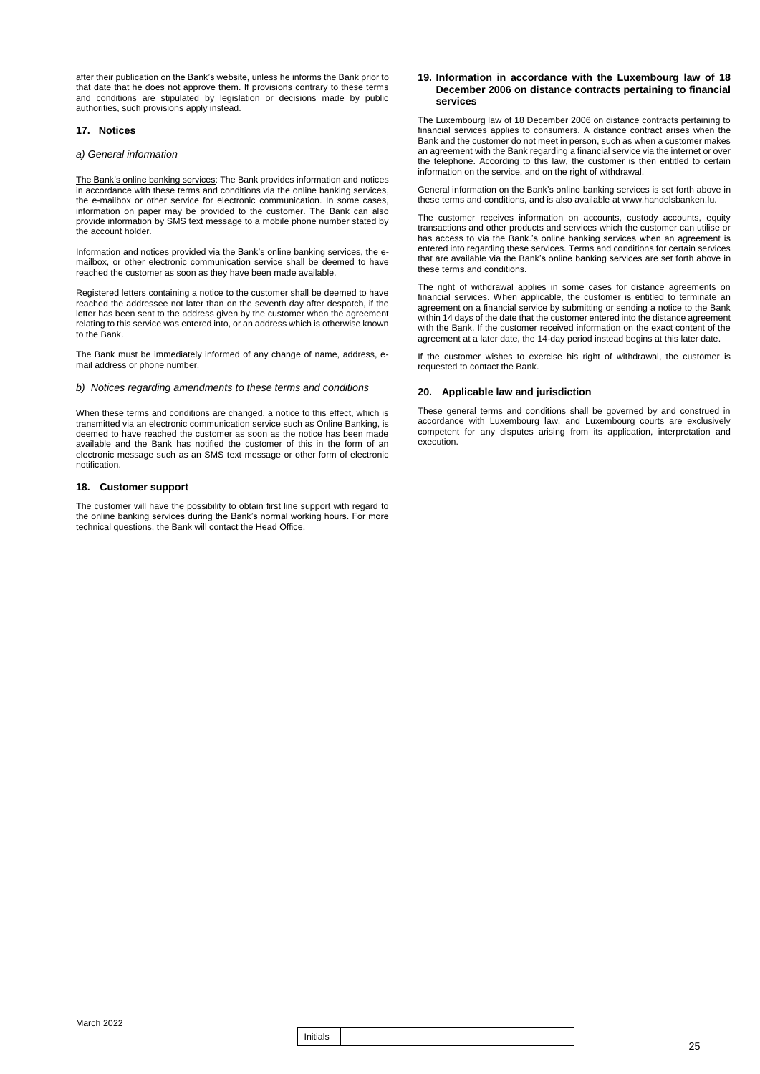after their publication on the Bank's website, unless he informs the Bank prior to that date that he does not approve them. If provisions contrary to these terms and conditions are stipulated by legislation or decisions made by public authorities, such provisions apply instead.

### **17. Notices**

### *a) General information*

The Bank's online banking services: The Bank provides information and notices in accordance with these terms and conditions via the online banking services, the e-mailbox or other service for electronic communication. In some cases, information on paper may be provided to the customer. The Bank can also provide information by SMS text message to a mobile phone number stated by the account holder.

Information and notices provided via the Bank's online banking services, the emailbox, or other electronic communication service shall be deemed to have reached the customer as soon as they have been made available.

Registered letters containing a notice to the customer shall be deemed to have reached the addressee not later than on the seventh day after despatch, if the letter has been sent to the address given by the customer when the agreement relating to this service was entered into, or an address which is otherwise known to the Bank.

The Bank must be immediately informed of any change of name, address, email address or phone number.

*b) Notices regarding amendments to these terms and conditions*

When these terms and conditions are changed, a notice to this effect, which is transmitted via an electronic communication service such as Online Banking, is deemed to have reached the customer as soon as the notice has been made available and the Bank has notified the customer of this in the form of an electronic message such as an SMS text message or other form of electronic notification.

### **18. Customer support**

The customer will have the possibility to obtain first line support with regard to the online banking services during the Bank's normal working hours. For more technical questions, the Bank will contact the Head Office.

### **19. Information in accordance with the Luxembourg law of 18 December 2006 on distance contracts pertaining to financial services**

The Luxembourg law of 18 December 2006 on distance contracts pertaining to financial services applies to consumers. A distance contract arises when the Bank and the customer do not meet in person, such as when a customer makes an agreement with the Bank regarding a financial service via the internet or over the telephone. According to this law, the customer is then entitled to certain information on the service, and on the right of withdrawal.

General information on the Bank's online banking services is set forth above in these terms and conditions, and is also available at www.handelsbanken.lu.

The customer receives information on accounts, custody accounts, equity transactions and other products and services which the customer can utilise or has access to via the Bank.'s online banking services when an agreement is entered into regarding these services. Terms and conditions for certain services that are available via the Bank's online banking services are set forth above in these terms and conditions.

The right of withdrawal applies in some cases for distance agreements on financial services. When applicable, the customer is entitled to terminate an agreement on a financial service by submitting or sending a notice to the Bank within 14 days of the date that the customer entered into the distance agreement with the Bank. If the customer received information on the exact content of the agreement at a later date, the 14-day period instead begins at this later date.

If the customer wishes to exercise his right of withdrawal, the customer is requested to contact the Bank.

### **20. Applicable law and jurisdiction**

These general terms and conditions shall be governed by and construed in accordance with Luxembourg law, and Luxembourg courts are exclusively competent for any disputes arising from its application, interpretation and execution.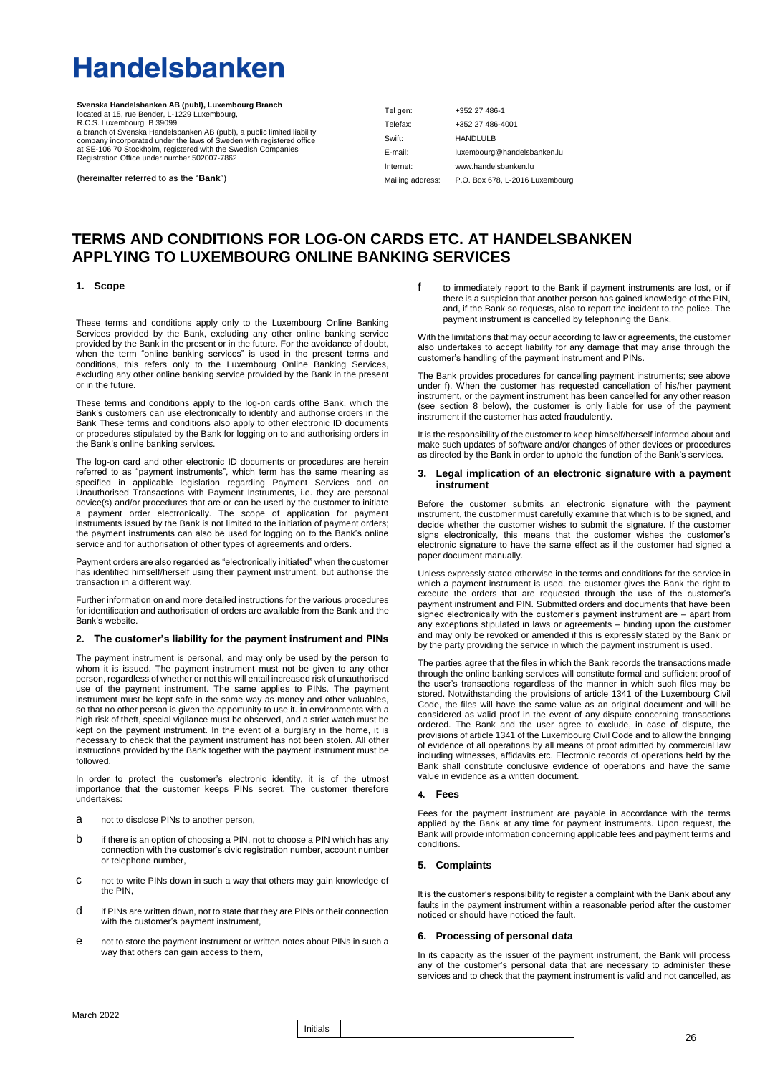# **Handelsbanken**

**Svenska Handelsbanken AB (publ), Luxembourg Branch** located at 15, rue Bender, L-1229 Luxembourg, R.C.S. Luxembourg B 39099,<br>a branch of Svenska Handelsbanken AB (publ), a public limited liability<br>company incorporated under the laws of Sweden with registered office<br>at SE-106 70 Stockholm, registered with the Swedish Co

(hereinafter referred to as the "**Bank**")

Tel gen: Telefax: Swift: E-mail: Internet: Mailing address: +352 27 486-1 +352 27 486-4001 HANDLULB luxembourg@handelsbanken.lu [www.handelsbanken.lu](http://www.handelsbanken.lu/) P.O. Box 678, L-2016 Luxembourg

### **TERMS AND CONDITIONS FOR LOG-ON CARDS ETC. AT HANDELSBANKEN APPLYING TO LUXEMBOURG ONLINE BANKING SERVICES**

### **1. Scope**

These terms and conditions apply only to the Luxembourg Online Banking Services provided by the Bank, excluding any other online banking service provided by the Bank in the present or in the future. For the avoidance of doubt, when the term "online banking services" is used in the present terms and conditions, this refers only to the Luxembourg Online Banking Services, excluding any other online banking service provided by the Bank in the present or in the future.

These terms and conditions apply to the log-on cards ofthe Bank, which the Bank's customers can use electronically to identify and authorise orders in the Bank These terms and conditions also apply to other electronic ID documents or procedures stipulated by the Bank for logging on to and authorising orders in the Bank's online banking services.

The log-on card and other electronic ID documents or procedures are herein referred to as "payment instruments", which term has the same meaning as specified in applicable legislation regarding Payment Services and on Unauthorised Transactions with Payment Instruments, i.e. they are personal device(s) and/or procedures that are or can be used by the customer to initiate a payment order electronically. The scope of application for payment instruments issued by the Bank is not limited to the initiation of payment orders; the payment instruments can also be used for logging on to the Bank's online service and for authorisation of other types of agreements and orders.

Payment orders are also regarded as "electronically initiated" when the customer has identified himself/herself using their payment instrument, but authorise the transaction in a different way.

Further information on and more detailed instructions for the various procedures for identification and authorisation of orders are available from the Bank and the Bank's website.

### **2. The customer's liability for the payment instrument and PINs**

The payment instrument is personal, and may only be used by the person to whom it is issued. The payment instrument must not be given to any other person, regardless of whether or not this will entail increased risk of unauthorised use of the payment instrument. The same applies to PINs. The payment instrument must be kept safe in the same way as money and other valuables, so that no other person is given the opportunity to use it. In environments with a high risk of theft, special vigilance must be observed, and a strict watch must be kept on the payment instrument. In the event of a burglary in the home, it is necessary to check that the payment instrument has not been stolen. All other instructions provided by the Bank together with the payment instrument must be followed.

In order to protect the customer's electronic identity, it is of the utmost importance that the customer keeps PINs secret. The customer therefore undertakes:

- a not to disclose PINs to another person,
- b if there is an option of choosing a PIN, not to choose a PIN which has any connection with the customer's civic registration number, account number or telephone number,
- c not to write PINs down in such a way that others may gain knowledge of the PIN,
- d if PINs are written down, not to state that they are PINs or their connection with the customer's payment instrument.
- e not to store the payment instrument or written notes about PINs in such a way that others can gain access to them,

f to immediately report to the Bank if payment instruments are lost, or if there is a suspicion that another person has gained knowledge of the PIN, and, if the Bank so requests, also to report the incident to the police. The payment instrument is cancelled by telephoning the Bank.

With the limitations that may occur according to law or agreements, the customer also undertakes to accept liability for any damage that may arise through the customer's handling of the payment instrument and PINs.

The Bank provides procedures for cancelling payment instruments; see above under f). When the customer has requested cancellation of his/her payment instrument, or the payment instrument has been cancelled for any other reason (see section 8 below), the customer is only liable for use of the payment instrument if the customer has acted fraudulently.

It is the responsibility of the customer to keep himself/herself informed about and make such updates of software and/or changes of other devices or procedures as directed by the Bank in order to uphold the function of the Bank's services.

### **3. Legal implication of an electronic signature with a payment instrument**

Before the customer submits an electronic signature with the payment instrument, the customer must carefully examine that which is to be signed, and decide whether the customer wishes to submit the signature. If the customer signs electronically, this means that the customer wishes the customer's electronic signature to have the same effect as if the customer had signed a paper document manually.

Unless expressly stated otherwise in the terms and conditions for the service in which a payment instrument is used, the customer gives the Bank the right to execute the orders that are requested through the use of the customer's payment instrument and PIN. Submitted orders and documents that have been signed electronically with the customer's payment instrument are – apart from any exceptions stipulated in laws or agreements – binding upon the customer and may only be revoked or amended if this is expressly stated by the Bank or by the party providing the service in which the payment instrument is used.

The parties agree that the files in which the Bank records the transactions made through the online banking services will constitute formal and sufficient proof of the user's transactions regardless of the manner in which such files may be stored. Notwithstanding the provisions of article 1341 of the Luxembourg Civil Code, the files will have the same value as an original document and will be considered as valid proof in the event of any dispute concerning transactions ordered. The Bank and the user agree to exclude, in case of dispute, the provisions of article 1341 of the Luxembourg Civil Code and to allow the bringing of evidence of all operations by all means of proof admitted by commercial law including witnesses, affidavits etc. Electronic records of operations held by the Bank shall constitute conclusive evidence of operations and have the same value in evidence as a written document.

### **4. Fees**

Fees for the payment instrument are payable in accordance with the terms applied by the Bank at any time for payment instruments. Upon request, the Bank will provide information concerning applicable fees and payment terms and conditions.

### **5. Complaints**

It is the customer's responsibility to register a complaint with the Bank about any faults in the payment instrument within a reasonable period after the customer noticed or should have noticed the fault.

### **6. Processing of personal data**

In its capacity as the issuer of the payment instrument, the Bank will process any of the customer's personal data that are necessary to administer these services and to check that the payment instrument is valid and not cancelled, as